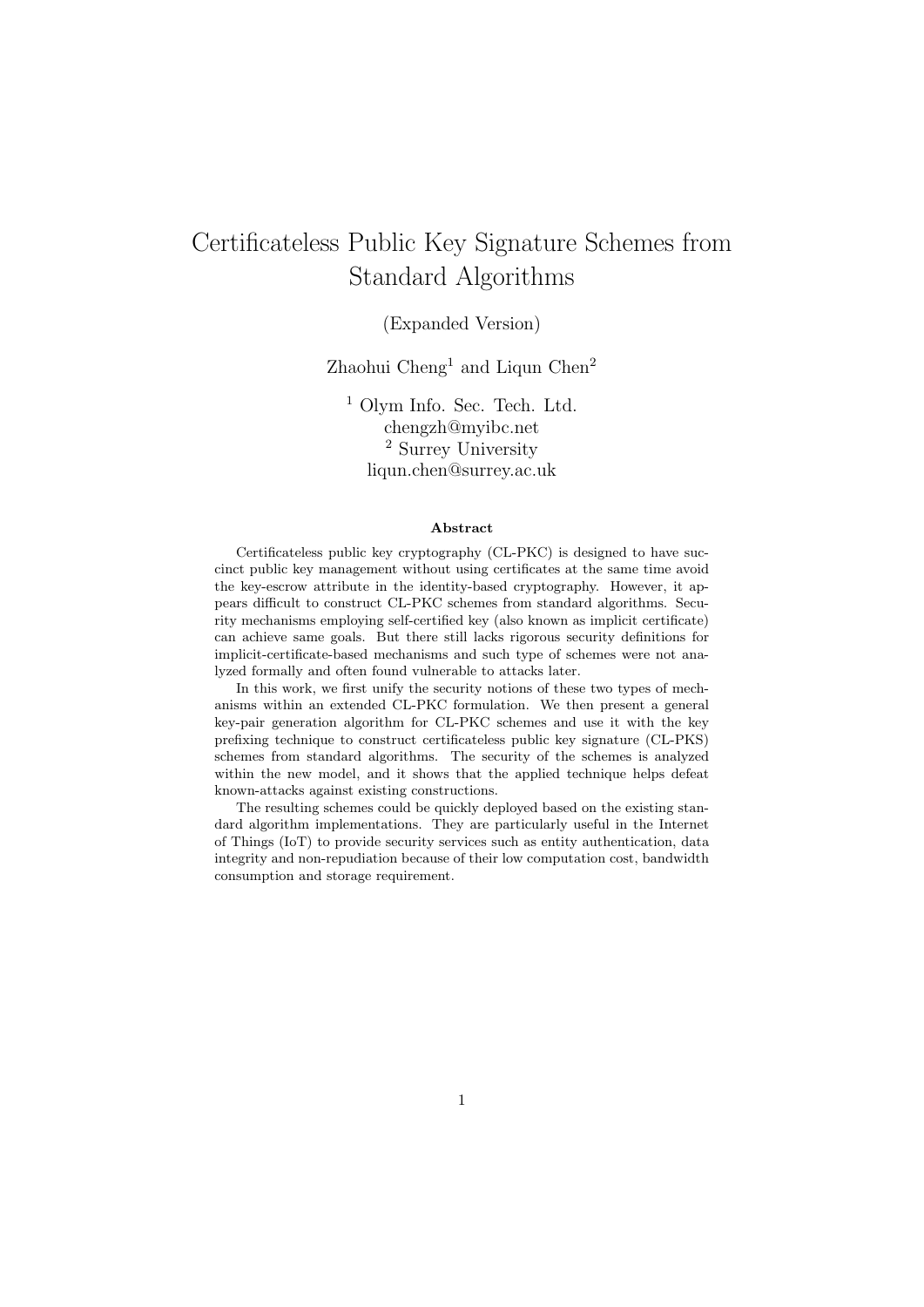# Certificateless Public Key Signature Schemes from Standard Algorithms

### (Expanded Version)

Zhaohui  $Cheng<sup>1</sup>$  and Liqun  $Chen<sup>2</sup>$ 

<sup>1</sup> Olym Info. Sec. Tech. Ltd. chengzh@myibc.net <sup>2</sup> Surrey University liqun.chen@surrey.ac.uk

#### Abstract

Certificateless public key cryptography (CL-PKC) is designed to have succinct public key management without using certificates at the same time avoid the key-escrow attribute in the identity-based cryptography. However, it appears difficult to construct CL-PKC schemes from standard algorithms. Security mechanisms employing self-certified key (also known as implicit certificate) can achieve same goals. But there still lacks rigorous security definitions for implicit-certificate-based mechanisms and such type of schemes were not analyzed formally and often found vulnerable to attacks later.

In this work, we first unify the security notions of these two types of mechanisms within an extended CL-PKC formulation. We then present a general key-pair generation algorithm for CL-PKC schemes and use it with the key prefixing technique to construct certificateless public key signature (CL-PKS) schemes from standard algorithms. The security of the schemes is analyzed within the new model, and it shows that the applied technique helps defeat known-attacks against existing constructions.

The resulting schemes could be quickly deployed based on the existing standard algorithm implementations. They are particularly useful in the Internet of Things (IoT) to provide security services such as entity authentication, data integrity and non-repudiation because of their low computation cost, bandwidth consumption and storage requirement.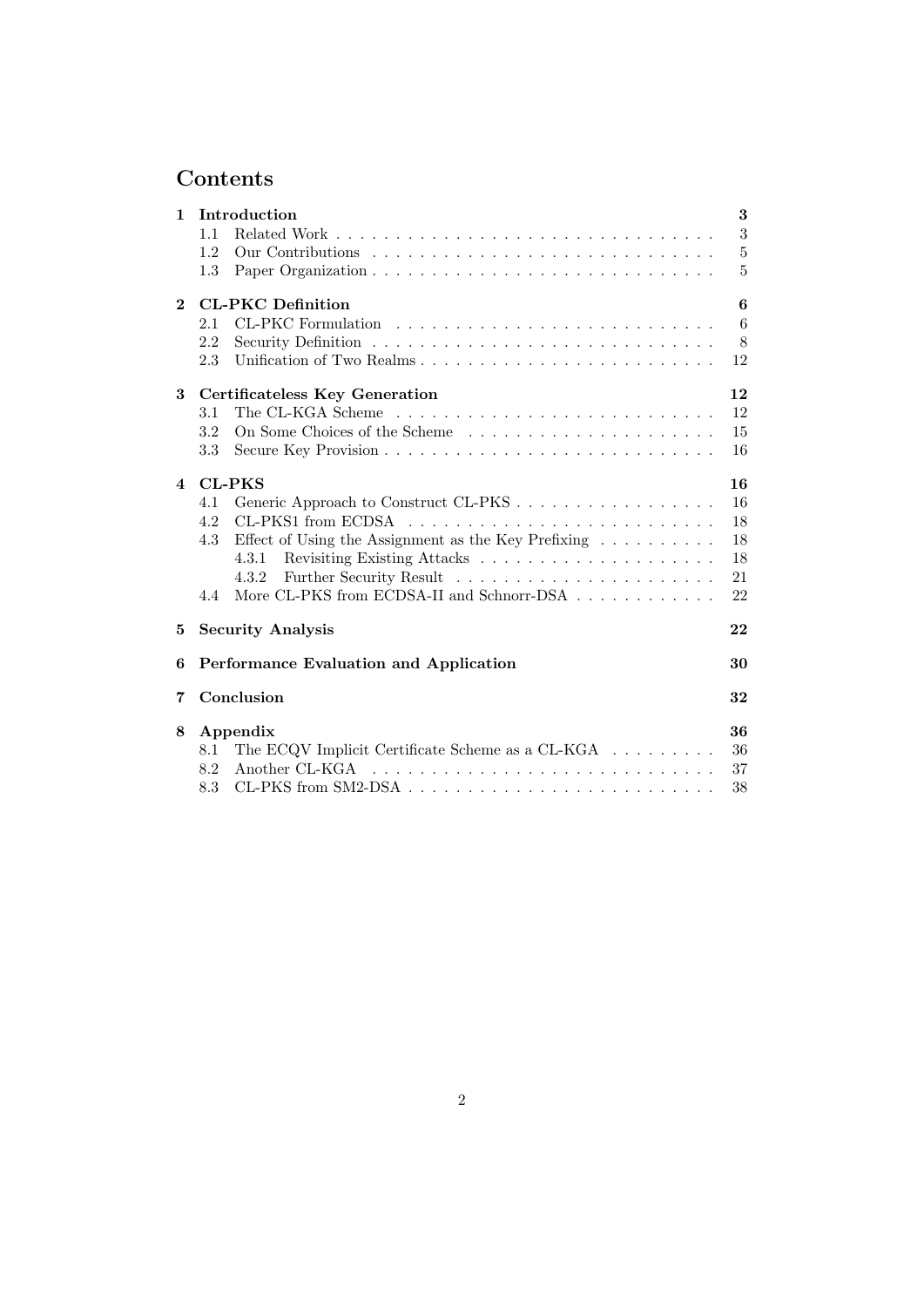# Contents

| $\mathbf{1}$   | Introduction                                                                   | 3               |
|----------------|--------------------------------------------------------------------------------|-----------------|
|                | 1.1                                                                            | 3               |
|                | 1.2                                                                            | $\overline{5}$  |
|                | 1.3                                                                            | 5               |
| $\mathbf{2}$   | <b>CL-PKC</b> Definition                                                       | 6               |
|                | 2.1                                                                            | $6\phantom{.}6$ |
|                | 2.2                                                                            | 8               |
|                | Unification of Two Realms<br>2.3                                               | 12              |
| 3              | <b>Certificateless Key Generation</b>                                          | 12              |
|                | 3.1                                                                            | 12              |
|                | 3.2                                                                            | 15              |
|                | 3.3                                                                            | 16              |
| $\overline{4}$ | <b>CL-PKS</b>                                                                  | 16              |
|                | Generic Approach to Construct CL-PKS<br>4.1                                    | 16              |
|                | 4.2                                                                            | 18              |
|                | Effect of Using the Assignment as the Key Prefixing $\dots \dots \dots$<br>4.3 | 18              |
|                | 4.3.1                                                                          | 18              |
|                | 4.3.2                                                                          | 21              |
|                | More CL-PKS from ECDSA-II and Schnorr-DSA<br>4.4                               | 22              |
| 5              | <b>Security Analysis</b>                                                       | 22              |
| 6              | Performance Evaluation and Application                                         | 30              |
| 7              | Conclusion                                                                     | 32              |
| 8              | Appendix                                                                       | 36              |
|                | The ECQV Implicit Certificate Scheme as a CL-KGA $\ldots \ldots \ldots$<br>8.1 | 36              |
|                | Another CL-KGA<br>8.2                                                          | 37              |
|                | 8.3                                                                            | 38              |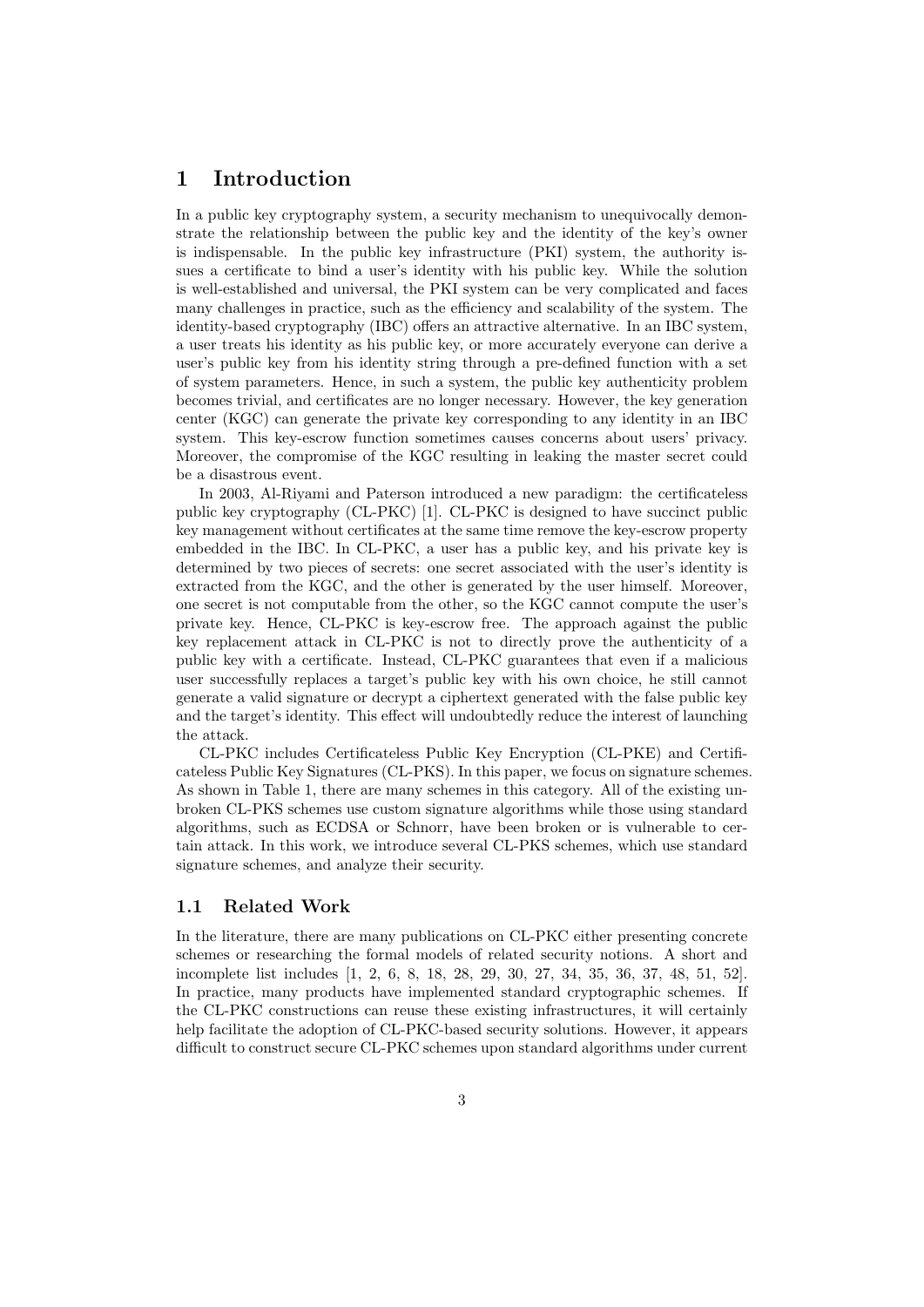# 1 Introduction

In a public key cryptography system, a security mechanism to unequivocally demonstrate the relationship between the public key and the identity of the key's owner is indispensable. In the public key infrastructure (PKI) system, the authority issues a certificate to bind a user's identity with his public key. While the solution is well-established and universal, the PKI system can be very complicated and faces many challenges in practice, such as the efficiency and scalability of the system. The identity-based cryptography (IBC) offers an attractive alternative. In an IBC system, a user treats his identity as his public key, or more accurately everyone can derive a user's public key from his identity string through a pre-defined function with a set of system parameters. Hence, in such a system, the public key authenticity problem becomes trivial, and certificates are no longer necessary. However, the key generation center (KGC) can generate the private key corresponding to any identity in an IBC system. This key-escrow function sometimes causes concerns about users' privacy. Moreover, the compromise of the KGC resulting in leaking the master secret could be a disastrous event.

In 2003, Al-Riyami and Paterson introduced a new paradigm: the certificateless public key cryptography (CL-PKC) [1]. CL-PKC is designed to have succinct public key management without certificates at the same time remove the key-escrow property embedded in the IBC. In CL-PKC, a user has a public key, and his private key is determined by two pieces of secrets: one secret associated with the user's identity is extracted from the KGC, and the other is generated by the user himself. Moreover, one secret is not computable from the other, so the KGC cannot compute the user's private key. Hence, CL-PKC is key-escrow free. The approach against the public key replacement attack in CL-PKC is not to directly prove the authenticity of a public key with a certificate. Instead, CL-PKC guarantees that even if a malicious user successfully replaces a target's public key with his own choice, he still cannot generate a valid signature or decrypt a ciphertext generated with the false public key and the target's identity. This effect will undoubtedly reduce the interest of launching the attack.

CL-PKC includes Certificateless Public Key Encryption (CL-PKE) and Certificateless Public Key Signatures (CL-PKS). In this paper, we focus on signature schemes. As shown in Table 1, there are many schemes in this category. All of the existing unbroken CL-PKS schemes use custom signature algorithms while those using standard algorithms, such as ECDSA or Schnorr, have been broken or is vulnerable to certain attack. In this work, we introduce several CL-PKS schemes, which use standard signature schemes, and analyze their security.

#### 1.1 Related Work

In the literature, there are many publications on CL-PKC either presenting concrete schemes or researching the formal models of related security notions. A short and incomplete list includes [1, 2, 6, 8, 18, 28, 29, 30, 27, 34, 35, 36, 37, 48, 51, 52]. In practice, many products have implemented standard cryptographic schemes. If the CL-PKC constructions can reuse these existing infrastructures, it will certainly help facilitate the adoption of CL-PKC-based security solutions. However, it appears difficult to construct secure CL-PKC schemes upon standard algorithms under current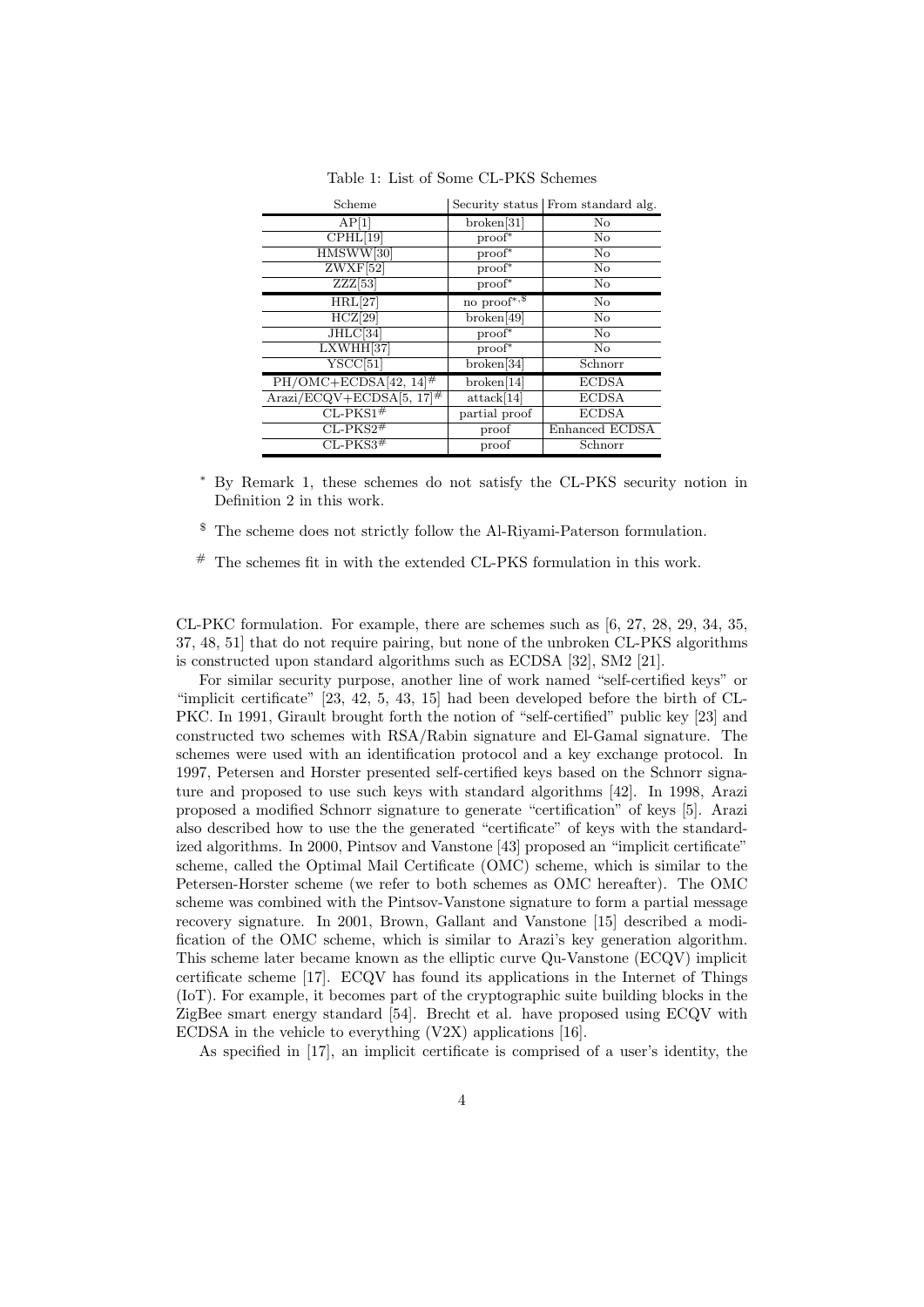| Scheme                                                      |                          | Security status From standard alg. |
|-------------------------------------------------------------|--------------------------|------------------------------------|
| AP <sub>1</sub>                                             | broken[31]               | $\rm No$                           |
| $\overline{\text{CPHL}}[19]$                                | $proof*$                 | $\rm No$                           |
| HMSWW[30]                                                   | $proof*$                 | No                                 |
| $ZWXF$ [52]                                                 | $proof*$                 | $\rm No$                           |
| ZZZ[53]                                                     | $proof*$                 | No                                 |
| HRL[27]                                                     | no $\text{proof}^{*,\$}$ | $\rm No$                           |
| HCZ[29]                                                     | broken[49]               | $\rm No$                           |
| JHLC[34]                                                    | $proof*$                 | $\rm No$                           |
| LXWHH[37]                                                   | $proof*$                 | $\rm No$                           |
| YSCC[51]                                                    | broken[34]               | Schnorr                            |
| $PH/OMC + ECDSA[42, 14]$ <sup>#</sup>                       | broken[14]               | <b>ECDSA</b>                       |
| $\text{Arazi}/\text{ECQV}+\text{ECDSA}[5, 17]$ <sup>#</sup> | attack[14]               | <b>ECDSA</b>                       |
| $CL$ -PKS1 <sup>#</sup>                                     | partial proof            | <b>ECDSA</b>                       |
| $CL-PKS2\#$                                                 | proof                    | Enhanced ECDSA                     |
| $CL-PKS3#$                                                  | proof                    | Schnorr                            |

Table 1: List of Some CL-PKS Schemes

<sup>∗</sup> By Remark 1, these schemes do not satisfy the CL-PKS security notion in Definition 2 in this work.

\$ The scheme does not strictly follow the Al-Riyami-Paterson formulation.

# The schemes fit in with the extended CL-PKS formulation in this work.

CL-PKC formulation. For example, there are schemes such as [6, 27, 28, 29, 34, 35, 37, 48, 51] that do not require pairing, but none of the unbroken CL-PKS algorithms is constructed upon standard algorithms such as ECDSA [32], SM2 [21].

For similar security purpose, another line of work named "self-certified keys" or "implicit certificate" [23, 42, 5, 43, 15] had been developed before the birth of CL-PKC. In 1991, Girault brought forth the notion of "self-certified" public key [23] and constructed two schemes with RSA/Rabin signature and El-Gamal signature. The schemes were used with an identification protocol and a key exchange protocol. In 1997, Petersen and Horster presented self-certified keys based on the Schnorr signature and proposed to use such keys with standard algorithms [42]. In 1998, Arazi proposed a modified Schnorr signature to generate "certification" of keys [5]. Arazi also described how to use the the generated "certificate" of keys with the standardized algorithms. In 2000, Pintsov and Vanstone [43] proposed an "implicit certificate" scheme, called the Optimal Mail Certificate (OMC) scheme, which is similar to the Petersen-Horster scheme (we refer to both schemes as OMC hereafter). The OMC scheme was combined with the Pintsov-Vanstone signature to form a partial message recovery signature. In 2001, Brown, Gallant and Vanstone [15] described a modification of the OMC scheme, which is similar to Arazi's key generation algorithm. This scheme later became known as the elliptic curve Qu-Vanstone (ECQV) implicit certificate scheme [17]. ECQV has found its applications in the Internet of Things (IoT). For example, it becomes part of the cryptographic suite building blocks in the ZigBee smart energy standard [54]. Brecht et al. have proposed using ECQV with ECDSA in the vehicle to everything (V2X) applications [16].

As specified in [17], an implicit certificate is comprised of a user's identity, the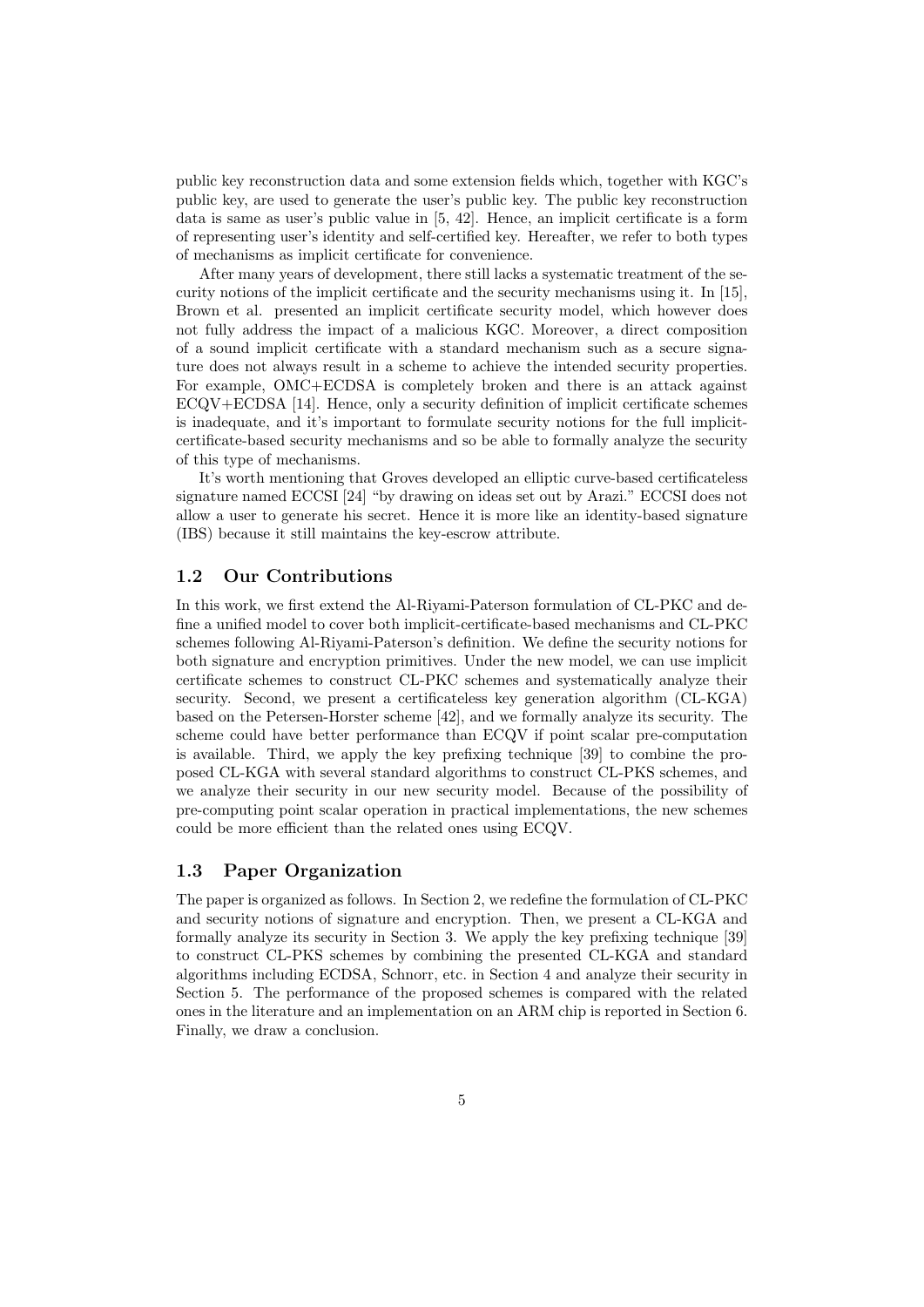public key reconstruction data and some extension fields which, together with KGC's public key, are used to generate the user's public key. The public key reconstruction data is same as user's public value in [5, 42]. Hence, an implicit certificate is a form of representing user's identity and self-certified key. Hereafter, we refer to both types of mechanisms as implicit certificate for convenience.

After many years of development, there still lacks a systematic treatment of the security notions of the implicit certificate and the security mechanisms using it. In [15], Brown et al. presented an implicit certificate security model, which however does not fully address the impact of a malicious KGC. Moreover, a direct composition of a sound implicit certificate with a standard mechanism such as a secure signature does not always result in a scheme to achieve the intended security properties. For example, OMC+ECDSA is completely broken and there is an attack against ECQV+ECDSA [14]. Hence, only a security definition of implicit certificate schemes is inadequate, and it's important to formulate security notions for the full implicitcertificate-based security mechanisms and so be able to formally analyze the security of this type of mechanisms.

It's worth mentioning that Groves developed an elliptic curve-based certificateless signature named ECCSI [24] "by drawing on ideas set out by Arazi." ECCSI does not allow a user to generate his secret. Hence it is more like an identity-based signature (IBS) because it still maintains the key-escrow attribute.

### 1.2 Our Contributions

In this work, we first extend the Al-Riyami-Paterson formulation of CL-PKC and define a unified model to cover both implicit-certificate-based mechanisms and CL-PKC schemes following Al-Riyami-Paterson's definition. We define the security notions for both signature and encryption primitives. Under the new model, we can use implicit certificate schemes to construct CL-PKC schemes and systematically analyze their security. Second, we present a certificateless key generation algorithm (CL-KGA) based on the Petersen-Horster scheme [42], and we formally analyze its security. The scheme could have better performance than ECQV if point scalar pre-computation is available. Third, we apply the key prefixing technique [39] to combine the proposed CL-KGA with several standard algorithms to construct CL-PKS schemes, and we analyze their security in our new security model. Because of the possibility of pre-computing point scalar operation in practical implementations, the new schemes could be more efficient than the related ones using ECQV.

#### 1.3 Paper Organization

The paper is organized as follows. In Section 2, we redefine the formulation of CL-PKC and security notions of signature and encryption. Then, we present a CL-KGA and formally analyze its security in Section 3. We apply the key prefixing technique [39] to construct CL-PKS schemes by combining the presented CL-KGA and standard algorithms including ECDSA, Schnorr, etc. in Section 4 and analyze their security in Section 5. The performance of the proposed schemes is compared with the related ones in the literature and an implementation on an ARM chip is reported in Section 6. Finally, we draw a conclusion.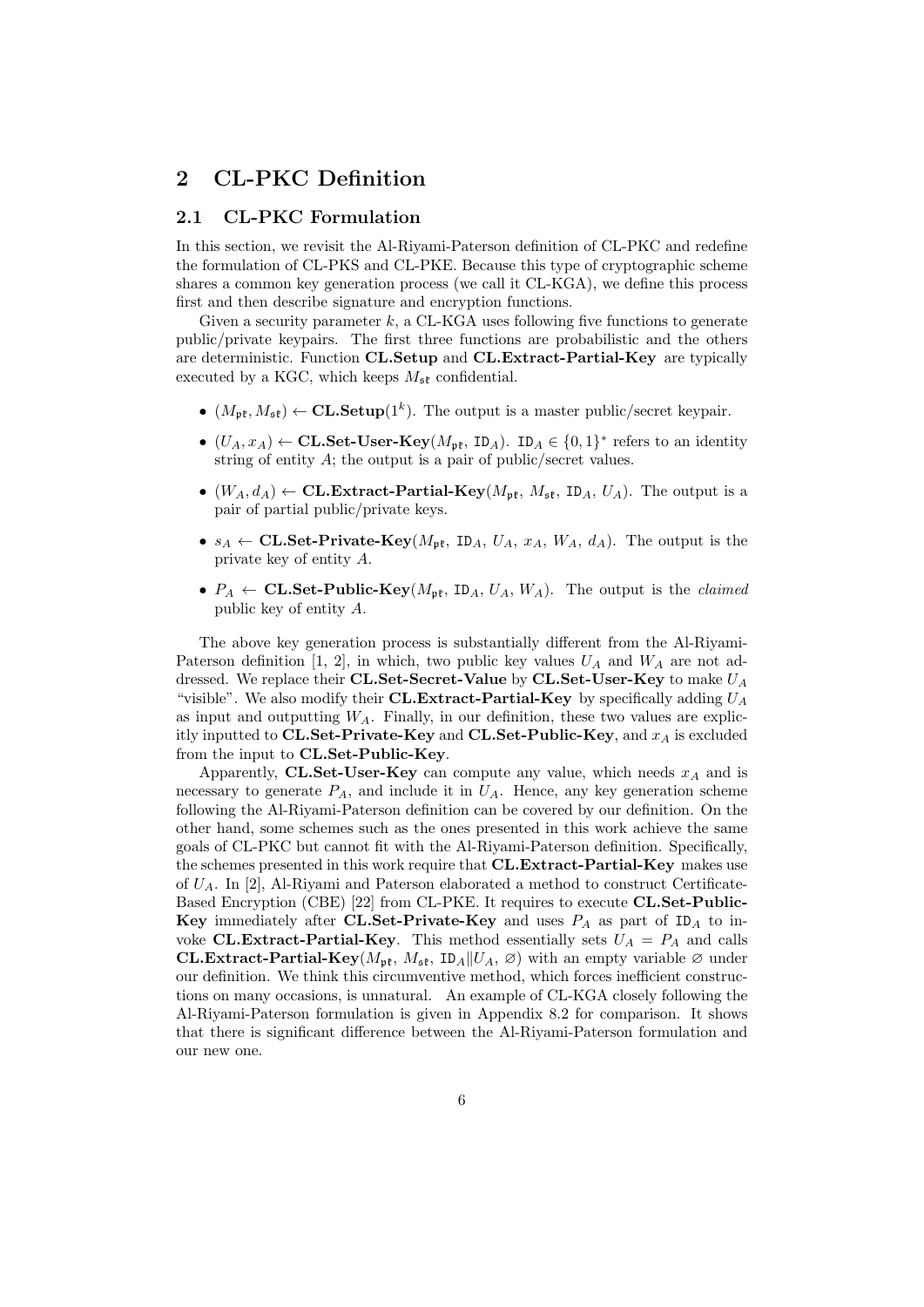# 2 CL-PKC Definition

### 2.1 CL-PKC Formulation

In this section, we revisit the Al-Riyami-Paterson definition of CL-PKC and redefine the formulation of CL-PKS and CL-PKE. Because this type of cryptographic scheme shares a common key generation process (we call it CL-KGA), we define this process first and then describe signature and encryption functions.

Given a security parameter  $k$ , a CL-KGA uses following five functions to generate public/private keypairs. The first three functions are probabilistic and the others are deterministic. Function CL.Setup and CL.Extract-Partial-Key are typically executed by a KGC, which keeps  $M_{\mathfrak{se}}$  confidential.

- $(M_{\mathfrak{pk}}, M_{\mathfrak{sk}}) \leftarrow \mathbf{CL}.\mathbf{Setup}(1^k)$ . The output is a master public/secret keypair.
- $(U_A, x_A) \leftarrow \textbf{CL}. \textbf{Set-User-Key}(M_{\mathfrak{pk}}, \textbf{ID}_A)$ .  $ID_A \in \{0,1\}^*$  refers to an identity string of entity A; the output is a pair of public/secret values.
- $(W_A, d_A) \leftarrow \textbf{CL. Extract-Partial-Key}(M_{\mathfrak{pk}}, M_{\mathfrak{sk}}, \textbf{ID}_A, U_A)$ . The output is a pair of partial public/private keys.
- $s_A \leftarrow \textbf{CL}.\textbf{Set-Private-Key}(M_{\text{pf}}, \text{ID}_A, U_A, x_A, W_A, d_A).$  The output is the private key of entity A.
- $P_A \leftarrow \textbf{CL}.\textbf{Set-Public-Key}(M_{\text{pft}},\text{ID}_A, U_A, W_A).$  The output is the *claimed* public key of entity A.

The above key generation process is substantially different from the Al-Riyami-Paterson definition [1, 2], in which, two public key values  $U_A$  and  $W_A$  are not addressed. We replace their CL.Set-Secret-Value by CL.Set-User-Key to make  $U_A$ "visible". We also modify their CL.Extract-Partial-Key by specifically adding  $U_A$ as input and outputting  $W_A$ . Finally, in our definition, these two values are explicitly inputted to CL.Set-Private-Key and CL.Set-Public-Key, and  $x_A$  is excluded from the input to CL.Set-Public-Key.

Apparently, CL.Set-User-Key can compute any value, which needs  $x_A$  and is necessary to generate  $P_A$ , and include it in  $U_A$ . Hence, any key generation scheme following the Al-Riyami-Paterson definition can be covered by our definition. On the other hand, some schemes such as the ones presented in this work achieve the same goals of CL-PKC but cannot fit with the Al-Riyami-Paterson definition. Specifically, the schemes presented in this work require that **CL.Extract-Partial-Key** makes use of  $U_A$ . In [2], Al-Riyami and Paterson elaborated a method to construct Certificate-Based Encryption (CBE) [22] from CL-PKE. It requires to execute CL.Set-Public-Key immediately after CL.Set-Private-Key and uses  $P_A$  as part of ID<sub>A</sub> to invoke **CL.Extract-Partial-Key**. This method essentially sets  $U_A = P_A$  and calls **CL.Extract-Partial-Key**( $M_{\mathfrak{pk}}$ ,  $M_{\mathfrak{sk}}$ ,  $ID_A||U_A, \varnothing)$  with an empty variable  $\varnothing$  under our definition. We think this circumventive method, which forces inefficient constructions on many occasions, is unnatural. An example of CL-KGA closely following the Al-Riyami-Paterson formulation is given in Appendix 8.2 for comparison. It shows that there is significant difference between the Al-Riyami-Paterson formulation and our new one.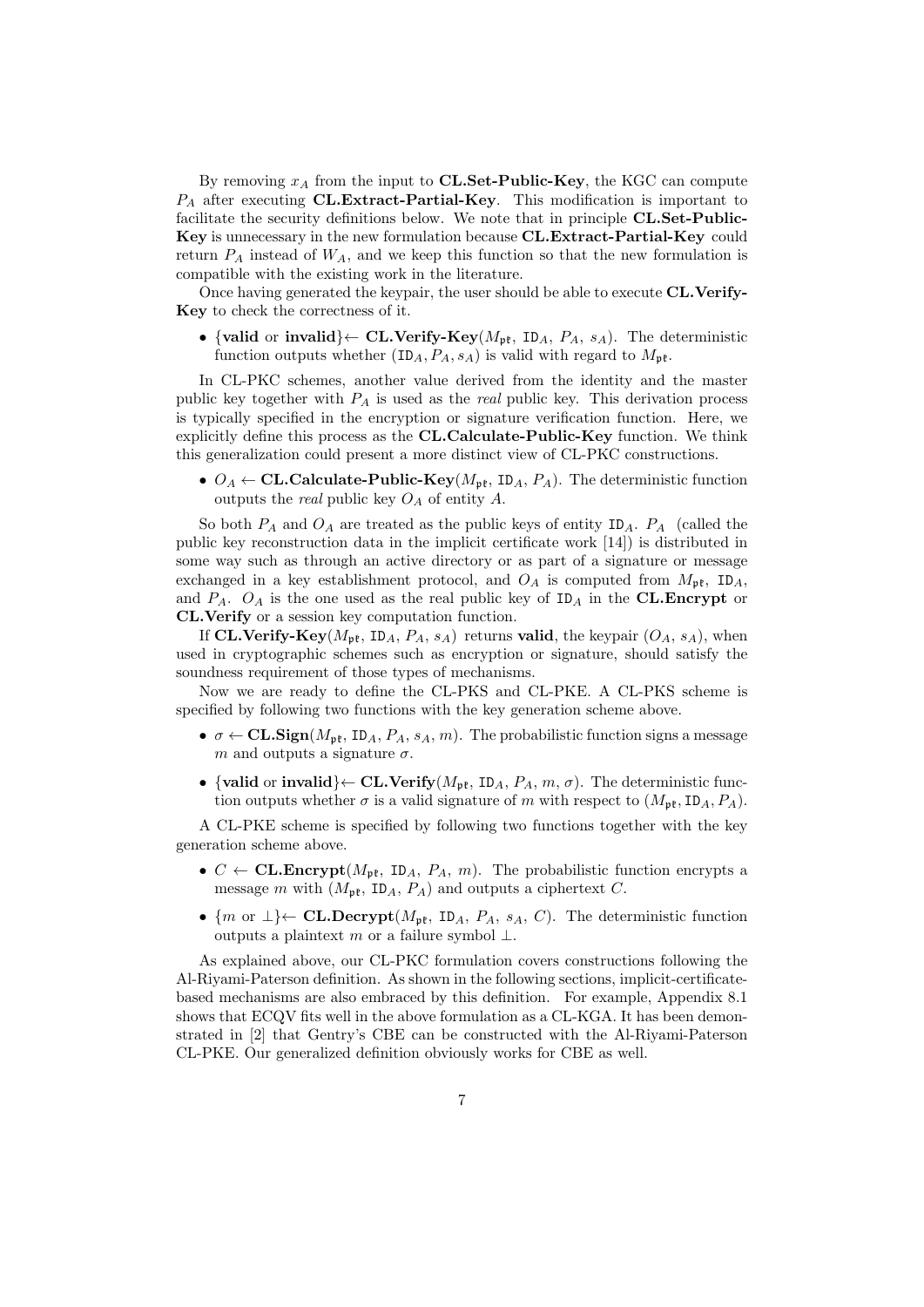By removing  $x_A$  from the input to **CL.Set-Public-Key**, the KGC can compute  $P_A$  after executing CL.Extract-Partial-Key. This modification is important to facilitate the security definitions below. We note that in principle CL.Set-Public-Key is unnecessary in the new formulation because CL.Extract-Partial-Key could return  $P_A$  instead of  $W_A$ , and we keep this function so that the new formulation is compatible with the existing work in the literature.

Once having generated the keypair, the user should be able to execute CL.Verify-Key to check the correctness of it.

• {valid or invalid} $\leftarrow$  CL.Verify-Key( $M_{\rm pf}$ , ID<sub>A</sub>,  $P_A$ ,  $s_A$ ). The deterministic function outputs whether  $(ID_A, P_A, s_A)$  is valid with regard to  $M_{\text{up}t}$ .

In CL-PKC schemes, another value derived from the identity and the master public key together with  $P_A$  is used as the *real* public key. This derivation process is typically specified in the encryption or signature verification function. Here, we explicitly define this process as the CL.Calculate-Public-Key function. We think this generalization could present a more distinct view of CL-PKC constructions.

•  $O_A \leftarrow$  **CL.Calculate-Public-Key**( $M_{\rm pt}$ , ID<sub>A</sub>,  $P_A$ ). The deterministic function outputs the *real* public key  $O_A$  of entity  $A$ .

So both  $P_A$  and  $O_A$  are treated as the public keys of entity  $ID_A$ .  $P_A$  (called the public key reconstruction data in the implicit certificate work [14]) is distributed in some way such as through an active directory or as part of a signature or message exchanged in a key establishment protocol, and  $O_A$  is computed from  $M_{\rm pf}$ ,  $ID_A$ , and  $P_A$ .  $O_A$  is the one used as the real public key of  $ID_A$  in the CL.Encrypt or CL.Verify or a session key computation function.

If CL.Verify-Key( $M_{\rm pt}$ , ID<sub>A</sub>,  $P_A$ ,  $s_A$ ) returns valid, the keypair ( $O_A$ ,  $s_A$ ), when used in cryptographic schemes such as encryption or signature, should satisfy the soundness requirement of those types of mechanisms.

Now we are ready to define the CL-PKS and CL-PKE. A CL-PKS scheme is specified by following two functions with the key generation scheme above.

- $\sigma \leftarrow CL\text{Sign}(M_{\text{pft}}, ID_A, P_A, s_A, m)$ . The probabilistic function signs a message m and outputs a signature  $\sigma$ .
- {valid or invalid} $\leftarrow$  CL.Verify( $M_{\rm pf}$ , ID<sub>A</sub>,  $P_A$ ,  $m$ ,  $\sigma$ ). The deterministic function outputs whether  $\sigma$  is a valid signature of m with respect to  $(M_{\rm pf}, ID_A, P_A)$ .

A CL-PKE scheme is specified by following two functions together with the key generation scheme above.

- $C \leftarrow \textbf{CL.} \textbf{Encrypt}(M_{\text{pt}}, \text{ID}_A, P_A, m)$ . The probabilistic function encrypts a message m with  $(M_{\rm pf}, ID_A, P_A)$  and outputs a ciphertext C.
- {m or  $\perp$ } $\leftarrow$  **CL.Decrypt**( $M_{\text{pft}}$ , **ID**<sub>A</sub>,  $P_A$ ,  $s_A$ , *C*). The deterministic function outputs a plaintext m or a failure symbol  $\perp$ .

As explained above, our CL-PKC formulation covers constructions following the Al-Riyami-Paterson definition. As shown in the following sections, implicit-certificatebased mechanisms are also embraced by this definition. For example, Appendix 8.1 shows that ECQV fits well in the above formulation as a CL-KGA. It has been demonstrated in [2] that Gentry's CBE can be constructed with the Al-Riyami-Paterson CL-PKE. Our generalized definition obviously works for CBE as well.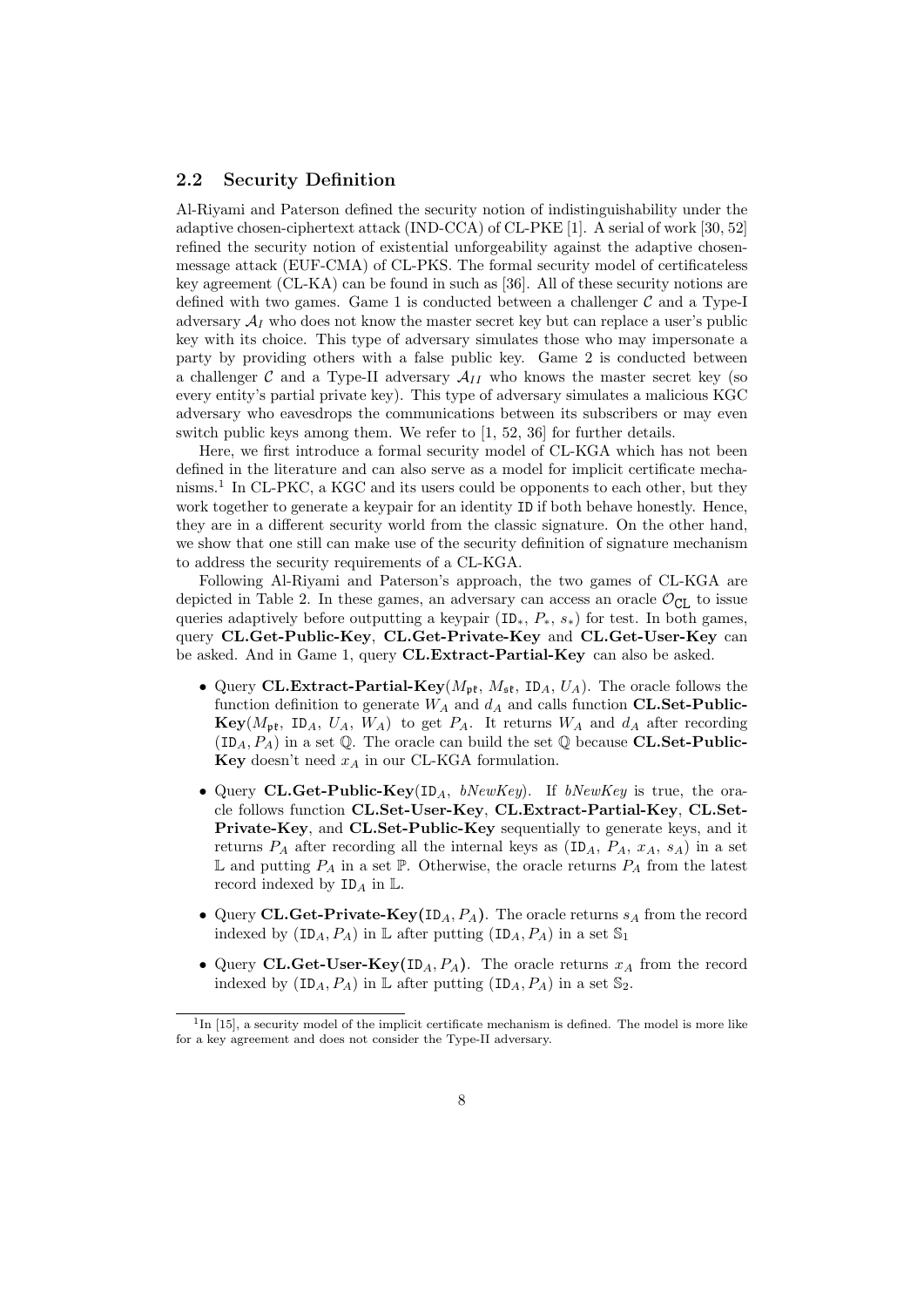### 2.2 Security Definition

Al-Riyami and Paterson defined the security notion of indistinguishability under the adaptive chosen-ciphertext attack (IND-CCA) of CL-PKE [1]. A serial of work [30, 52] refined the security notion of existential unforgeability against the adaptive chosenmessage attack (EUF-CMA) of CL-PKS. The formal security model of certificateless key agreement (CL-KA) can be found in such as [36]. All of these security notions are defined with two games. Game 1 is conducted between a challenger  $\mathcal C$  and a Type-I adversary  $A_I$  who does not know the master secret key but can replace a user's public key with its choice. This type of adversary simulates those who may impersonate a party by providing others with a false public key. Game 2 is conducted between a challenger C and a Type-II adversary  $\mathcal{A}_{II}$  who knows the master secret key (so every entity's partial private key). This type of adversary simulates a malicious KGC adversary who eavesdrops the communications between its subscribers or may even switch public keys among them. We refer to [1, 52, 36] for further details.

Here, we first introduce a formal security model of CL-KGA which has not been defined in the literature and can also serve as a model for implicit certificate mechanisms.<sup>1</sup> In CL-PKC, a KGC and its users could be opponents to each other, but they work together to generate a keypair for an identity ID if both behave honestly. Hence, they are in a different security world from the classic signature. On the other hand, we show that one still can make use of the security definition of signature mechanism to address the security requirements of a CL-KGA.

Following Al-Riyami and Paterson's approach, the two games of CL-KGA are depicted in Table 2. In these games, an adversary can access an oracle  $\mathcal{O}_{CI}$  to issue queries adaptively before outputting a keypair  $(\text{ID}_*, P_*, s_*)$  for test. In both games, query CL.Get-Public-Key, CL.Get-Private-Key and CL.Get-User-Key can be asked. And in Game 1, query CL.Extract-Partial-Key can also be asked.

- Query CL.Extract-Partial-Key( $M_{\rm pf}$ ,  $M_{\rm sf}$ , ID<sub>A</sub>,  $U_A$ ). The oracle follows the function definition to generate  $W_A$  and  $d_A$  and calls function CL.Set-Public- $\text{Key}(M_{\text{pt}}, \text{ ID}_A, U_A, W_A)$  to get  $P_A$ . It returns  $W_A$  and  $d_A$  after recording  $(ID_A, P_A)$  in a set Q. The oracle can build the set Q because CL.Set-Public-**Key** doesn't need  $x_A$  in our CL-KGA formulation.
- Query CL.Get-Public-Key(ID<sub>A</sub>, bNewKey). If bNewKey is true, the oracle follows function CL.Set-User-Key, CL.Extract-Partial-Key, CL.Set-Private-Key, and CL.Set-Public-Key sequentially to generate keys, and it returns  $P_A$  after recording all the internal keys as  $(ID_A, P_A, x_A, s_A)$  in a set  $\mathbb L$  and putting  $P_A$  in a set  $\mathbb P$ . Otherwise, the oracle returns  $P_A$  from the latest record indexed by  $ID_A$  in  $L$ .
- Query CL.Get-Private-Key(ID<sub>A</sub>,  $P_A$ ). The oracle returns  $s_A$  from the record indexed by  $(ID_A, P_A)$  in L after putting  $(ID_A, P_A)$  in a set  $\mathbb{S}_1$
- Query CL.Get-User-Key(ID<sub>A</sub>,  $P_A$ ). The oracle returns  $x_A$  from the record indexed by  $(ID_A, P_A)$  in L after putting  $(ID_A, P_A)$  in a set  $\mathbb{S}_2$ .

 $1\text{In}$  [15], a security model of the implicit certificate mechanism is defined. The model is more like for a key agreement and does not consider the Type-II adversary.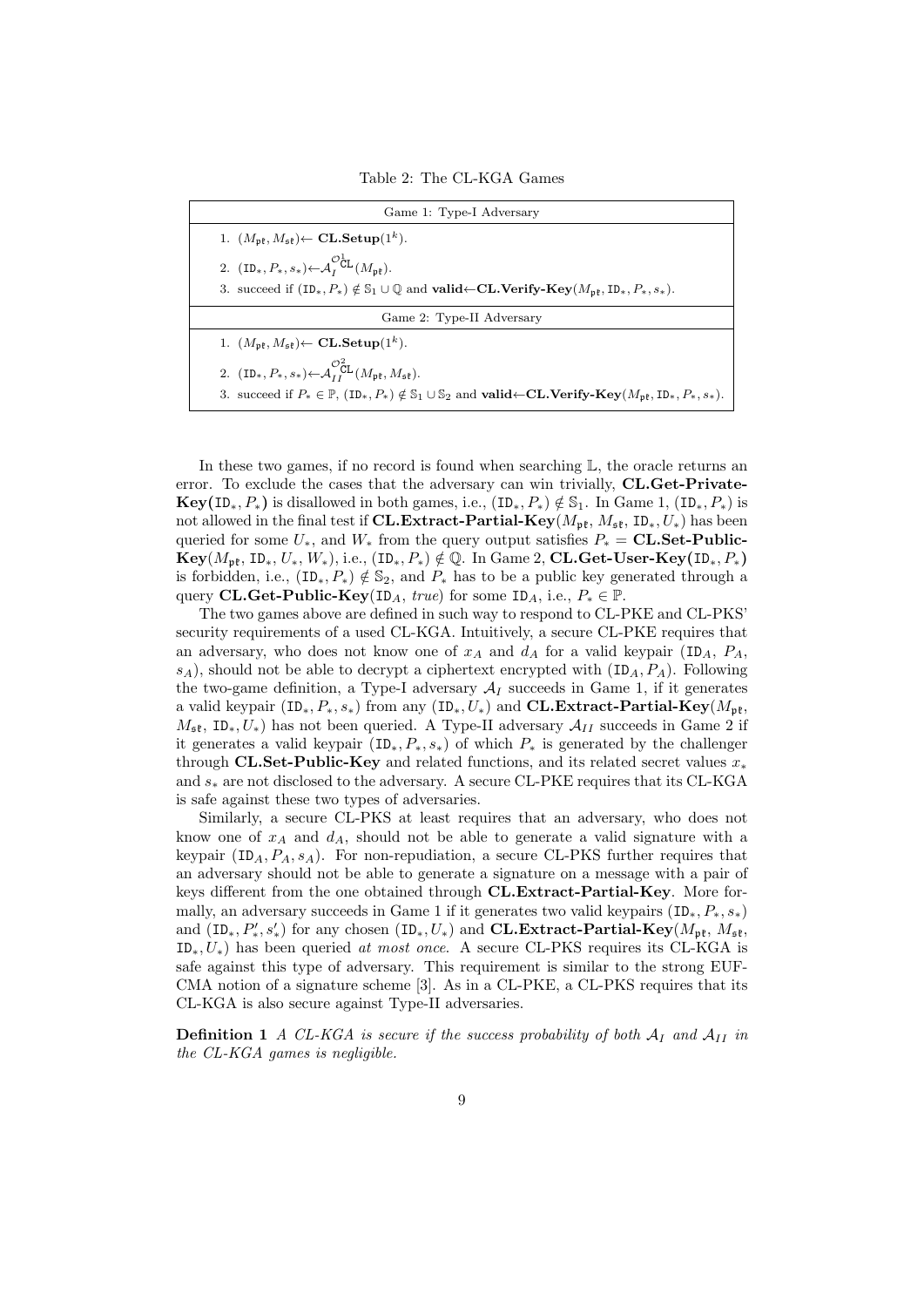Table 2: The CL-KGA Games

| Game 1: Type-I Adversary                                                                                                                                                                  |  |  |
|-------------------------------------------------------------------------------------------------------------------------------------------------------------------------------------------|--|--|
| 1. $(M_{\mathfrak{pk}}, M_{\mathfrak{sk}}) \leftarrow \mathbf{CL}.\mathbf{Setup}(1^k).$                                                                                                   |  |  |
| 2. $(ID_*, P_*, s_*) \leftarrow \mathcal{A}_r^{\mathcal{O}_{\mathbf{CL}}^1}(M_{\mathbf{n}^*}).$                                                                                           |  |  |
| 3. succeed if $(\mathbf{ID}_*, P_*) \notin \mathbb{S}_1 \cup \mathbb{Q}$ and <b>valid</b> $\leftarrow \mathbf{CL}$ . Verify-Key $(M_{\mathbf{n}^e}, \mathbf{ID}_*, P_*, s_*).$            |  |  |
| Game 2: Type-II Adversary                                                                                                                                                                 |  |  |
| 1. $(M_{\mathfrak{pk}}, M_{\mathfrak{sk}}) \leftarrow \mathbf{CL}.\mathbf{Setup}(1^k).$                                                                                                   |  |  |
| 2. $(\text{ID}_*, P_*, s_*) \leftarrow \mathcal{A}_{LL}^{\mathcal{O}_{CL}^2}(M_{\mathfrak{pk}}, M_{\mathfrak{sk}}).$                                                                      |  |  |
| 3. succeed if $P_* \in \mathbb{P}$ , $(\text{ID}_*, P_*) \notin \mathbb{S}_1 \cup \mathbb{S}_2$ and <b>valid</b> $\leftarrow \text{CL.Verify-Key}(M_{\text{pt}}, \text{ID}_*, P_*, s_*).$ |  |  |

In these two games, if no record is found when searching  $\mathbb{L}$ , the oracle returns an error. To exclude the cases that the adversary can win trivially, CL.Get-Private- $Key(ID_*, P_*)$  is disallowed in both games, i.e.,  $(ID_*, P_*) \notin S_1$ . In Game 1,  $(ID_*, P_*)$  is not allowed in the final test if **CL.Extract-Partial-Key**( $M_{\text{pf}}, M_{\text{sf}}, D_*, U_*$ ) has been queried for some  $U_*$ , and  $W_*$  from the query output satisfies  $P_* = CL$ . Set-Public- $\text{Key}(M_{\text{pt}}, \text{ID}_*, U_*, W_*), \text{i.e., } (\text{ID}_*, P_*) \notin \mathbb{Q}$ . In Game 2, CL.Get-User-Key(ID<sub>\*</sub>, P<sub>\*</sub>) is forbidden, i.e.,  $(\text{ID}_*, P_*) \notin \mathbb{S}_2$ , and  $P_*$  has to be a public key generated through a query CL.Get-Public-Key(ID<sub>A</sub>, true) for some ID<sub>A</sub>, i.e.,  $P_* \in \mathbb{P}$ .

The two games above are defined in such way to respond to CL-PKE and CL-PKS' security requirements of a used CL-KGA. Intuitively, a secure CL-PKE requires that an adversary, who does not know one of  $x_A$  and  $d_A$  for a valid keypair (ID<sub>A</sub>,  $P_A$ ,  $s_A$ ), should not be able to decrypt a ciphertext encrypted with  $(ID_A, P_A)$ . Following the two-game definition, a Type-I adversary  $A_I$  succeeds in Game 1, if it generates a valid keypair (ID<sub>\*</sub>,  $P_*, s_*$ ) from any (ID<sub>\*</sub>,  $U_*$ ) and **CL.Extract-Partial-Key**( $M_{\text{pft}}$ ,  $M_{\rm sf}$ , ID<sub>∗</sub>,  $U_*$ ) has not been queried. A Type-II adversary  $\mathcal{A}_{II}$  succeeds in Game 2 if it generates a valid keypair  $(ID_*, P_*, s_*)$  of which  $P_*$  is generated by the challenger through CL.Set-Public-Key and related functions, and its related secret values  $x_*$ and  $s_*$  are not disclosed to the adversary. A secure CL-PKE requires that its CL-KGA is safe against these two types of adversaries.

Similarly, a secure CL-PKS at least requires that an adversary, who does not know one of  $x_A$  and  $d_A$ , should not be able to generate a valid signature with a keypair ( $ID_A, P_A, s_A$ ). For non-repudiation, a secure CL-PKS further requires that an adversary should not be able to generate a signature on a message with a pair of keys different from the one obtained through CL.Extract-Partial-Key. More formally, an adversary succeeds in Game 1 if it generates two valid keypairs  $(\text{ID}_*, P_*, s_*)$ and  $(ID_*, P'_*, s'_*)$  for any chosen  $(ID_*, U_*)$  and  $CL. Extract-Partial-Key(M_{p\ell}, M_{s\ell},$  $ID_*, U_*$ ) has been queried at most once. A secure CL-PKS requires its CL-KGA is safe against this type of adversary. This requirement is similar to the strong EUF-CMA notion of a signature scheme [3]. As in a CL-PKE, a CL-PKS requires that its CL-KGA is also secure against Type-II adversaries.

**Definition 1** A CL-KGA is secure if the success probability of both  $A_I$  and  $A_{II}$  in the CL-KGA games is negligible.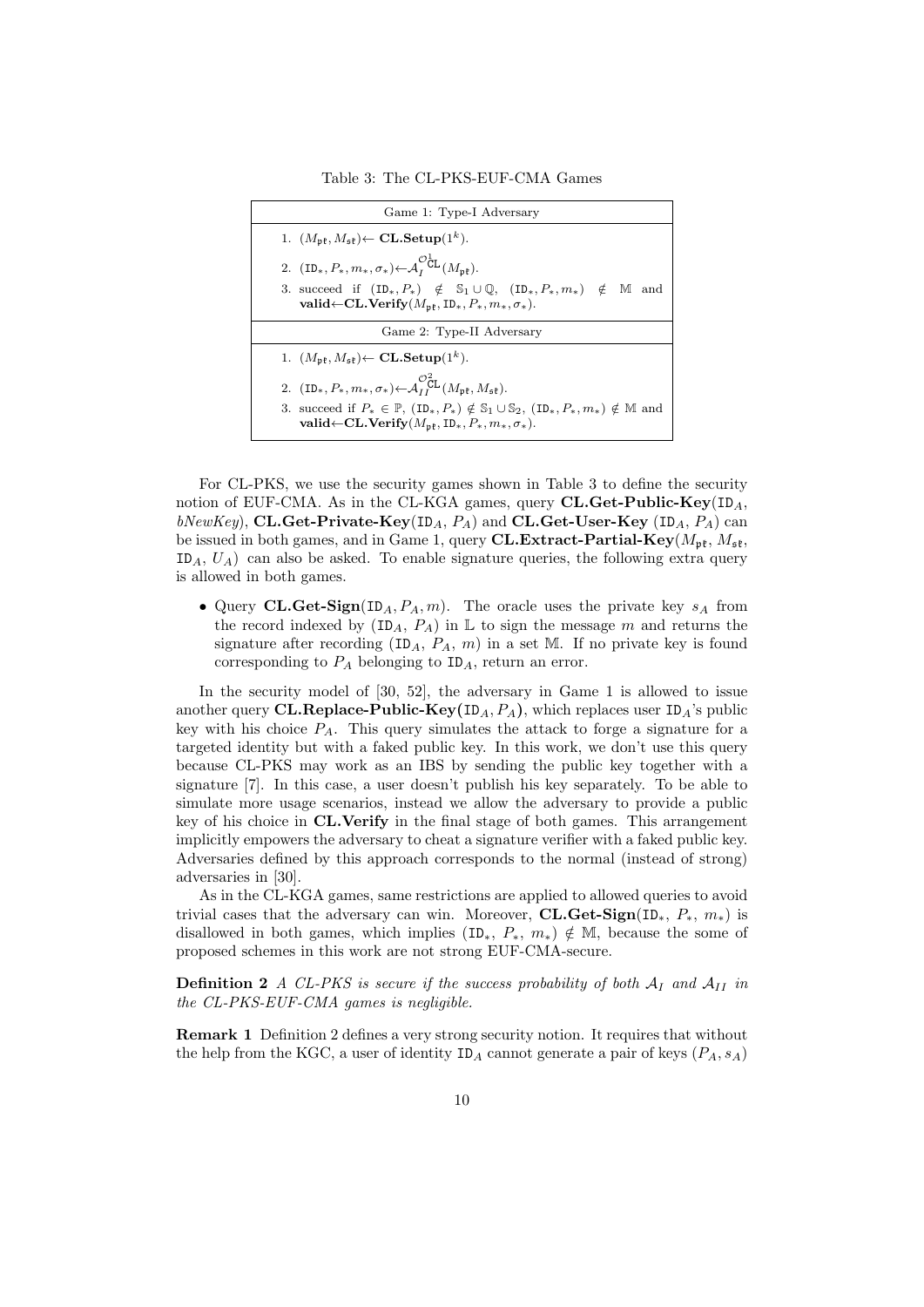Table 3: The CL-PKS-EUF-CMA Games

| Game 1: Type-I Adversary                                                                                                                                                                                                                                                                                |
|---------------------------------------------------------------------------------------------------------------------------------------------------------------------------------------------------------------------------------------------------------------------------------------------------------|
| 1. $(M_{\rm pf}, M_{\rm pf}) \leftarrow CL \cdot \textbf{Setup}(1^k)$ .                                                                                                                                                                                                                                 |
| 2. $(\text{ID}_*, P_*, m_*, \sigma_*) \leftarrow \mathcal{A}_I^{\mathcal{O}_{\mathbf{CL}}^{\mathbf{L}}}(M_{\mathbf{n}\mathbf{t}}).$<br>3. succeed if $(ID_*, P_*) \notin S_1 \cup \mathbb{Q}$ , $(ID_*, P_*, m_*) \notin \mathbb{M}$ and<br>valid ← CL. Verify $(M_{p\ell}, ID_*, P_*, m_*, \sigma_*).$ |
| Game 2: Type-II Adversary                                                                                                                                                                                                                                                                               |
| 1. $(M_{\mathfrak{pk}}, M_{\mathfrak{sk}}) \leftarrow \mathbf{CL}.\mathbf{Setup}(1^k).$                                                                                                                                                                                                                 |
| 2. $(ID_*, P_*, m_*, \sigma_*) \leftarrow \mathcal{A}_{IL}^{\mathcal{O}_{\mathbf{CL}}^2}(M_{\mathfrak{pk}}, M_{\mathfrak{sk}}).$                                                                                                                                                                        |
| 3. succeed if $P_* \in \mathbb{P}$ , $(ID_*, P_*) \notin \mathbb{S}_1 \cup \mathbb{S}_2$ , $(ID_*, P_*, m_*) \notin \mathbb{M}$ and<br>valid $\leftarrow$ CL.Verify $(M_{\rm pt}, ID_*, P_*, m_*, \sigma_*).$                                                                                           |

For CL-PKS, we use the security games shown in Table 3 to define the security notion of EUF-CMA. As in the CL-KGA games, query  $CL.Get-Public-Key(ID<sub>A</sub>,$  $bNewKey$ ), CL.Get-Private-Key(ID<sub>A</sub>,  $P_A$ ) and CL.Get-User-Key (ID<sub>A</sub>,  $P_A$ ) can be issued in both games, and in Game 1, query CL.Extract-Partial-Key( $M_{\rm pf}$ ,  $M_{\rm sf}$ ,  $ID_A, U_A$ ) can also be asked. To enable signature queries, the following extra query is allowed in both games.

• Query CL.Get-Sign(ID<sub>A</sub>,  $P_A$ , m). The oracle uses the private key  $s_A$  from the record indexed by  $(ID_A, P_A)$  in L to sign the message m and returns the signature after recording  $(ID_A, P_A, m)$  in a set M. If no private key is found corresponding to  $P_A$  belonging to  $ID_A$ , return an error.

In the security model of [30, 52], the adversary in Game 1 is allowed to issue another query CL.Replace-Public-Key(ID<sub>A</sub>,  $P_A$ ), which replaces user ID<sub>A</sub>'s public key with his choice  $P_A$ . This query simulates the attack to forge a signature for a targeted identity but with a faked public key. In this work, we don't use this query because CL-PKS may work as an IBS by sending the public key together with a signature [7]. In this case, a user doesn't publish his key separately. To be able to simulate more usage scenarios, instead we allow the adversary to provide a public key of his choice in CL.Verify in the final stage of both games. This arrangement implicitly empowers the adversary to cheat a signature verifier with a faked public key. Adversaries defined by this approach corresponds to the normal (instead of strong) adversaries in [30].

As in the CL-KGA games, same restrictions are applied to allowed queries to avoid trivial cases that the adversary can win. Moreover,  $CL.Get-Sign(ID_*, P_*, m_*)$  is disallowed in both games, which implies  $(\text{ID}_*, P_*, m_*) \notin \mathbb{M}$ , because the some of proposed schemes in this work are not strong EUF-CMA-secure.

**Definition 2** A CL-PKS is secure if the success probability of both  $A_I$  and  $A_{II}$  in the CL-PKS-EUF-CMA games is negligible.

Remark 1 Definition 2 defines a very strong security notion. It requires that without the help from the KGC, a user of identity  $ID_A$  cannot generate a pair of keys  $(P_A, s_A)$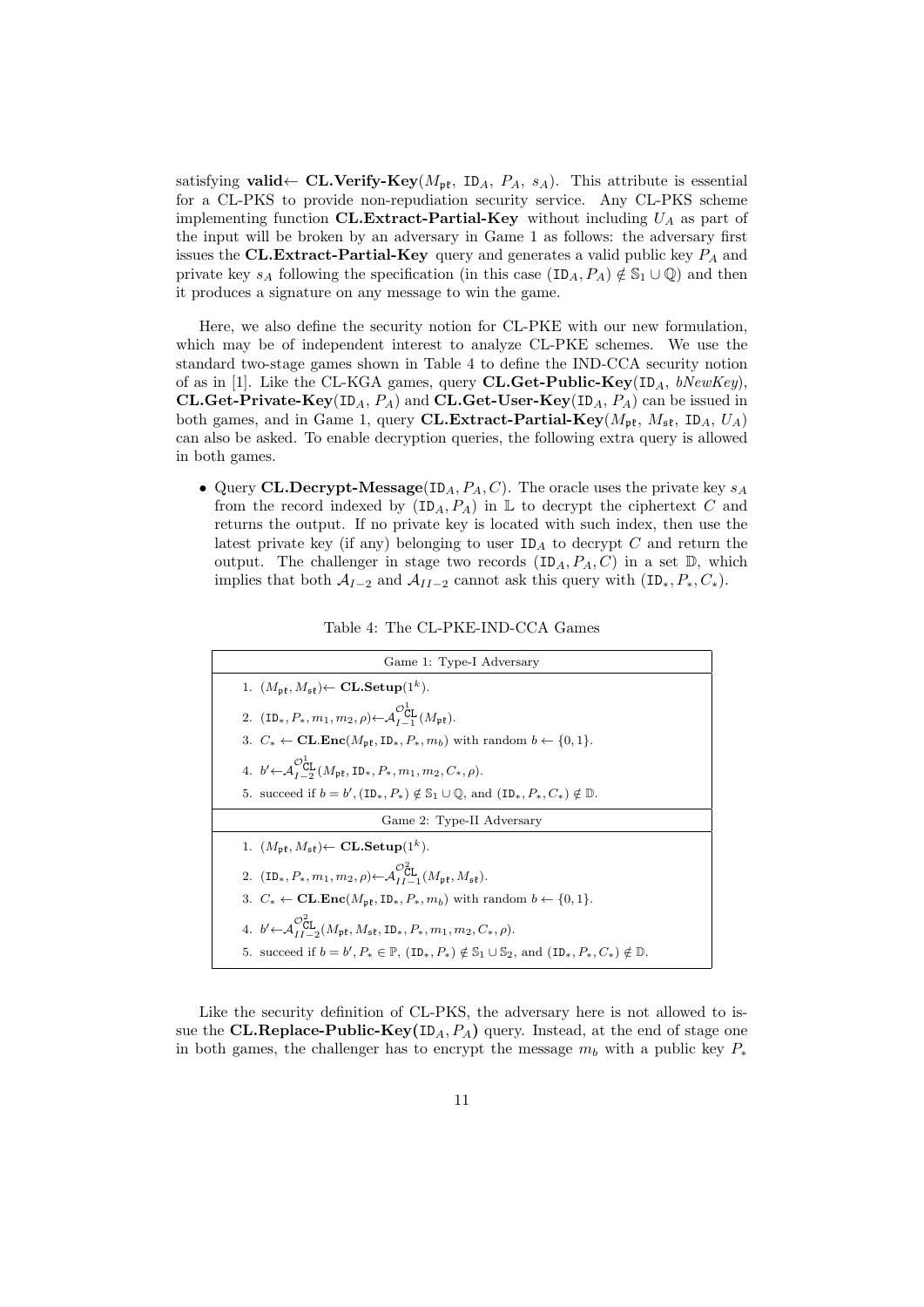satisfying valid ← CL.Verify-Key( $M_{\rm pf}$ , ID<sub>A</sub>,  $P_A$ ,  $s_A$ ). This attribute is essential for a CL-PKS to provide non-repudiation security service. Any CL-PKS scheme implementing function CL.Extract-Partial-Key without including  $U_A$  as part of the input will be broken by an adversary in Game 1 as follows: the adversary first issues the CL.Extract-Partial-Key query and generates a valid public key  $P_A$  and private key  $s_A$  following the specification (in this case  $(ID_A, P_A) \notin \mathbb{S}_1 \cup \mathbb{Q}$ ) and then it produces a signature on any message to win the game.

Here, we also define the security notion for CL-PKE with our new formulation, which may be of independent interest to analyze CL-PKE schemes. We use the standard two-stage games shown in Table 4 to define the IND-CCA security notion of as in [1]. Like the CL-KGA games, query CL.Get-Public-Key(ID<sub>A</sub>, bNewKey), CL.Get-Private-Key(ID<sub>A</sub>,  $P_A$ ) and CL.Get-User-Key(ID<sub>A</sub>,  $P_A$ ) can be issued in both games, and in Game 1, query **CL.Extract-Partial-Key**( $M_{\rm pt}$ ,  $M_{\rm st}$ ,  $ID_A$ ,  $U_A$ ) can also be asked. To enable decryption queries, the following extra query is allowed in both games.

• Query CL.Decrypt-Message(ID<sub>A</sub>,  $P_A$ , C). The oracle uses the private key  $s_A$ from the record indexed by  $(ID_A, P_A)$  in  $\mathbb L$  to decrypt the ciphertext C and returns the output. If no private key is located with such index, then use the latest private key (if any) belonging to user  $ID_A$  to decrypt C and return the output. The challenger in stage two records  $(ID<sub>A</sub>, P<sub>A</sub>, C)$  in a set  $D$ , which implies that both  $A_{I-2}$  and  $A_{II-2}$  cannot ask this query with  $(ID_*, P_*, C_*).$ 

| Table 4: The CL-PKE-IND-CCA Games |  |  |  |  |
|-----------------------------------|--|--|--|--|
|-----------------------------------|--|--|--|--|

| Game 1: Type-I Adversary                                                                                                                                                      |  |  |
|-------------------------------------------------------------------------------------------------------------------------------------------------------------------------------|--|--|
| 1. $(M_{\rm pf}, M_{\rm pf}) \leftarrow CL \cdot \textbf{Setup}(1^k)$ .                                                                                                       |  |  |
| 2. $(\text{ID}_*, P_*, m_1, m_2, \rho) \leftarrow \mathcal{A}_L^{\mathcal{O}_{\text{CL}}^{\text{L}}}(M_{\text{ref}}).$                                                        |  |  |
| 3. $C_* \leftarrow \textbf{CL}.\textbf{Enc}(M_{\text{pf}},\text{ID}_*,P_*,m_b)$ with random $b \leftarrow \{0,1\}.$                                                           |  |  |
| 4. $b' \leftarrow \mathcal{A}_{\mathsf{r}}^{\mathcal{O}} \overset{\mathsf{t}}{\mathsf{C}}_{\mathsf{g}} (M_{\mathsf{p} \mathsf{t}}, \mathsf{ID}_*, P_*, m_1, m_2, C_*, \rho).$ |  |  |
| 5. succeed if $b = b'$ , $(\text{ID}_*, P_*) \notin \mathbb{S}_1 \cup \mathbb{Q}$ , and $(\text{ID}_*, P_*, C_*) \notin \mathbb{D}$ .                                         |  |  |
| Game 2: Type-II Adversary                                                                                                                                                     |  |  |
| 1. $(M_{\mathfrak{pk}}, M_{\mathfrak{sk}}) \leftarrow \textbf{CL}\mathbf{Setup}(1^k).$                                                                                        |  |  |
| 2. $(ID_*, P_*, m_1, m_2, \rho) \leftarrow \mathcal{A}_{LL}^{\mathcal{O}_{\text{CL}}^2}(M_{\text{nf}}, M_{\text{cf}}).$                                                       |  |  |
| 3. $C_* \leftarrow \textbf{CL}.\textbf{Enc}(M_{\text{pf}}, \textbf{ID}_*, P_*, m_b)$ with random $b \leftarrow \{0, 1\}.$                                                     |  |  |
| 4. $b' \leftarrow \mathcal{A}_{\tau}^{\mathcal{O}_{\text{CL}}^2}(M_{\mathfrak{pk}}, M_{\mathfrak{sk}}, \text{ID}_*, P_*, m_1, m_2, C_*, \rho).$                               |  |  |
| 5. succeed if $b = b', P_* \in \mathbb{P}$ , $(\text{ID}_*, P_*) \notin \mathbb{S}_1 \cup \mathbb{S}_2$ , and $(\text{ID}_*, P_*, C_*) \notin \mathbb{D}$ .                   |  |  |

Like the security definition of CL-PKS, the adversary here is not allowed to issue the **CL.Replace-Public-Key**( $ID_A, P_A$ ) query. Instead, at the end of stage one in both games, the challenger has to encrypt the message  $m_b$  with a public key  $P_*$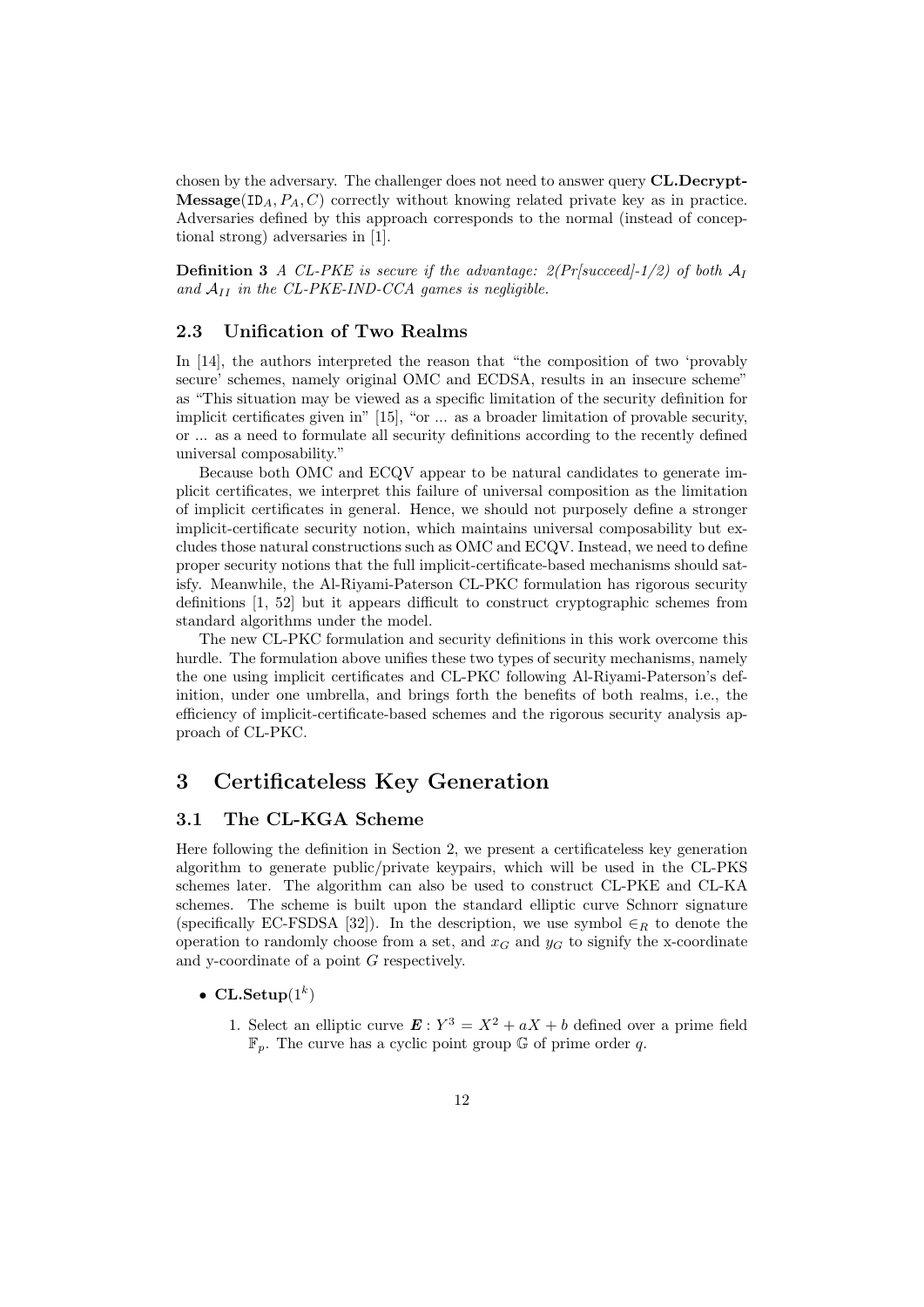chosen by the adversary. The challenger does not need to answer query CL.Decrypt-**Message**(ID<sub>A</sub>,  $P_A$ , C) correctly without knowing related private key as in practice. Adversaries defined by this approach corresponds to the normal (instead of conceptional strong) adversaries in [1].

**Definition 3** A CL-PKE is secure if the advantage:  $2(Pr[succeed]-1/2)$  of both  $\mathcal{A}_I$ and  $A_{II}$  in the CL-PKE-IND-CCA games is negligible.

### 2.3 Unification of Two Realms

In [14], the authors interpreted the reason that "the composition of two 'provably secure' schemes, namely original OMC and ECDSA, results in an insecure scheme" as "This situation may be viewed as a specific limitation of the security definition for implicit certificates given in" [15], "or ... as a broader limitation of provable security, or ... as a need to formulate all security definitions according to the recently defined universal composability."

Because both OMC and ECQV appear to be natural candidates to generate implicit certificates, we interpret this failure of universal composition as the limitation of implicit certificates in general. Hence, we should not purposely define a stronger implicit-certificate security notion, which maintains universal composability but excludes those natural constructions such as OMC and ECQV. Instead, we need to define proper security notions that the full implicit-certificate-based mechanisms should satisfy. Meanwhile, the Al-Riyami-Paterson CL-PKC formulation has rigorous security definitions [1, 52] but it appears difficult to construct cryptographic schemes from standard algorithms under the model.

The new CL-PKC formulation and security definitions in this work overcome this hurdle. The formulation above unifies these two types of security mechanisms, namely the one using implicit certificates and CL-PKC following Al-Riyami-Paterson's definition, under one umbrella, and brings forth the benefits of both realms, i.e., the efficiency of implicit-certificate-based schemes and the rigorous security analysis approach of CL-PKC.

# 3 Certificateless Key Generation

#### 3.1 The CL-KGA Scheme

Here following the definition in Section 2, we present a certificateless key generation algorithm to generate public/private keypairs, which will be used in the CL-PKS schemes later. The algorithm can also be used to construct CL-PKE and CL-KA schemes. The scheme is built upon the standard elliptic curve Schnorr signature (specifically EC-FSDSA [32]). In the description, we use symbol  $\in_R$  to denote the operation to randomly choose from a set, and  $x_G$  and  $y_G$  to signify the x-coordinate and y-coordinate of a point G respectively.

#### • CL.Setup $(1^k)$

1. Select an elliptic curve  $\mathbf{E}: Y^3 = X^2 + aX + b$  defined over a prime field  $\mathbb{F}_p$ . The curve has a cyclic point group G of prime order q.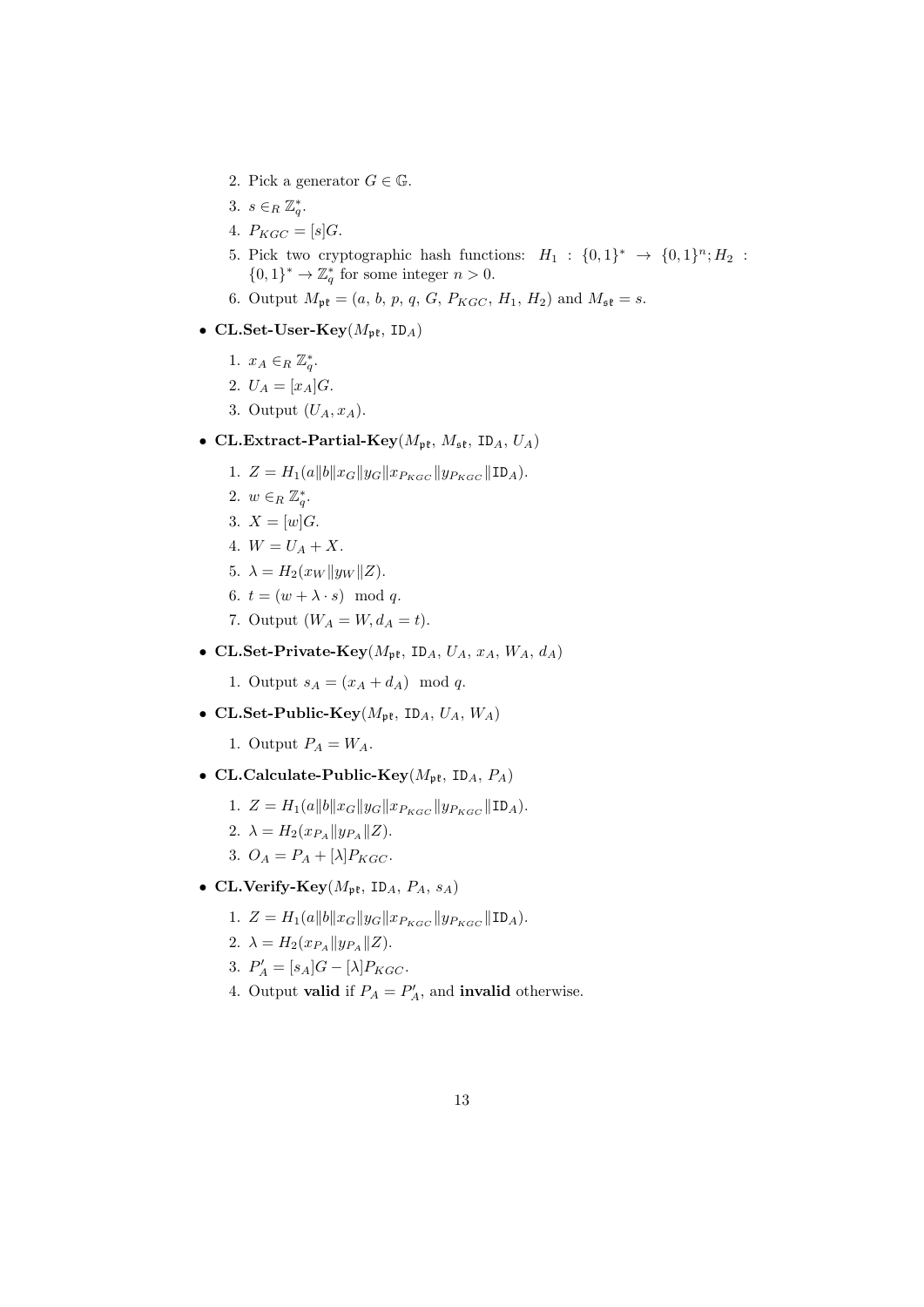- 2. Pick a generator  $G \in \mathbb{G}$ .
- 3.  $s \in_R \mathbb{Z}_q^*$ .
- 4.  $P_{KGC} = [s]G$ .
- 5. Pick two cryptographic hash functions:  $H_1: \{0,1\}^* \rightarrow \{0,1\}^n; H_2$ :  $\{0,1\}^* \to \mathbb{Z}_q^*$  for some integer  $n > 0$ .
- 6. Output  $M_{\rm pt} = (a, b, p, q, G, P_{KGC}, H_1, H_2)$  and  $M_{\rm st} = s$ .
- CL.Set-User-Key $(M_{\mathfrak{pk}}, \text{ID}_A)$ 
	- 1.  $x_A \in_R \mathbb{Z}_q^*$ .
	- 2.  $U_A = [x_A]G$ .
	- 3. Output  $(U_A, x_A)$ .
- CL.Extract-Partial-Key( $M_{\rm pf}$ ,  $M_{\rm sf}$ , ID<sub>A</sub>,  $U_A$ )
	- 1.  $Z = H_1(a||b||x_G||y_G||x_{P_{KGC}}||y_{P_{KGC}}||\text{ID}_A).$
	- 2.  $w \in_R \mathbb{Z}_q^*$ .
	- 3.  $X = [w]G$ .
	- 4.  $W = U_A + X$ .
	- 5.  $\lambda = H_2(x_W || y_W || Z).$
	- 6.  $t = (w + \lambda \cdot s) \mod q$ .
	- 7. Output  $(W_A = W, d_A = t)$ .
- CL.Set-Private-Key $(M_{\mathfrak{pk}}, \text{ID}_A, U_A, x_A, W_A, d_A)$

1. Output  $s_A = (x_A + d_A) \mod q$ .

• CL.Set-Public-Key( $M_{\rm pt}$ , ID<sub>A</sub>,  $U_A$ ,  $W_A$ )

1. Output  $P_A = W_A$ .

- CL.Calculate-Public-Key( $M_{\text{pft}}$ , ID<sub>A</sub>,  $P_A$ )
	- 1.  $Z = H_1(a||b||x_G||y_G||x_{P_{KGC}}||y_{P_{KGC}}||\text{ID}_A).$
	- 2.  $\lambda = H_2(x_{P_A} || y_{P_A} || Z).$
	- 3.  $O_A = P_A + [\lambda]P_{KGC}.$
- CL.Verify-Key $(M_{\rm pt}, \text{ ID}_A, P_A, s_A)$ 
	- 1.  $Z = H_1(a||b||x_G||y_G||x_{P_{KGC}}||y_{P_{KGC}}||\text{ID}_A).$
	- 2.  $\lambda = H_2(x_{P_A} || y_{P_A} || Z).$
	- 3.  $P'_A = [s_A]G [\lambda]P_{KGC}.$
	- 4. Output **valid** if  $P_A = P'_A$ , and **invalid** otherwise.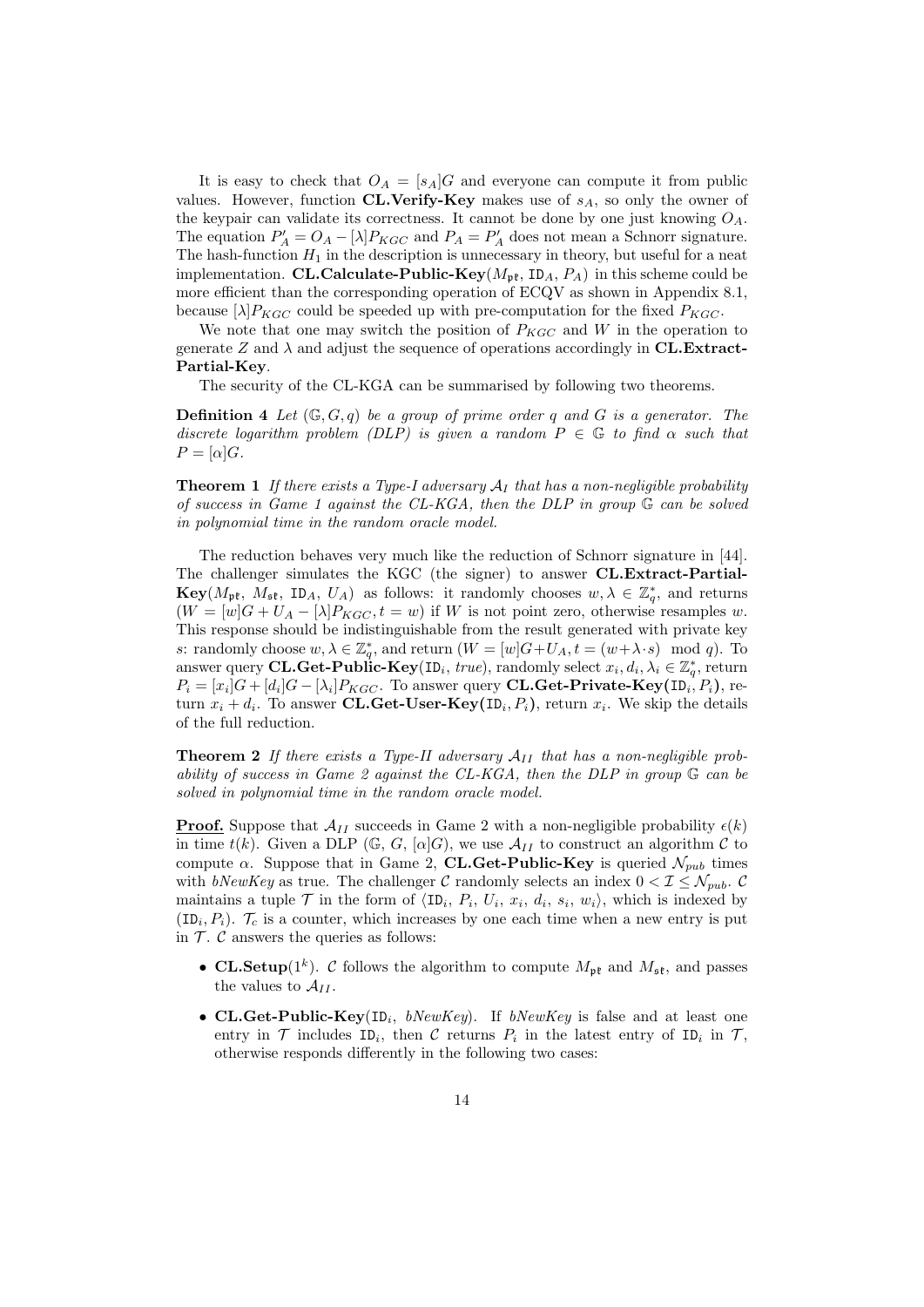It is easy to check that  $O_A = [s_A]G$  and everyone can compute it from public values. However, function CL.Verify-Key makes use of  $s_A$ , so only the owner of the keypair can validate its correctness. It cannot be done by one just knowing  $O_A$ . The equation  $P'_A = O_A - [\lambda] P_{KGC}$  and  $P_A = P'_A$  does not mean a Schnorr signature. The hash-function  $H_1$  in the description is unnecessary in theory, but useful for a neat implementation. CL.Calculate-Public-Key( $M_{\mathfrak{pk}}$ , ID<sub>A</sub>,  $P_A$ ) in this scheme could be more efficient than the corresponding operation of ECQV as shown in Appendix 8.1, because  $[\lambda]P_{KGC}$  could be speeded up with pre-computation for the fixed  $P_{KGC}$ .

We note that one may switch the position of  $P_{KGC}$  and W in the operation to generate Z and  $\lambda$  and adjust the sequence of operations accordingly in CL.Extract-Partial-Key.

The security of the CL-KGA can be summarised by following two theorems.

**Definition 4** Let  $(\mathbb{G}, G, q)$  be a group of prime order q and G is a generator. The discrete logarithm problem (DLP) is given a random  $P \in \mathbb{G}$  to find  $\alpha$  such that  $P = [\alpha]G.$ 

**Theorem 1** If there exists a Type-I adversary  $A_I$  that has a non-negligible probability of success in Game 1 against the CL-KGA, then the DLP in group  $\mathbb G$  can be solved in polynomial time in the random oracle model.

The reduction behaves very much like the reduction of Schnorr signature in [44]. The challenger simulates the KGC (the signer) to answer CL.Extract-Partial- $\mathbf{Key}(M_{\mathfrak{pk}}, M_{\mathfrak{sk}}, ID_A, U_A)$  as follows: it randomly chooses  $w, \lambda \in \mathbb{Z}_q^*$ , and returns  $(W = [w]G + U_A - [\lambda]P_{KGC}, t = w)$  if W is not point zero, otherwise resamples w. This response should be indistinguishable from the result generated with private key s: randomly choose  $w, \lambda \in \mathbb{Z}_q^*$ , and return  $(W = [w]G + U_A, t = (w + \lambda \cdot s) \mod q)$ . To answer query **CL.Get-Public-Key**(ID<sub>i</sub>, true), randomly select  $x_i, d_i, \lambda_i \in \mathbb{Z}_q^*$ , return  $P_i = [x_i]G + [d_i]G - [\lambda_i]P_{KGC}$ . To answer query **CL.Get-Private-Key**(ID<sub>i</sub>,  $P_i$ ), return  $x_i + d_i$ . To answer **CL.Get-User-Key**(ID<sub>i</sub>,  $P_i$ ), return  $x_i$ . We skip the details of the full reduction.

**Theorem 2** If there exists a Type-II adversary  $A_{II}$  that has a non-negligible probability of success in Game 2 against the CL-KGA, then the DLP in group  $\mathbb G$  can be solved in polynomial time in the random oracle model.

**Proof.** Suppose that  $\mathcal{A}_{II}$  succeeds in Game 2 with a non-negligible probability  $\epsilon(k)$ in time  $t(k)$ . Given a DLP (G, G,  $[\alpha]G$ ), we use  $\mathcal{A}_{II}$  to construct an algorithm C to compute  $\alpha$ . Suppose that in Game 2, **CL.Get-Public-Key** is queried  $\mathcal{N}_{pub}$  times with bNewKey as true. The challenger C randomly selects an index  $0 < I \leq \mathcal{N}_{pub}$ . C maintains a tuple  $\mathcal T$  in the form of  $\langle \text{ID}_i, P_i, U_i, x_i, d_i, s_i, w_i \rangle$ , which is indexed by  $(ID_i, P_i)$ .  $\mathcal{T}_c$  is a counter, which increases by one each time when a new entry is put in  $\mathcal T$ .  $\mathcal C$  answers the queries as follows:

- CL.Setup( $1^k$ ). C follows the algorithm to compute  $M_{\mathfrak{pk}}$  and  $M_{\mathfrak{sk}}$ , and passes the values to  $A_{II}$ .
- CL.Get-Public-Key(ID<sub>i</sub>, bNewKey). If bNewKey is false and at least one entry in  $\mathcal T$  includes  $ID_i$ , then  $\mathcal C$  returns  $P_i$  in the latest entry of  $ID_i$  in  $\mathcal T$ , otherwise responds differently in the following two cases: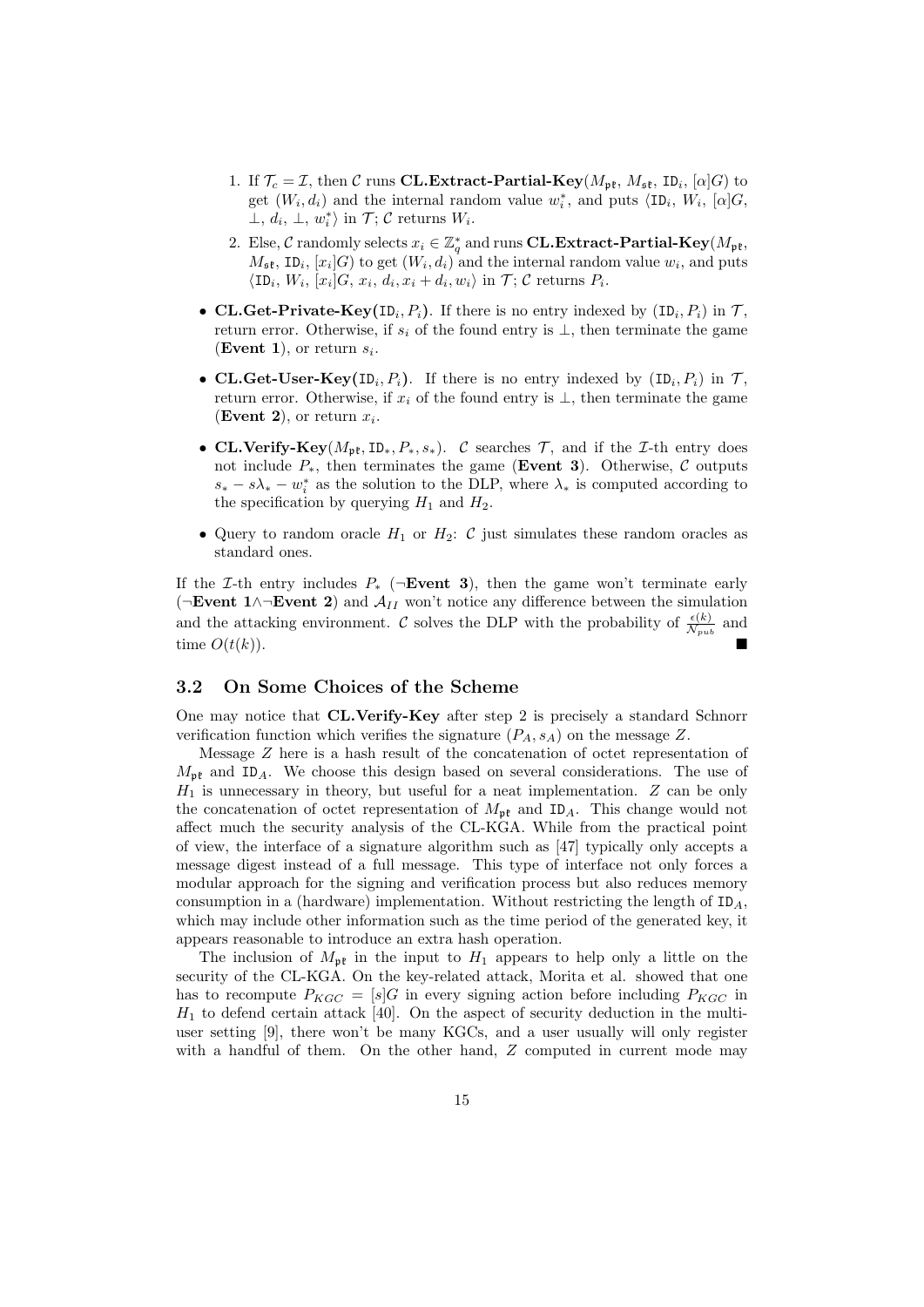- 1. If  $\mathcal{T}_c = \mathcal{I}$ , then C runs **CL.Extract-Partial-Key**( $M_{\rm pt}$ ,  $M_{\rm st}$ , ID<sub>i</sub>, [ $\alpha$ ]G) to get  $(W_i, d_i)$  and the internal random value  $w_i^*$ , and puts  $\langle ID_i, W_i, [\alpha]G, \rangle$  $\perp, d_i, \perp, w_i^* \rangle$  in  $\mathcal{T}; \mathcal{C}$  returns  $W_i$ .
- 2. Else, C randomly selects  $x_i \in \mathbb{Z}_q^*$  and runs **CL.Extract-Partial-Key**( $M_{\mathfrak{pk}}$ ,  $M_{\mathfrak{sk}}$ , ID<sub>i</sub>,  $[x_i]$ G) to get  $(W_i, d_i)$  and the internal random value  $w_i$ , and puts  $\langle \text{ID}_i, W_i, [x_i]G, x_i, d_i, x_i + d_i, w_i \rangle$  in  $\mathcal{T}; \mathcal{C}$  returns  $P_i$ .
- CL.Get-Private-Key(ID<sub>i</sub>,  $P_i$ ). If there is no entry indexed by  $(ID_i, P_i)$  in  $\mathcal{T}$ , return error. Otherwise, if  $s_i$  of the found entry is  $\perp$ , then terminate the game (Event 1), or return  $s_i$ .
- CL.Get-User-Key(ID<sub>i</sub>,  $P_i$ ). If there is no entry indexed by  $(ID_i, P_i)$  in  $\mathcal{T}$ , return error. Otherwise, if  $x_i$  of the found entry is  $\perp$ , then terminate the game (Event 2), or return  $x_i$ .
- CL.Verify-Key( $M_{\rm pt}$ , ID<sub>\*</sub>,  $P_*, s_*$ ). C searches  $\mathcal{T}$ , and if the *I*-th entry does not include  $P_*$ , then terminates the game (Event 3). Otherwise,  $\mathcal C$  outputs  $s_* - s\lambda_* - w_i^*$  as the solution to the DLP, where  $\lambda_*$  is computed according to the specification by querying  $H_1$  and  $H_2$ .
- Query to random oracle  $H_1$  or  $H_2$ :  $\mathcal C$  just simulates these random oracles as standard ones.

If the *I*-th entry includes  $P_*$  ( $\neg$ **Event 3**), then the game won't terminate early ( $\neg$ **Event 1**∧ $\neg$ **Event 2**) and  $\mathcal{A}_{II}$  won't notice any difference between the simulation and the attacking environment. C solves the DLP with the probability of  $\frac{\epsilon(k)}{\mathcal{N}_{pub}}$  and time  $O(t(k)).$ 

#### 3.2 On Some Choices of the Scheme

One may notice that CL.Verify-Key after step 2 is precisely a standard Schnorr verification function which verifies the signature  $(P_A, s_A)$  on the message Z.

Message Z here is a hash result of the concatenation of octet representation of  $M_{\rm pt}$  and ID<sub>A</sub>. We choose this design based on several considerations. The use of  $H_1$  is unnecessary in theory, but useful for a neat implementation.  $Z$  can be only the concatenation of octet representation of  $M_{\rm pf}$  and ID<sub>A</sub>. This change would not affect much the security analysis of the CL-KGA. While from the practical point of view, the interface of a signature algorithm such as [47] typically only accepts a message digest instead of a full message. This type of interface not only forces a modular approach for the signing and verification process but also reduces memory consumption in a (hardware) implementation. Without restricting the length of  $ID_A$ , which may include other information such as the time period of the generated key, it appears reasonable to introduce an extra hash operation.

The inclusion of  $M_{\mathfrak{p}^*}$  in the input to  $H_1$  appears to help only a little on the security of the CL-KGA. On the key-related attack, Morita et al. showed that one has to recompute  $P_{KGC} = [s]G$  in every signing action before including  $P_{KGC}$  in  $H_1$  to defend certain attack [40]. On the aspect of security deduction in the multiuser setting [9], there won't be many KGCs, and a user usually will only register with a handful of them. On the other hand,  $Z$  computed in current mode may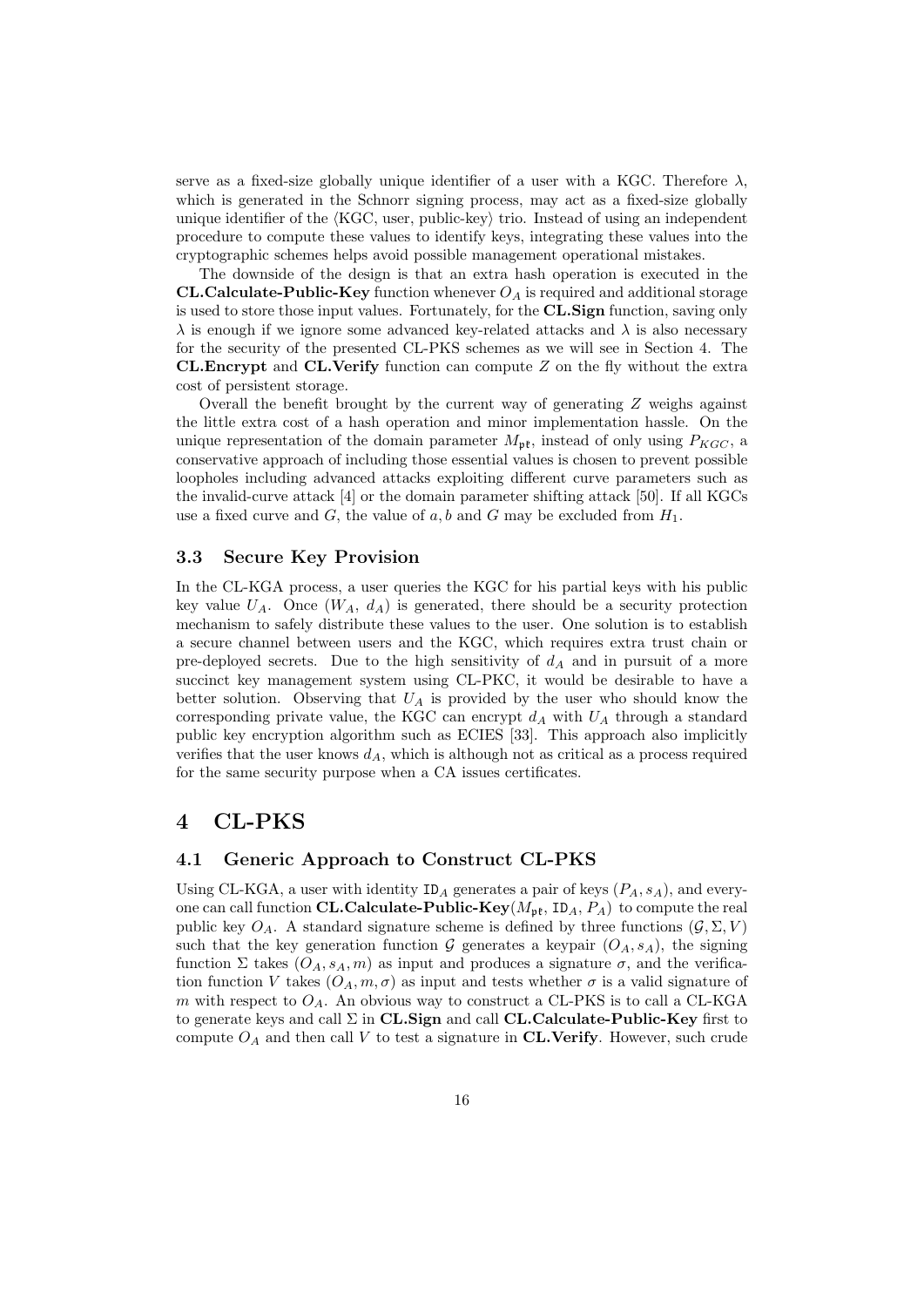serve as a fixed-size globally unique identifier of a user with a KGC. Therefore  $\lambda$ , which is generated in the Schnorr signing process, may act as a fixed-size globally unique identifier of the  $\langle KGC,$  user, public-key $\rangle$  trio. Instead of using an independent procedure to compute these values to identify keys, integrating these values into the cryptographic schemes helps avoid possible management operational mistakes.

The downside of the design is that an extra hash operation is executed in the **CL.Calculate-Public-Key** function whenever  $O_A$  is required and additional storage is used to store those input values. Fortunately, for the CL.Sign function, saving only  $\lambda$  is enough if we ignore some advanced key-related attacks and  $\lambda$  is also necessary for the security of the presented CL-PKS schemes as we will see in Section 4. The **CL.Encrypt** and **CL.Verify** function can compute  $Z$  on the fly without the extra cost of persistent storage.

Overall the benefit brought by the current way of generating  $Z$  weighs against the little extra cost of a hash operation and minor implementation hassle. On the unique representation of the domain parameter  $M_{\rm pf}$ , instead of only using  $P_{KGC}$ , a conservative approach of including those essential values is chosen to prevent possible loopholes including advanced attacks exploiting different curve parameters such as the invalid-curve attack [4] or the domain parameter shifting attack [50]. If all KGCs use a fixed curve and G, the value of a, b and G may be excluded from  $H_1$ .

#### 3.3 Secure Key Provision

In the CL-KGA process, a user queries the KGC for his partial keys with his public key value  $U_A$ . Once  $(W_A, d_A)$  is generated, there should be a security protection mechanism to safely distribute these values to the user. One solution is to establish a secure channel between users and the KGC, which requires extra trust chain or pre-deployed secrets. Due to the high sensitivity of  $d_A$  and in pursuit of a more succinct key management system using CL-PKC, it would be desirable to have a better solution. Observing that  $U_A$  is provided by the user who should know the corresponding private value, the KGC can encrypt  $d_A$  with  $U_A$  through a standard public key encryption algorithm such as ECIES [33]. This approach also implicitly verifies that the user knows  $d_A$ , which is although not as critical as a process required for the same security purpose when a CA issues certificates.

# 4 CL-PKS

#### 4.1 Generic Approach to Construct CL-PKS

Using CL-KGA, a user with identity  $ID_A$  generates a pair of keys  $(P_A, s_A)$ , and everyone can call function CL.Calculate-Public-Key( $M_{\rm pt}$ , ID<sub>A</sub>,  $P_A$ ) to compute the real public key  $O_A$ . A standard signature scheme is defined by three functions  $(G, \Sigma, V)$ such that the key generation function G generates a keypair  $(O_A, s_A)$ , the signing function Σ takes  $(O_A, s_A, m)$  as input and produces a signature  $\sigma$ , and the verification function V takes  $(O_A, m, \sigma)$  as input and tests whether  $\sigma$  is a valid signature of m with respect to  $O_A$ . An obvious way to construct a CL-PKS is to call a CL-KGA to generate keys and call  $\Sigma$  in CL.Sign and call CL.Calculate-Public-Key first to compute  $O<sub>A</sub>$  and then call V to test a signature in CL.Verify. However, such crude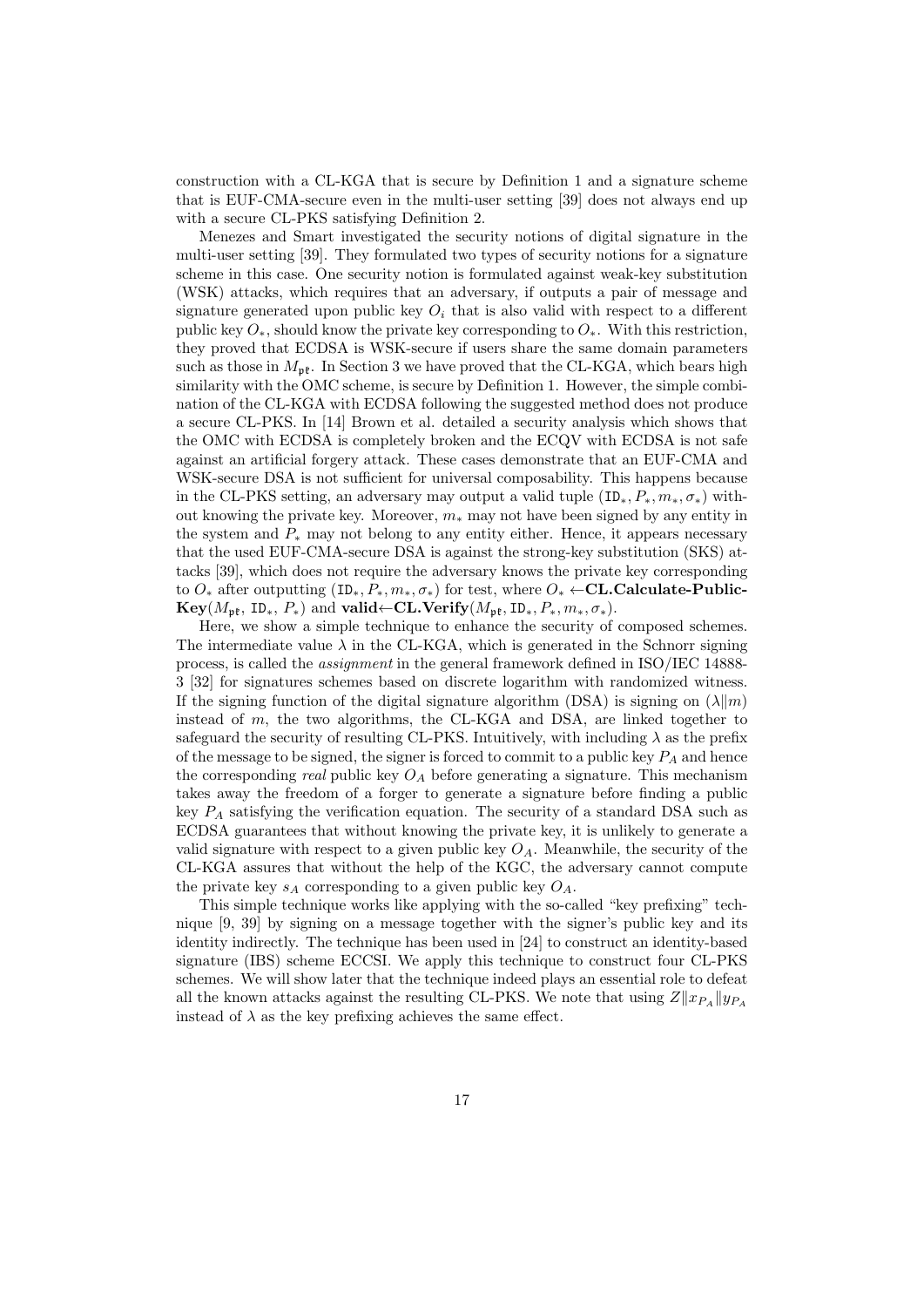construction with a CL-KGA that is secure by Definition 1 and a signature scheme that is EUF-CMA-secure even in the multi-user setting [39] does not always end up with a secure CL-PKS satisfying Definition 2.

Menezes and Smart investigated the security notions of digital signature in the multi-user setting [39]. They formulated two types of security notions for a signature scheme in this case. One security notion is formulated against weak-key substitution (WSK) attacks, which requires that an adversary, if outputs a pair of message and signature generated upon public key  $O_i$  that is also valid with respect to a different public key  $O_*,$  should know the private key corresponding to  $O_*$ . With this restriction, they proved that ECDSA is WSK-secure if users share the same domain parameters such as those in  $M_{\rm pf}$ . In Section 3 we have proved that the CL-KGA, which bears high similarity with the OMC scheme, is secure by Definition 1. However, the simple combination of the CL-KGA with ECDSA following the suggested method does not produce a secure CL-PKS. In [14] Brown et al. detailed a security analysis which shows that the OMC with ECDSA is completely broken and the ECQV with ECDSA is not safe against an artificial forgery attack. These cases demonstrate that an EUF-CMA and WSK-secure DSA is not sufficient for universal composability. This happens because in the CL-PKS setting, an adversary may output a valid tuple  $(\text{ID}_*, P_*, m_*, \sigma_*)$  without knowing the private key. Moreover,  $m_*$  may not have been signed by any entity in the system and  $P_*$  may not belong to any entity either. Hence, it appears necessary that the used EUF-CMA-secure DSA is against the strong-key substitution (SKS) attacks [39], which does not require the adversary knows the private key corresponding to  $O_*$  after outputting  $(ID_*, P_*, m_*, \sigma_*)$  for test, where  $O_* \leftarrow \textbf{CL.Calculate-Public-}$  $Key(M_{n_k}, ID_*, P_*)$  and valid←CL.Verify( $M_{n_k}, ID_*, P_*, m_*, \sigma_*$ ).

Here, we show a simple technique to enhance the security of composed schemes. The intermediate value  $\lambda$  in the CL-KGA, which is generated in the Schnorr signing process, is called the assignment in the general framework defined in ISO/IEC 14888- 3 [32] for signatures schemes based on discrete logarithm with randomized witness. If the signing function of the digital signature algorithm (DSA) is signing on  $(\lambda \| m)$ instead of m, the two algorithms, the CL-KGA and DSA, are linked together to safeguard the security of resulting CL-PKS. Intuitively, with including  $\lambda$  as the prefix of the message to be signed, the signer is forced to commit to a public key  $P_A$  and hence the corresponding *real* public key  $O_A$  before generating a signature. This mechanism takes away the freedom of a forger to generate a signature before finding a public key  $P_A$  satisfying the verification equation. The security of a standard DSA such as ECDSA guarantees that without knowing the private key, it is unlikely to generate a valid signature with respect to a given public key  $O<sub>A</sub>$ . Meanwhile, the security of the CL-KGA assures that without the help of the KGC, the adversary cannot compute the private key  $s_A$  corresponding to a given public key  $O_A$ .

This simple technique works like applying with the so-called "key prefixing" technique [9, 39] by signing on a message together with the signer's public key and its identity indirectly. The technique has been used in [24] to construct an identity-based signature (IBS) scheme ECCSI. We apply this technique to construct four CL-PKS schemes. We will show later that the technique indeed plays an essential role to defeat all the known attacks against the resulting CL-PKS. We note that using  $Z||x_{P_A}||y_{P_A}$ instead of  $\lambda$  as the key prefixing achieves the same effect.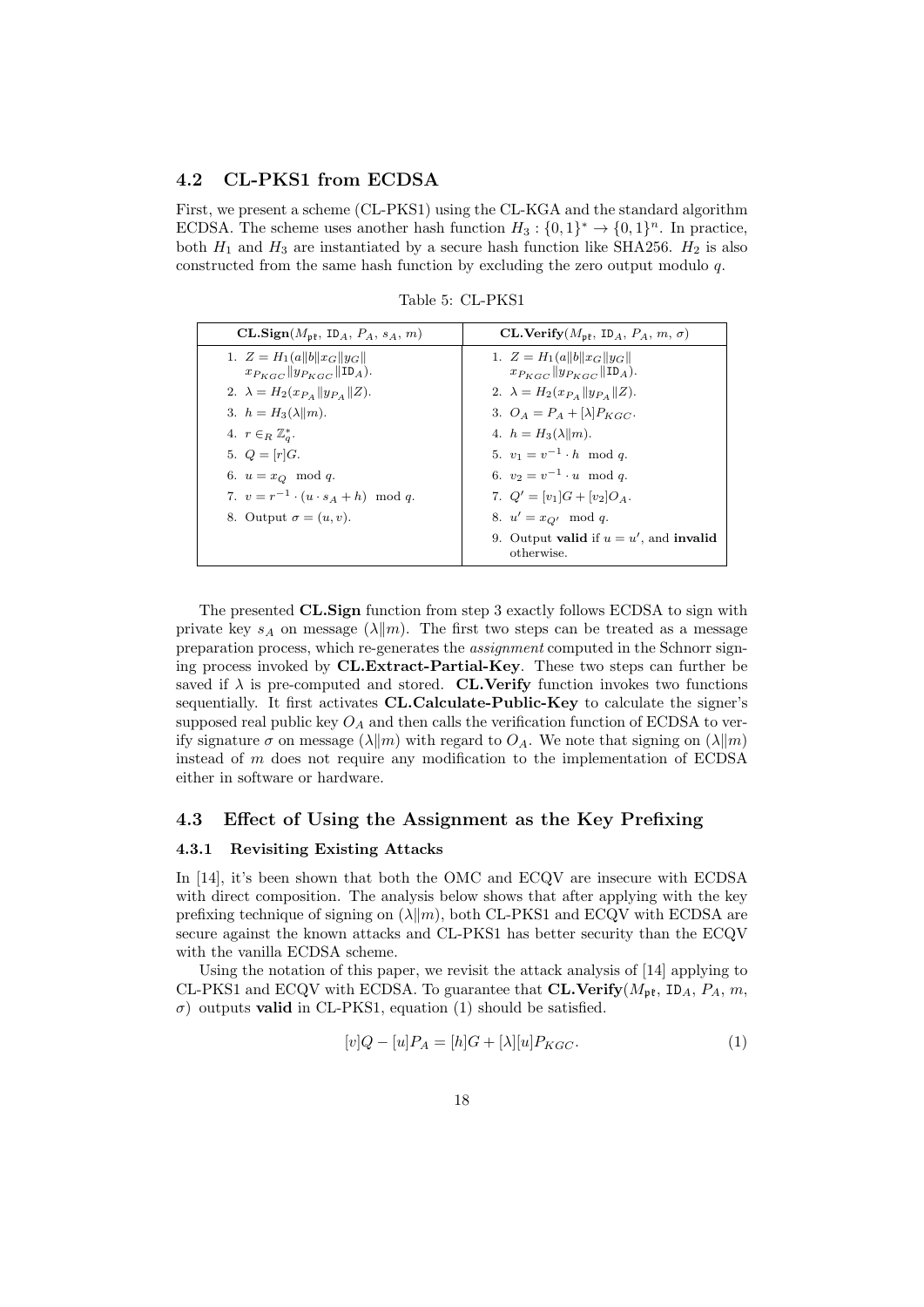#### 4.2 CL-PKS1 from ECDSA

First, we present a scheme (CL-PKS1) using the CL-KGA and the standard algorithm ECDSA. The scheme uses another hash function  $H_3: \{0,1\}^* \to \{0,1\}^n$ . In practice, both  $H_1$  and  $H_3$  are instantiated by a secure hash function like SHA256.  $H_2$  is also constructed from the same hash function by excluding the zero output modulo q.

| $CL.Sign(M_{pf}, ID_A, P_A, s_A, m)$               | CL.Verify $(M_{\rm pf}, \text{ ID}_A, P_A, m, \sigma)$  |
|----------------------------------------------------|---------------------------------------------------------|
| 1. $Z = H_1(a  b  x_G  y_G  $                      | 1. $Z = H_1(a  b  x_G  y_G  $                           |
| $x_{P_{KCC}} \  y_{P_{KCC}} \ $ ID <sub>A</sub> ). | $x_{P_{KCC}} \  y_{P_{KCC}} \ $ ID <sub>A</sub> ).      |
| 2. $\lambda = H_2(x_{P_A}    y_{P_A}    Z).$       | 2. $\lambda = H_2(x_{P_A}  y_{P_A}  Z)$ .               |
| 3. $h = H_3(\lambda    m)$ .                       | 3. $O_A = P_A + [\lambda]P_{KGC}$ .                     |
| 4. $r \in_R \mathbb{Z}_q^*$ .                      | 4. $h = H_3(\lambda    m)$ .                            |
| 5. $Q = [r]G$ .                                    | 5. $v_1 = v^{-1} \cdot h \mod q$ .                      |
| 6. $u = x_O \mod q$ .                              | 6. $v_2 = v^{-1} \cdot u \mod a$ .                      |
| 7. $v = r^{-1} \cdot (u \cdot s_A + h) \mod q$ .   | 7. $Q' = [v_1]G + [v_2]O_A$ .                           |
| 8. Output $\sigma = (u, v)$ .                      | 8. $u' = x_{Q'} \mod q$ .                               |
|                                                    | 9. Output valid if $u = u'$ , and invalid<br>otherwise. |

Table 5: CL-PKS1

The presented CL.Sign function from step 3 exactly follows ECDSA to sign with private key  $s_A$  on message  $(\lambda \| m)$ . The first two steps can be treated as a message preparation process, which re-generates the assignment computed in the Schnorr signing process invoked by CL.Extract-Partial-Key. These two steps can further be saved if  $\lambda$  is pre-computed and stored. CL.Verify function invokes two functions sequentially. It first activates CL.Calculate-Public-Key to calculate the signer's supposed real public key  $O_A$  and then calls the verification function of ECDSA to verify signature  $\sigma$  on message  $(\lambda \| m)$  with regard to  $O_A$ . We note that signing on  $(\lambda \| m)$ instead of m does not require any modification to the implementation of ECDSA either in software or hardware.

#### 4.3 Effect of Using the Assignment as the Key Prefixing

#### 4.3.1 Revisiting Existing Attacks

In [14], it's been shown that both the OMC and ECQV are insecure with ECDSA with direct composition. The analysis below shows that after applying with the key prefixing technique of signing on  $(\lambda||m)$ , both CL-PKS1 and ECQV with ECDSA are secure against the known attacks and CL-PKS1 has better security than the ECQV with the vanilla ECDSA scheme.

Using the notation of this paper, we revisit the attack analysis of [14] applying to CL-PKS1 and ECQV with ECDSA. To guarantee that **CL.Verify**( $M_{\rm pt}$ , ID<sub>A</sub>,  $P_A$ , m,  $\sigma$ ) outputs **valid** in CL-PKS1, equation (1) should be satisfied.

$$
[v]Q - [u]P_A = [h]G + [\lambda][u]P_{KGC}.
$$
\n(1)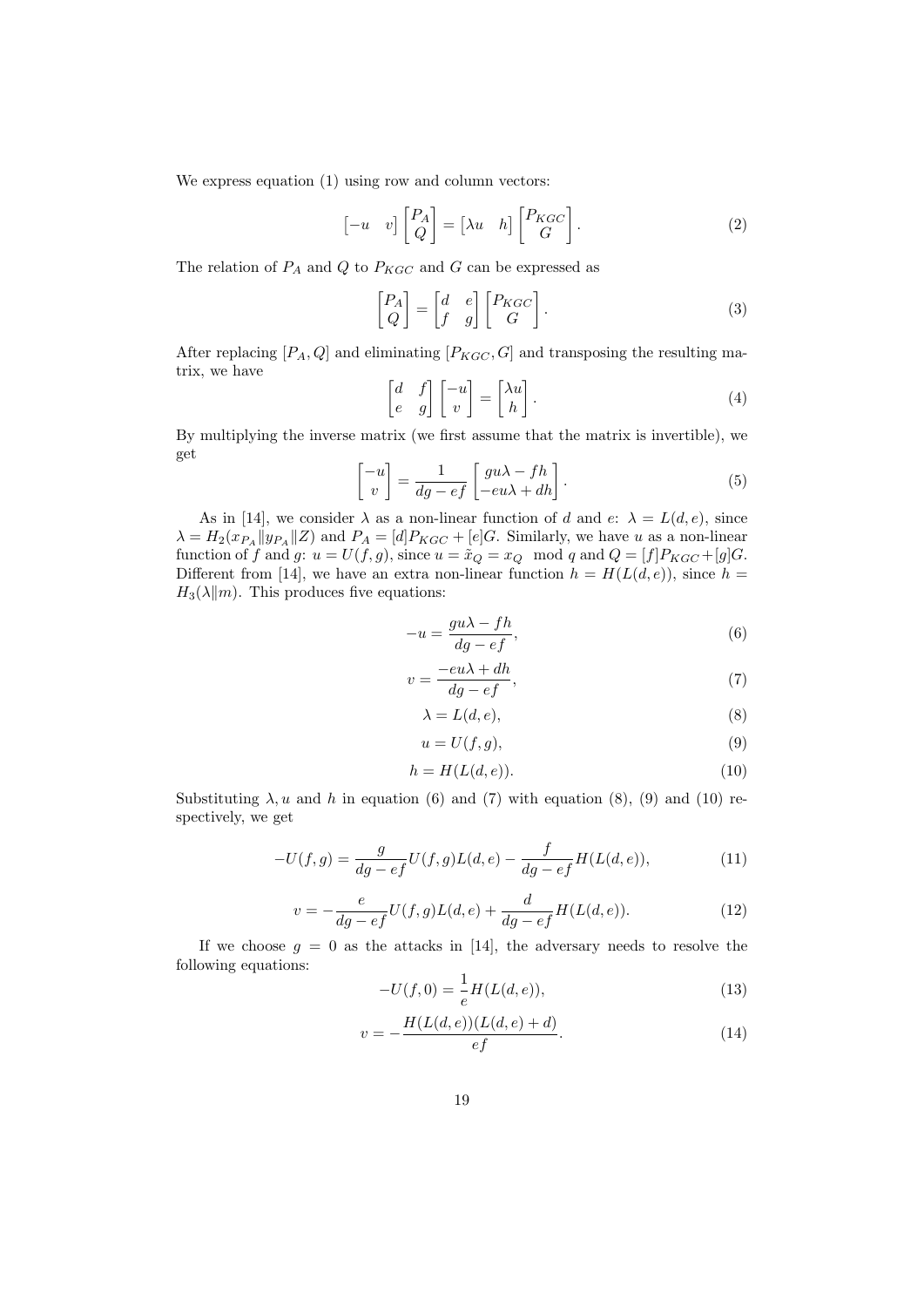We express equation  $(1)$  using row and column vectors:

$$
\begin{bmatrix} -u & v \end{bmatrix} \begin{bmatrix} P_A \\ Q \end{bmatrix} = \begin{bmatrix} \lambda u & h \end{bmatrix} \begin{bmatrix} P_{KGC} \\ G \end{bmatrix}.
$$
 (2)

The relation of  $P_A$  and  $Q$  to  $P_{KGC}$  and  $G$  can be expressed as

$$
\begin{bmatrix} P_A \\ Q \end{bmatrix} = \begin{bmatrix} d & e \\ f & g \end{bmatrix} \begin{bmatrix} P_{KG} \\ G \end{bmatrix} . \tag{3}
$$

After replacing  $[P_A, Q]$  and eliminating  $[P_{KGC}, G]$  and transposing the resulting matrix, we have

$$
\begin{bmatrix} d & f \\ e & g \end{bmatrix} \begin{bmatrix} -u \\ v \end{bmatrix} = \begin{bmatrix} \lambda u \\ h \end{bmatrix}.
$$
 (4)

By multiplying the inverse matrix (we first assume that the matrix is invertible), we get

$$
\begin{bmatrix} -u \\ v \end{bmatrix} = \frac{1}{dg - ef} \begin{bmatrix} gu\lambda - fh \\ -eu\lambda + dh \end{bmatrix}.
$$
 (5)

As in [14], we consider  $\lambda$  as a non-linear function of d and e:  $\lambda = L(d, e)$ , since  $\lambda = H_2(x_{PA}||y_{PA}||Z)$  and  $P_A = [d]P_{KGC} + [e]G$ . Similarly, we have u as a non-linear function of f and g:  $u = U(f, g)$ , since  $u = \tilde{x}_Q = x_Q \mod q$  and  $Q = [f]P_{KGC} + [g]G$ . Different from [14], we have an extra non-linear function  $h = H(L(d, e))$ , since  $h =$  $H_3(\lambda||m)$ . This produces five equations:

$$
-u = \frac{gu\lambda - fh}{dg - ef},\tag{6}
$$

$$
v = \frac{-eu\lambda + dh}{dg - ef},\tag{7}
$$

$$
\lambda = L(d, e),\tag{8}
$$

$$
u = U(f, g),\tag{9}
$$

$$
h = H(L(d, e)).
$$
\n<sup>(10)</sup>

Substituting  $\lambda$ , u and h in equation (6) and (7) with equation (8), (9) and (10) respectively, we get

$$
-U(f,g) = \frac{g}{dg - ef}U(f,g)L(d,e) - \frac{f}{dg - ef}H(L(d,e)),
$$
\n(11)

$$
v = -\frac{e}{dg - ef}U(f, g)L(d, e) + \frac{d}{dg - ef}H(L(d, e)).
$$
\n(12)

If we choose  $g = 0$  as the attacks in [14], the adversary needs to resolve the following equations:

$$
-U(f,0) = \frac{1}{e}H(L(d,e)),
$$
\n(13)

$$
v = -\frac{H(L(d, e))(L(d, e) + d)}{ef}.
$$
\n(14)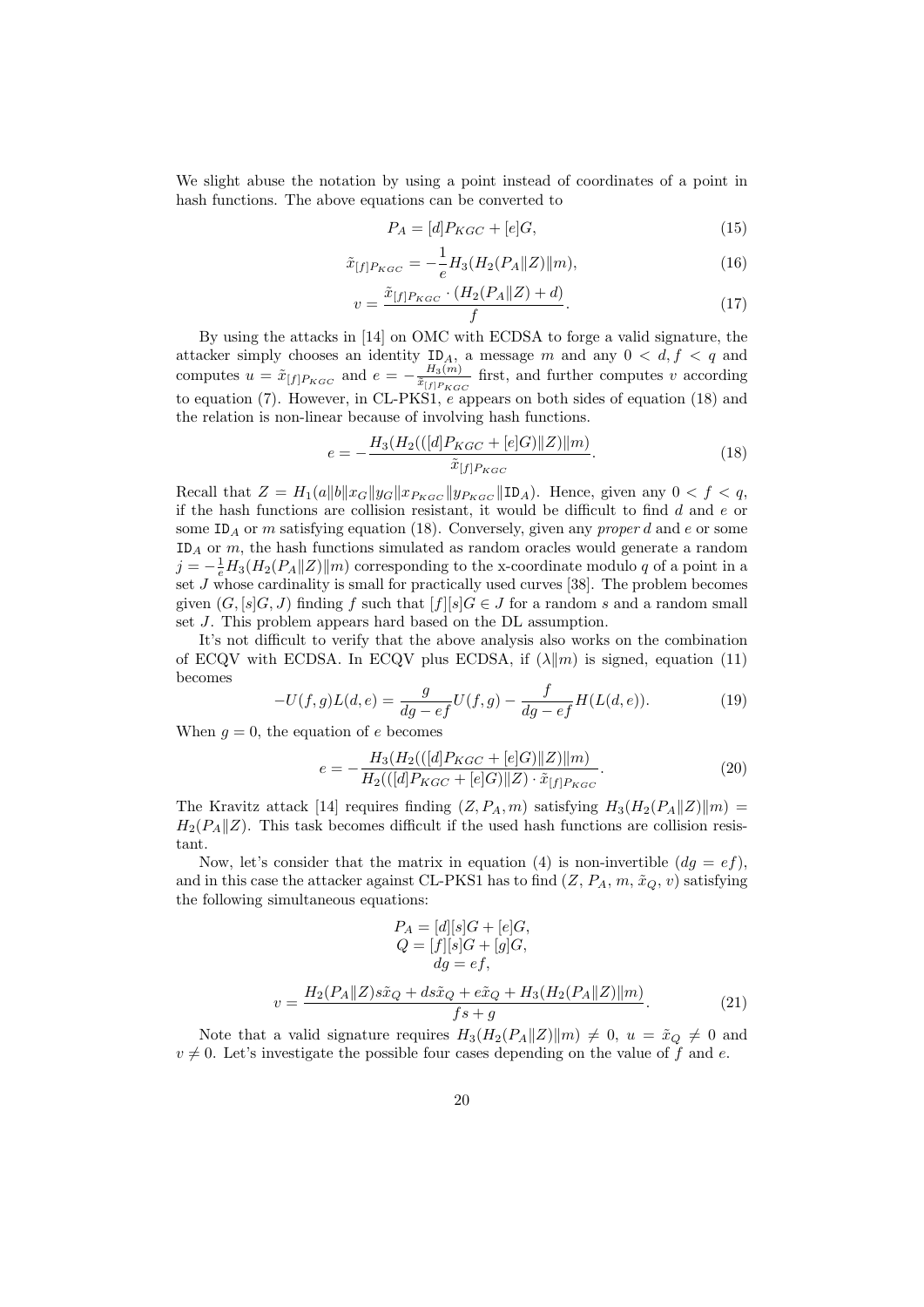We slight abuse the notation by using a point instead of coordinates of a point in hash functions. The above equations can be converted to

$$
P_A = [d]P_{KGC} + [e]G,\tag{15}
$$

$$
\tilde{x}_{[f]P_{KGC}} = -\frac{1}{e} H_3(H_2(P_A || Z) || m),\tag{16}
$$

$$
v = \frac{\tilde{x}_{[f]P_{KGC}} \cdot (H_2(P_A || Z) + d)}{f}.\tag{17}
$$

By using the attacks in [14] on OMC with ECDSA to forge a valid signature, the attacker simply chooses an identity  $ID_A$ , a message m and any  $0 < d, f < q$  and computes  $u = \tilde{x}_{[f]}P_{KGC}$  and  $e = -\frac{H_3(m)}{\tilde{x}_{[f]}P_{KG}}$  $\frac{H_3(m)}{\tilde{x}_{[f]P_{KGC}}}$  first, and further computes v according to equation (7). However, in CL-PKS1, e appears on both sides of equation (18) and the relation is non-linear because of involving hash functions.

$$
e = -\frac{H_3(H_2(([d]P_{KGC} + [e]G) || Z) || m)}{\tilde{x}_{[f]P_{KGC}}}. \tag{18}
$$

Recall that  $Z = H_1(a||b||x_G||y_G||x_{P_{KGC}}||y_{P_{KGC}}||\text{ID}_A)$ . Hence, given any  $0 < f < q$ , if the hash functions are collision resistant, it would be difficult to find  $d$  and  $e$  or some ID<sub>A</sub> or m satisfying equation (18). Conversely, given any *proper d* and e or some  $ID_A$  or m, the hash functions simulated as random oracles would generate a random  $j = -\frac{1}{e}H_3(H_2(P_A||Z)||m)$  corresponding to the x-coordinate modulo q of a point in a set  $J$  whose cardinality is small for practically used curves [38]. The problem becomes given  $(G, [s]G, J)$  finding f such that  $[f][s]G \in J$  for a random s and a random small set J. This problem appears hard based on the DL assumption.

It's not difficult to verify that the above analysis also works on the combination of ECQV with ECDSA. In ECQV plus ECDSA, if  $(\lambda || m)$  is signed, equation (11) becomes

$$
-U(f,g)L(d,e) = \frac{g}{dg - ef}U(f,g) - \frac{f}{dg - ef}H(L(d,e)).
$$
\n(19)

When  $q = 0$ , the equation of e becomes

$$
e = -\frac{H_3(H_2(([d]P_{KGC} + [e]G)||Z)||m)}{H_2(([d]P_{KGC} + [e]G)||Z) \cdot \tilde{x}_{[f]P_{KGC}}}. \tag{20}
$$

The Kravitz attack [14] requires finding  $(Z, P_A, m)$  satisfying  $H_3(H_2(P_A || Z) || m) =$  $H_2(P_A||Z)$ . This task becomes difficult if the used hash functions are collision resistant.

Now, let's consider that the matrix in equation (4) is non-invertible  $(dq = ef)$ , and in this case the attacker against CL-PKS1 has to find  $(Z, P_A, m, \tilde{x}_Q, v)$  satisfying the following simultaneous equations:

$$
P_A = [d][s]G + [e]G,
$$
  
\n
$$
Q = [f][s]G + [g]G,
$$
  
\n
$$
dg = ef,
$$
  
\n
$$
v = \frac{H_2(P_A || Z)s\tilde{x}_Q + ds\tilde{x}_Q + e\tilde{x}_Q + H_3(H_2(P_A || Z) || m)}{fs + g}.
$$
\n(21)

Note that a valid signature requires  $H_3(H_2(P_A||Z)||m) \neq 0$ ,  $u = \tilde{x}_Q \neq 0$  and  $v \neq 0$ . Let's investigate the possible four cases depending on the value of f and e.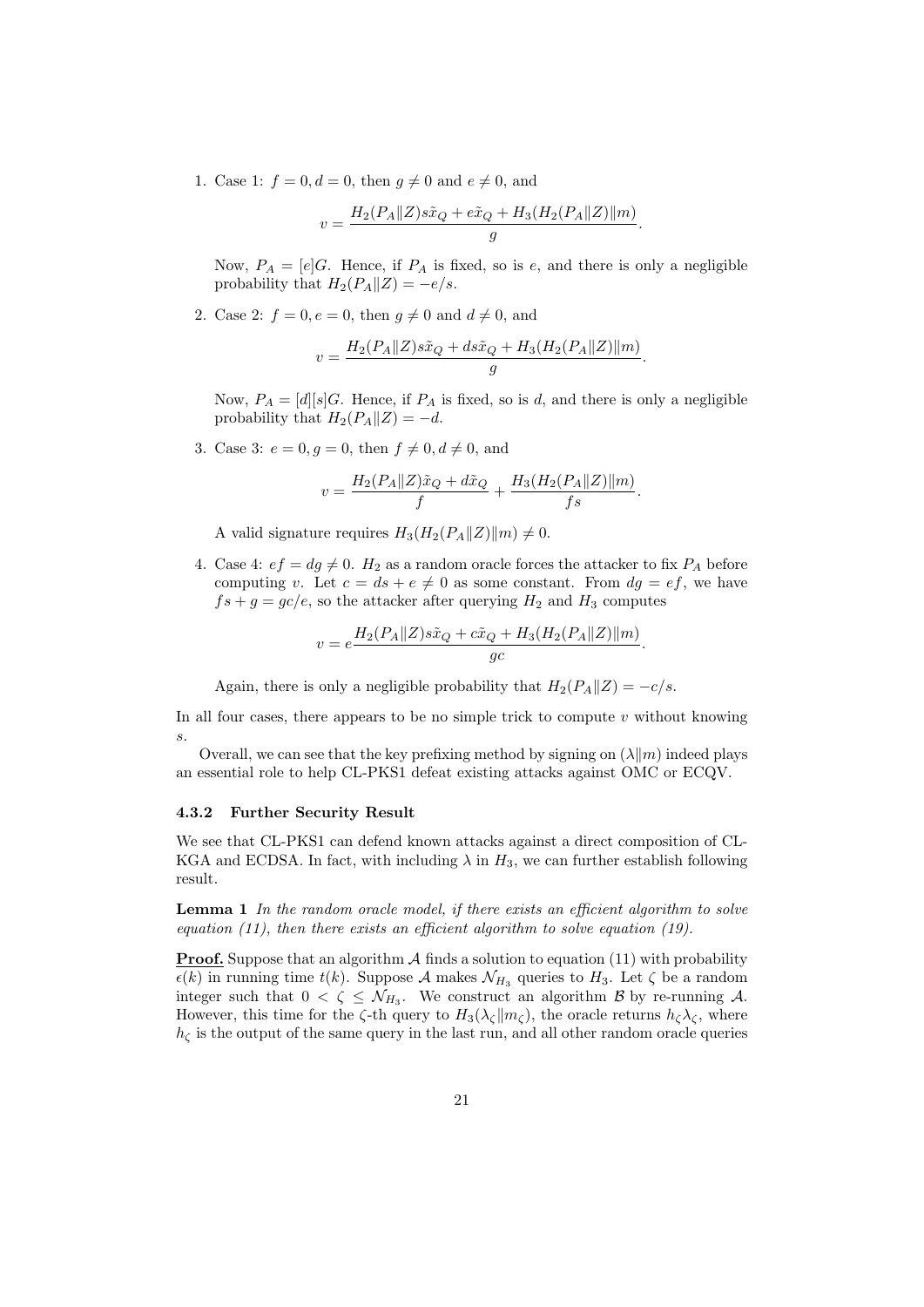1. Case 1:  $f = 0, d = 0$ , then  $q \neq 0$  and  $e \neq 0$ , and

$$
v = \frac{H_2(P_A || Z) s\tilde{x}_Q + e\tilde{x}_Q + H_3(H_2(P_A || Z) || m)}{g}.
$$

Now,  $P_A = [e]G$ . Hence, if  $P_A$  is fixed, so is e, and there is only a negligible probability that  $H_2(P_A||Z) = -e/s$ .

2. Case 2:  $f = 0, e = 0$ , then  $q \neq 0$  and  $d \neq 0$ , and

$$
v = \frac{H_2(P_A || Z) s\tilde{x}_Q + d s\tilde{x}_Q + H_3(H_2(P_A || Z) || m)}{g}.
$$

Now,  $P_A = [d][s]G$ . Hence, if  $P_A$  is fixed, so is d, and there is only a negligible probability that  $H_2(P_A||Z) = -d$ .

3. Case 3:  $e = 0, g = 0$ , then  $f \neq 0, d \neq 0$ , and

$$
v = \frac{H_2(P_A || Z)\tilde{x}_Q + d\tilde{x}_Q}{f} + \frac{H_3(H_2(P_A || Z) || m)}{fs}.
$$

A valid signature requires  $H_3(H_2(P_A||Z)||m) \neq 0$ .

4. Case 4:  $ef = dg \neq 0$ .  $H_2$  as a random oracle forces the attacker to fix  $P_A$  before computing v. Let  $c = ds + e \neq 0$  as some constant. From  $dg = ef$ , we have  $fs + g = gc/e$ , so the attacker after querying  $H_2$  and  $H_3$  computes

$$
v = e^{\frac{H_2(P_A||Z)s\tilde{x}_Q + c\tilde{x}_Q + H_3(H_2(P_A||Z)||m)}{gc}}.
$$

Again, there is only a negligible probability that  $H_2(P_A||Z) = -c/s$ .

In all four cases, there appears to be no simple trick to compute  $v$  without knowing s.

Overall, we can see that the key prefixing method by signing on  $(\lambda \| m)$  indeed plays an essential role to help CL-PKS1 defeat existing attacks against OMC or ECQV.

#### 4.3.2 Further Security Result

We see that CL-PKS1 can defend known attacks against a direct composition of CL-KGA and ECDSA. In fact, with including  $\lambda$  in  $H_3$ , we can further establish following result.

**Lemma 1** In the random oracle model, if there exists an efficient algorithm to solve equation  $(11)$ , then there exists an efficient algorithm to solve equation  $(19)$ .

**Proof.** Suppose that an algorithm  $\mathcal A$  finds a solution to equation (11) with probability  $\epsilon(k)$  in running time  $t(k)$ . Suppose A makes  $\mathcal{N}_{H_3}$  queries to  $H_3$ . Let  $\zeta$  be a random integer such that  $0 < \zeta \leq \mathcal{N}_{H_3}$ . We construct an algorithm  $\mathcal{B}$  by re-running  $\mathcal{A}$ . However, this time for the  $\zeta$ -th query to  $H_3(\lambda_{\zeta}||m_{\zeta})$ , the oracle returns  $h_{\zeta}\lambda_{\zeta}$ , where  $h_{\zeta}$  is the output of the same query in the last run, and all other random oracle queries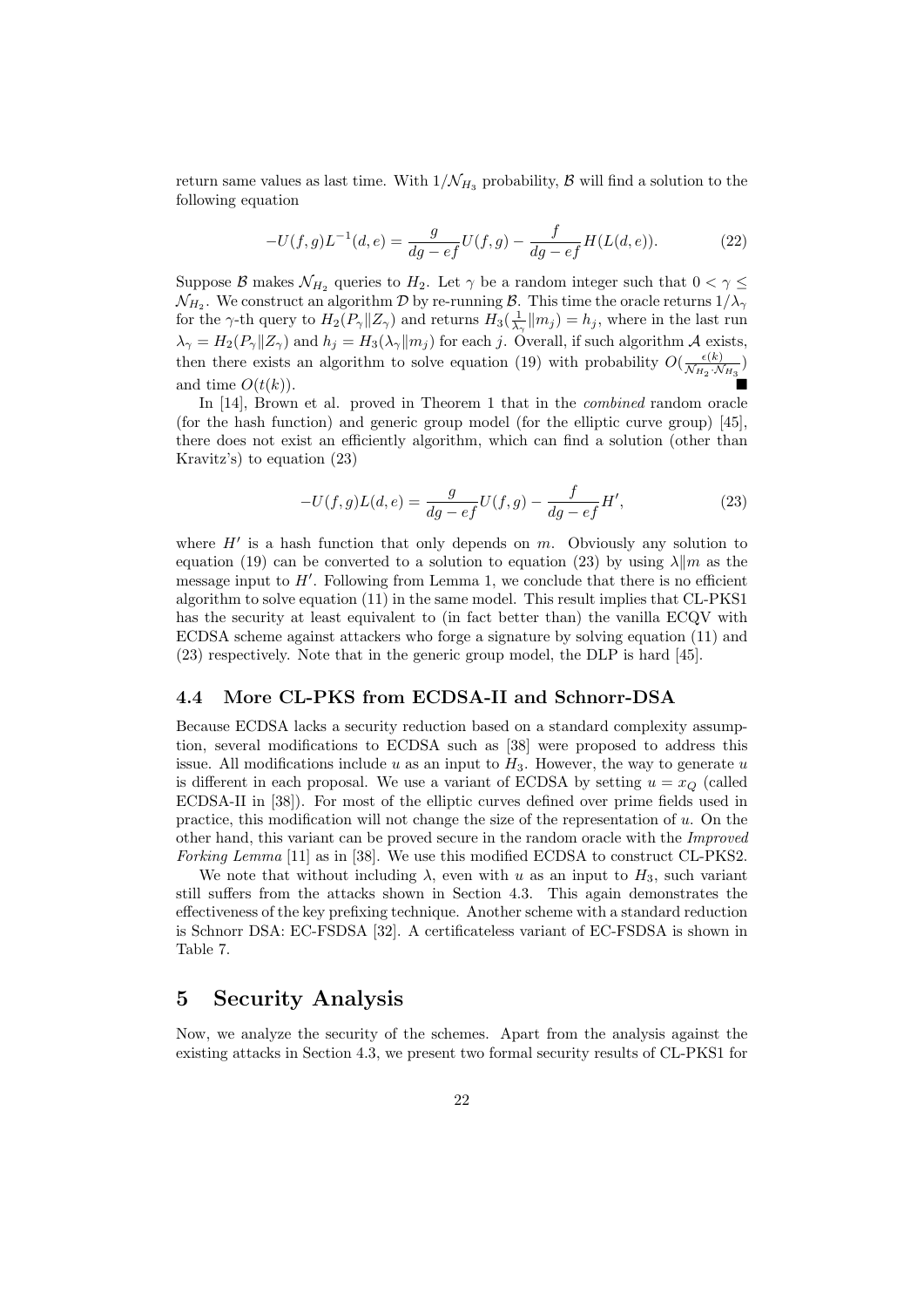return same values as last time. With  $1/\mathcal{N}_{H_3}$  probability,  $\beta$  will find a solution to the following equation

$$
-U(f,g)L^{-1}(d,e) = \frac{g}{dg - ef}U(f,g) - \frac{f}{dg - ef}H(L(d,e)).
$$
\n(22)

Suppose B makes  $\mathcal{N}_{H_2}$  queries to  $H_2$ . Let  $\gamma$  be a random integer such that  $0 < \gamma \leq$  $\mathcal{N}_{H_2}.$  We construct an algorithm  $\mathcal D$  by re-running  $\mathcal B.$  This time the oracle returns  $1/\lambda_\gamma$ for the  $\gamma$ -th query to  $H_2(P_\gamma \| Z_\gamma)$  and returns  $H_3(\frac{1}{\lambda_\gamma} \| m_j) = h_j$ , where in the last run  $\lambda_{\gamma} = H_2(P_{\gamma}||Z_{\gamma})$  and  $h_j = H_3(\lambda_{\gamma}||m_j)$  for each j. Overall, if such algorithm A exists, then there exists an algorithm to solve equation (19) with probability  $O(\frac{\epsilon(k)}{N_{\text{tot}}+\Lambda}$  $\frac{\epsilon(\kappa)}{\mathcal{N}_{H_2}\cdot\mathcal{N}_{H_3}}$ and time  $O(t(k))$ .

In [14], Brown et al. proved in Theorem 1 that in the combined random oracle (for the hash function) and generic group model (for the elliptic curve group) [45], there does not exist an efficiently algorithm, which can find a solution (other than Kravitz's) to equation (23)

$$
-U(f,g)L(d,e) = \frac{g}{dg - ef}U(f,g) - \frac{f}{dg - ef}H',
$$
\n(23)

where  $H'$  is a hash function that only depends on  $m$ . Obviously any solution to equation (19) can be converted to a solution to equation (23) by using  $\lambda \| m$  as the message input to  $H'$ . Following from Lemma 1, we conclude that there is no efficient algorithm to solve equation (11) in the same model. This result implies that CL-PKS1 has the security at least equivalent to (in fact better than) the vanilla ECQV with ECDSA scheme against attackers who forge a signature by solving equation (11) and (23) respectively. Note that in the generic group model, the DLP is hard [45].

#### 4.4 More CL-PKS from ECDSA-II and Schnorr-DSA

Because ECDSA lacks a security reduction based on a standard complexity assumption, several modifications to ECDSA such as [38] were proposed to address this issue. All modifications include  $u$  as an input to  $H_3$ . However, the way to generate  $u$ is different in each proposal. We use a variant of ECDSA by setting  $u = x_Q$  (called ECDSA-II in [38]). For most of the elliptic curves defined over prime fields used in practice, this modification will not change the size of the representation of u. On the other hand, this variant can be proved secure in the random oracle with the Improved Forking Lemma [11] as in [38]. We use this modified ECDSA to construct CL-PKS2.

We note that without including  $\lambda$ , even with u as an input to  $H_3$ , such variant still suffers from the attacks shown in Section 4.3. This again demonstrates the effectiveness of the key prefixing technique. Another scheme with a standard reduction is Schnorr DSA: EC-FSDSA [32]. A certificateless variant of EC-FSDSA is shown in Table 7.

# 5 Security Analysis

Now, we analyze the security of the schemes. Apart from the analysis against the existing attacks in Section 4.3, we present two formal security results of CL-PKS1 for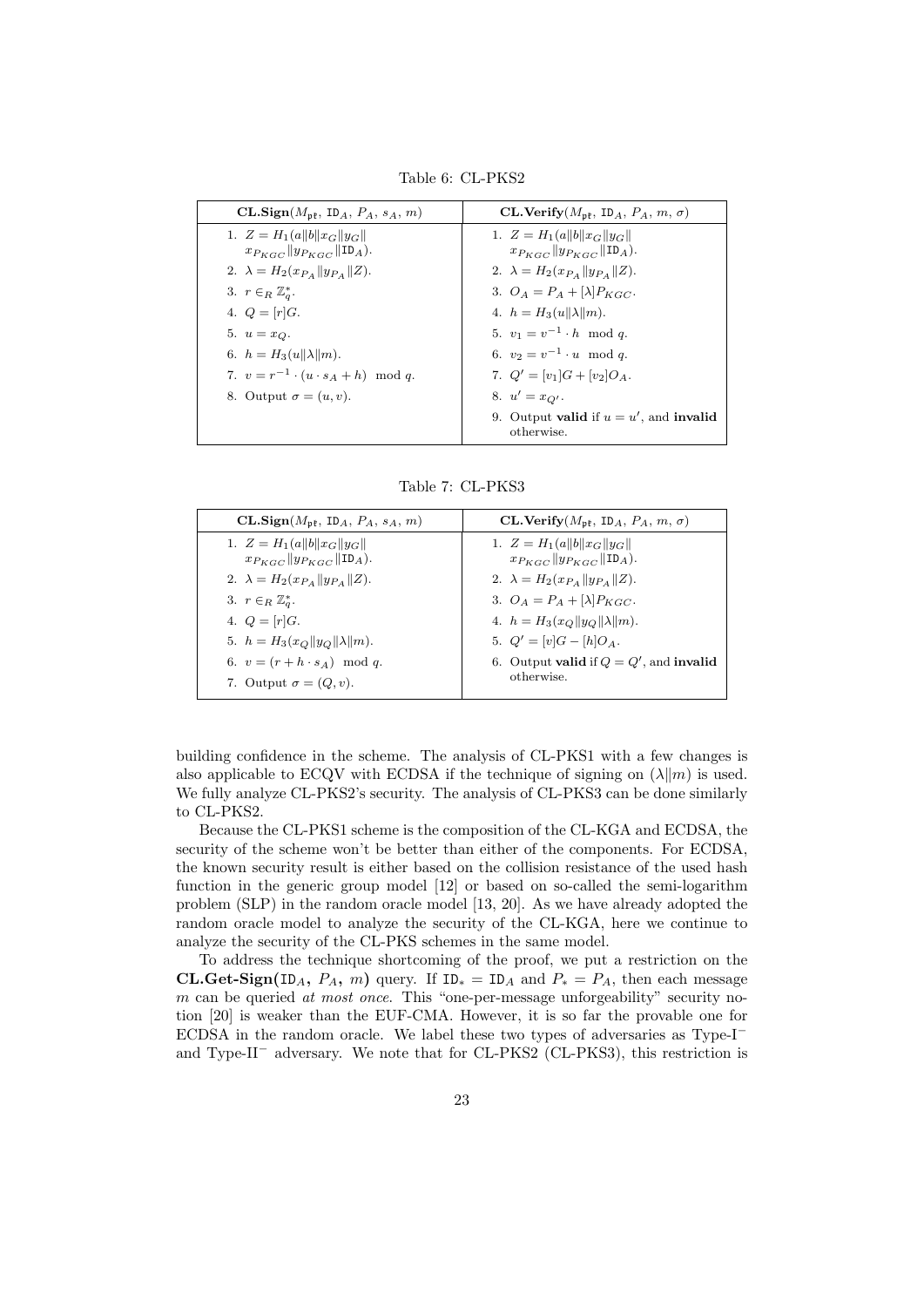$CL.Sign(M_{pf}, ID_A, P_A, s_A, m)$   $CL.Verify(M_{pf}, ID_A, P_A, m, \sigma)$ 1.  $Z = H_1(a||b||x_G||y_G||$  $x_{P_{KGC}}$   $|y_{P_{KGC}}|$  ID<sub>A</sub>). 2.  $\lambda = H_2(x_{P_A} || y_{P_A} || Z).$ 3.  $r \in_R \mathbb{Z}_q^*$ . 4.  $Q = [r]G$ . 5.  $u = x_Q$ . 6.  $h = H_3(u||\lambda||m)$ . 7.  $v = r^{-1} \cdot (u \cdot s_A + h) \mod q$ . 8. Output  $\sigma = (u, v)$ . 1.  $Z = H_1(a||b||x_G||y_G||$  $x_{P_{KGC}}$   $\|y_{P_{KGC}}\|$  ID<sub>A</sub>). 2.  $\lambda = H_2(x_{P_A} || y_{P_A} || Z).$ 3.  $O_A = P_A + [\lambda]P_{KGC}.$ 4.  $h = H_3(u||\lambda||m)$ . 5.  $v_1 = v^{-1} \cdot h \mod q$ . 6.  $v_2 = v^{-1} \cdot u \mod q$ . 7.  $Q' = [v_1]G + [v_2]O_A$ . 8.  $u' = x_{Q'}$ . 9. Output **valid** if  $u = u'$ , and **invalid** otherwise.

Table 6: CL-PKS2

|  |  | Table 7: CL-PKS3 |
|--|--|------------------|
|--|--|------------------|

| $CL.Sign(M_{nl}, IDA, PA, sA, m)$                                              | CL.Verify $(M_{\rm pf}, \text{ ID}_A, P_A, m, \sigma)$                            |
|--------------------------------------------------------------------------------|-----------------------------------------------------------------------------------|
| 1. $Z = H_1(a  b  x_G  y_G  $<br>$x_{P_{KGC}}$ $y_{P_{KGC}}$ $\text{ID}_{A}$ . | 1. $Z = H_1(a  b  x_G  y_G  $<br>$x_{P_{KGC}}$ $ y_{P_{KGC}} $ ID <sub>A</sub> ). |
| 2. $\lambda = H_2(x_{P_A}    y_{P_A}    Z).$                                   | 2. $\lambda = H_2(x_{P_A}  y_{P_A}  Z)$ .                                         |
| 3. $r \in_R \mathbb{Z}_q^*$ .<br>4. $Q = [r]G$ .                               | 3. $O_A = P_A + [\lambda]P_{KGC}$ .<br>4. $h = H_3(x_O  y_O  \lambda  m)$ .       |
| 5. $h = H_3(x_O  y_O  \lambda  m)$ .                                           | 5. $Q' = [v]G - [h]Q_A$ .                                                         |
| 6. $v = (r + h \cdot s_A) \mod q$ .                                            | 6. Output valid if $Q = Q'$ , and invalid                                         |
| 7. Output $\sigma = (Q, v)$ .                                                  | otherwise.                                                                        |

building confidence in the scheme. The analysis of CL-PKS1 with a few changes is also applicable to ECQV with ECDSA if the technique of signing on  $(\lambda \| m)$  is used. We fully analyze CL-PKS2's security. The analysis of CL-PKS3 can be done similarly to CL-PKS2.

Because the CL-PKS1 scheme is the composition of the CL-KGA and ECDSA, the security of the scheme won't be better than either of the components. For ECDSA, the known security result is either based on the collision resistance of the used hash function in the generic group model [12] or based on so-called the semi-logarithm problem (SLP) in the random oracle model [13, 20]. As we have already adopted the random oracle model to analyze the security of the CL-KGA, here we continue to analyze the security of the CL-PKS schemes in the same model.

To address the technique shortcoming of the proof, we put a restriction on the **CL.Get-Sign**(ID<sub>A</sub>,  $P_A$ , m) query. If ID<sub>\*</sub> = ID<sub>A</sub> and  $P_* = P_A$ , then each message m can be queried at most once. This "one-per-message unforgeability" security notion [20] is weaker than the EUF-CMA. However, it is so far the provable one for ECDSA in the random oracle. We label these two types of adversaries as Type-I<sup>−</sup> and Type-II<sup>−</sup> adversary. We note that for CL-PKS2 (CL-PKS3), this restriction is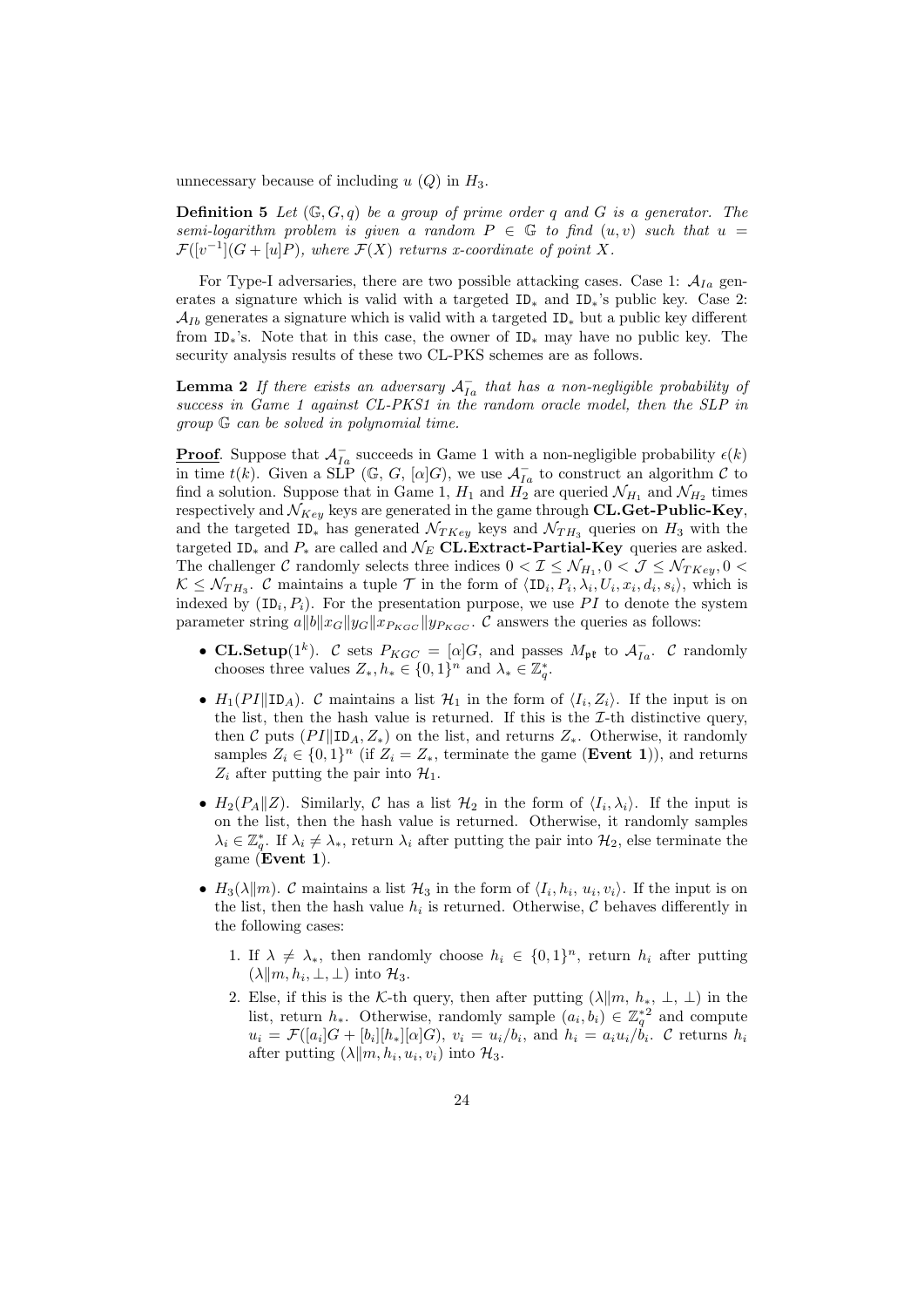unnecessary because of including  $u(Q)$  in  $H_3$ .

**Definition 5** Let  $(\mathbb{G}, G, q)$  be a group of prime order q and G is a generator. The semi-logarithm problem is given a random  $P \in \mathbb{G}$  to find  $(u, v)$  such that  $u =$  $\mathcal{F}([v^{-1}](G + [u]P),$  where  $\mathcal{F}(X)$  returns x-coordinate of point X.

For Type-I adversaries, there are two possible attacking cases. Case 1:  $A_{Ia}$  generates a signature which is valid with a targeted ID<sub>∗</sub> and ID<sub>\*</sub>'s public key. Case 2:  $\mathcal{A}_{Ib}$  generates a signature which is valid with a targeted ID<sub>\*</sub> but a public key different from ID∗'s. Note that in this case, the owner of ID<sup>∗</sup> may have no public key. The security analysis results of these two CL-PKS schemes are as follows.

**Lemma 2** If there exists an adversary  $A_{Ia}^-$  that has a non-negligible probability of success in Game 1 against CL-PKS1 in the random oracle model, then the SLP in group G can be solved in polynomial time.

**Proof.** Suppose that  $\mathcal{A}_{Ia}^-$  succeeds in Game 1 with a non-negligible probability  $\epsilon(k)$ in time  $t(k)$ . Given a SLP (G, G, [ $\alpha$ ]G), we use  $\mathcal{A}_{Ia}^-$  to construct an algorithm C to find a solution. Suppose that in Game 1,  $H_1$  and  $H_2$  are queried  $\mathcal{N}_{H_1}$  and  $\mathcal{N}_{H_2}$  times respectively and  $\mathcal{N}_{Key}$  keys are generated in the game through CL.Get-Public-Key, and the targeted ID<sub><sup>\*</sup></sub> has generated  $\mathcal{N}_{TKey}$  keys and  $\mathcal{N}_{TH3}$  queries on  $H_3$  with the targeted ID<sub>\*</sub> and  $P_*$  are called and  $\mathcal{N}_E$  CL.Extract-Partial-Key queries are asked. The challenger  $C$  randomly selects three indices  $0 < I \leq \mathcal{N}_{H_1}, 0 < J \leq \mathcal{N}_{TKey}, 0 < I$  $\mathcal{K} \leq \mathcal{N}_{TH_3}$ . C maintains a tuple  $\mathcal{T}$  in the form of  $\langle ID_i, P_i, \lambda_i, U_i, x_i, d_i, s_i \rangle$ , which is indexed by  $(ID_i, P_i)$ . For the presentation purpose, we use PI to denote the system parameter string  $a||b||x_G||y_G||x_{P_{KGC}}||y_{P_{KGC}}$ . C answers the queries as follows:

- CL.Setup(1<sup>k</sup>). C sets  $P_{KGC} = [\alpha]G$ , and passes  $M_{\mathfrak{pk}}$  to  $\mathcal{A}_{Ia}^-$ . C randomly chooses three values  $Z_*, h_* \in \{0,1\}^n$  and  $\lambda_* \in \mathbb{Z}_q^*$ .
- $H_1(PI||ID_A)$ . C maintains a list  $\mathcal{H}_1$  in the form of  $\langle I_i, Z_i \rangle$ . If the input is on the list, then the hash value is returned. If this is the  $\mathcal{I}\text{-th}$  distinctive query, then C puts  $(PI||ID_A, Z_*)$  on the list, and returns  $Z_*$ . Otherwise, it randomly samples  $Z_i \in \{0,1\}^n$  (if  $Z_i = Z_*$ , terminate the game (**Event 1**)), and returns  $Z_i$  after putting the pair into  $\mathcal{H}_1$ .
- $H_2(P_A||Z)$ . Similarly, C has a list  $\mathcal{H}_2$  in the form of  $\langle I_i, \lambda_i \rangle$ . If the input is on the list, then the hash value is returned. Otherwise, it randomly samples  $\lambda_i \in \mathbb{Z}_q^*$ . If  $\lambda_i \neq \lambda_*$ , return  $\lambda_i$  after putting the pair into  $\mathcal{H}_2$ , else terminate the game  $(Event 1)$ .
- $H_3(\lambda \| m)$ . C maintains a list  $\mathcal{H}_3$  in the form of  $\langle I_i, h_i, u_i, v_i \rangle$ . If the input is on the list, then the hash value  $h_i$  is returned. Otherwise,  $\mathcal C$  behaves differently in the following cases:
	- 1. If  $\lambda \neq \lambda_*$ , then randomly choose  $h_i \in \{0,1\}^n$ , return  $h_i$  after putting  $(\lambda \| m, h_i, \perp, \perp)$  into  $\mathcal{H}_3$ .
	- 2. Else, if this is the K-th query, then after putting  $(\lambda \| m, h_*, \perp, \perp)$  in the list, return  $h_*$ . Otherwise, randomly sample  $(a_i, b_i) \in \mathbb{Z}_q^{*2}$  and compute  $u_i = \mathcal{F}([a_i]G + [b_i][h_*][\alpha]G), v_i = u_i/b_i$ , and  $h_i = a_i u_i/b_i$ . C returns  $h_i$ after putting  $(\lambda \| m, h_i, u_i, v_i)$  into  $\mathcal{H}_3$ .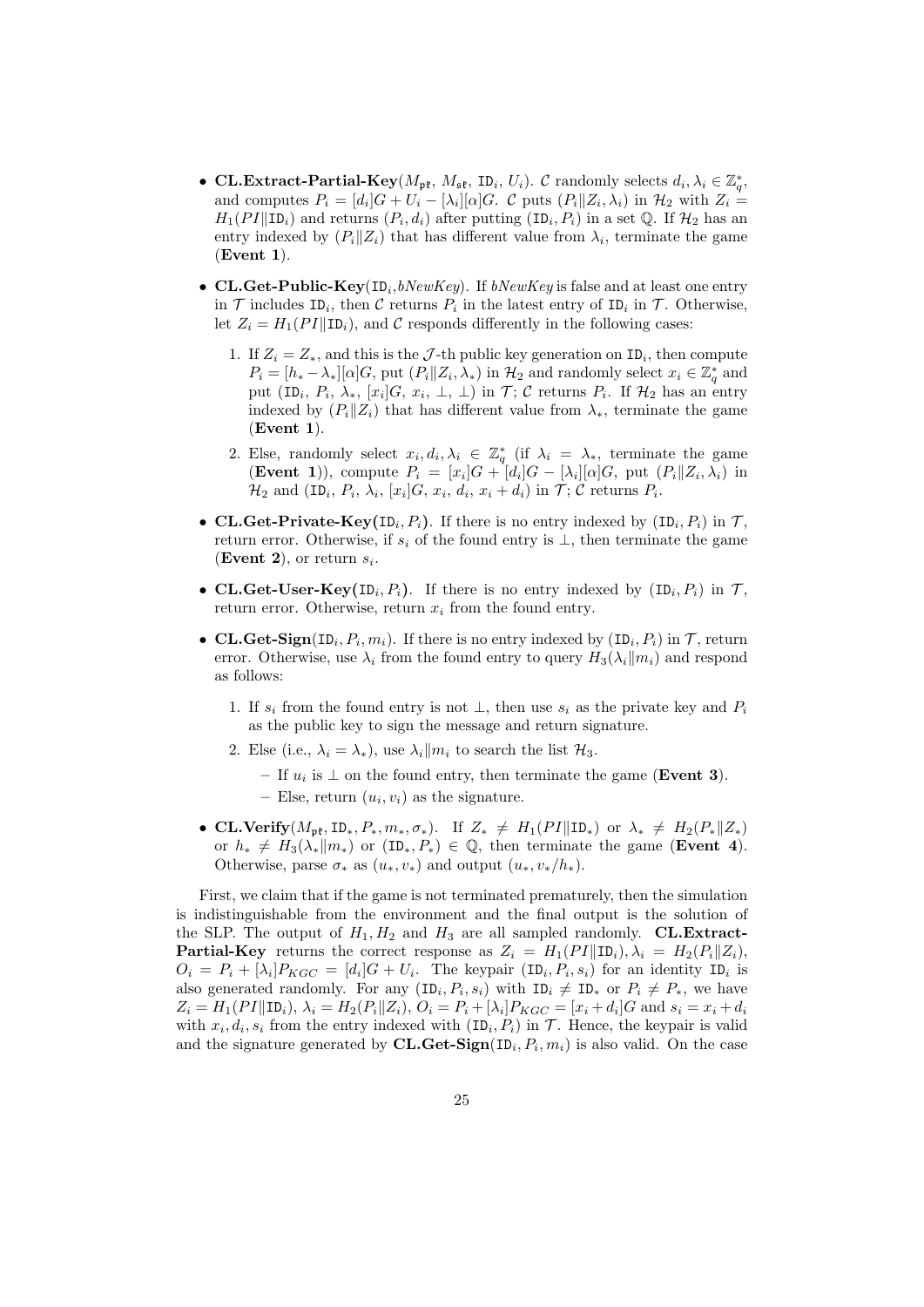- CL.Extract-Partial-Key( $M_{\rm pt}$ ,  $M_{\rm st}$ , ID<sub>i</sub>,  $U_i$ ). C randomly selects  $d_i, \lambda_i \in \mathbb{Z}_q^*$ , and computes  $P_i = [d_i]G + U_i - [\lambda_i][\alpha]G$ . C puts  $(P_i || Z_i, \lambda_i)$  in  $\mathcal{H}_2$  with  $Z_i =$  $H_1(PI||\texttt{ID}_i)$  and returns  $(P_i, d_i)$  after putting  $(\texttt{ID}_i, P_i)$  in a set Q. If  $\mathcal{H}_2$  has an entry indexed by  $(P_i||Z_i)$  that has different value from  $\lambda_i$ , terminate the game  $(Event 1)$ .
- CL.Get-Public-Key( $ID_i, bNewKey$ ). If  $bNewKey$  is false and at least one entry in  $\mathcal T$  includes ID<sub>i</sub>, then  $\mathcal C$  returns  $P_i$  in the latest entry of ID<sub>i</sub> in  $\mathcal T$ . Otherwise, let  $Z_i = H_1(PI||ID_i)$ , and C responds differently in the following cases:
	- 1. If  $Z_i = Z_*$ , and this is the  $\mathcal{J}$ -th public key generation on ID<sub>i</sub>, then compute  $P_i = [h_* - \lambda_*][\alpha]G$ , put  $(P_i||Z_i, \lambda_*)$  in  $\mathcal{H}_2$  and randomly select  $x_i \in \mathbb{Z}_q^*$  and put (ID<sub>i</sub>,  $P_i$ ,  $\lambda_*$ ,  $[x_i]$  $G$ ,  $x_i$ ,  $\perp$ ,  $\perp$ ) in  $\mathcal{T}$ ;  $\mathcal{C}$  returns  $P_i$ . If  $\mathcal{H}_2$  has an entry indexed by  $(P_i||Z_i)$  that has different value from  $\lambda_*$ , terminate the game  $(Event 1)$ .
	- 2. Else, randomly select  $x_i, d_i, \lambda_i \in \mathbb{Z}_q^*$  (if  $\lambda_i = \lambda_*$ , terminate the game **(Event 1)**), compute  $P_i = [x_i]G + [d_i]G - [\lambda_i][\alpha]G$ , put  $(P_i||Z_i, \lambda_i)$  in  $\mathcal{H}_2$  and  $(\texttt{ID}_i, P_i, \lambda_i, [x_i]G, x_i, d_i, x_i + d_i)$  in  $\mathcal{T}; \mathcal{C}$  returns  $P_i$ .
- CL.Get-Private-Key(ID<sub>i</sub>,  $P_i$ ). If there is no entry indexed by  $(ID_i, P_i)$  in  $\mathcal{T}$ , return error. Otherwise, if  $s_i$  of the found entry is  $\perp$ , then terminate the game (Event 2), or return  $s_i$ .
- CL.Get-User-Key(ID<sub>i</sub>,  $P_i$ ). If there is no entry indexed by  $(ID_i, P_i)$  in  $\mathcal{T}$ , return error. Otherwise, return  $x_i$  from the found entry.
- CL.Get-Sign(ID<sub>i</sub>,  $P_i$ ,  $m_i$ ). If there is no entry indexed by  $(ID_i, P_i)$  in  $\mathcal{T}$ , return error. Otherwise, use  $\lambda_i$  from the found entry to query  $H_3(\lambda_i||m_i)$  and respond as follows:
	- 1. If  $s_i$  from the found entry is not  $\perp$ , then use  $s_i$  as the private key and  $P_i$ as the public key to sign the message and return signature.
	- 2. Else (i.e.,  $\lambda_i = \lambda_*$ ), use  $\lambda_i || m_i$  to search the list  $\mathcal{H}_3$ .
		- If  $u_i$  is ⊥ on the found entry, then terminate the game (Event 3).
		- Else, return  $(u_i, v_i)$  as the signature.
- CL.Verify( $M_{\mathfrak{pk}}, \text{ID}_*, P_*, m_*, \sigma_*$ ). If  $Z_* \neq H_1(PI \| \text{ID}_*)$  or  $\lambda_* \neq H_2(P_* \| Z_*)$ or  $h_* \neq H_3(\lambda_* || m_*)$  or  $(ID_*, P_*) \in \mathbb{Q}$ , then terminate the game (Event 4). Otherwise, parse  $\sigma_*$  as  $(u_*, v_*)$  and output  $(u_*, v_*/h_*)$ .

First, we claim that if the game is not terminated prematurely, then the simulation is indistinguishable from the environment and the final output is the solution of the SLP. The output of  $H_1, H_2$  and  $H_3$  are all sampled randomly. **CL.Extract-Partial-Key** returns the correct response as  $Z_i = H_1(PI||ID_i), \lambda_i = H_2(P_i||Z_i),$  $O_i = P_i + [\lambda_i] P_{KGC} = [d_i] G + U_i$ . The keypair  $(ID_i, P_i, s_i)$  for an identity  $ID_i$  is also generated randomly. For any  $(\texttt{ID}_i, P_i, s_i)$  with  $\texttt{ID}_i \neq \texttt{ID}_*$  or  $P_i \neq P_*,$  we have  $Z_i = H_1(PI \| \text{ID}_i), \, \lambda_i = H_2(P_i \| Z_i), \, O_i = P_i + [\lambda_i] P_{KGC} = [x_i + d_i] G \text{ and } s_i = x_i + d_i$ with  $x_i, d_i, s_i$  from the entry indexed with  $(\text{ID}_i, P_i)$  in  $\mathcal{T}$ . Hence, the keypair is valid and the signature generated by  $CL.Get-Sign(ID_i, P_i, m_i)$  is also valid. On the case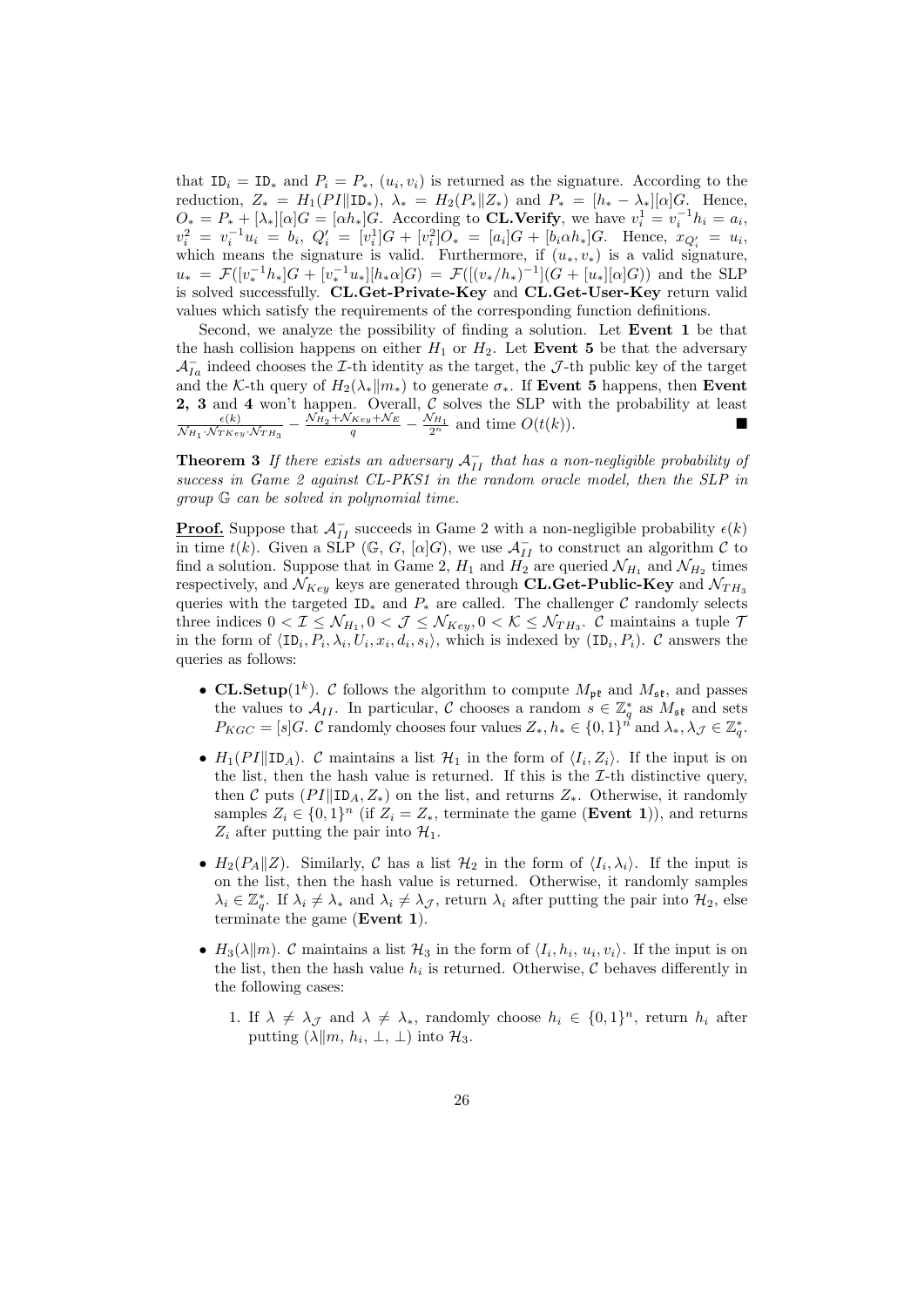that  $ID_i = ID_*$  and  $P_i = P_*$ ,  $(u_i, v_i)$  is returned as the signature. According to the reduction,  $Z_* = H_1(PI \| \mathbb{ID}_*)$ ,  $\lambda_* = H_2(P_* \| Z_*)$  and  $P_* = [h_* - \lambda_*][\alpha]G$ . Hence,  $O_* = P_* + [\lambda_*][\alpha]G = [\alpha h_*]G.$  According to **CL.Verify**, we have  $v_i^1 = v_i^{-1}h_i = a_i$ ,  $v_i^2 = v_i^{-1}u_i = b_i, \ Q_i' = [v_i^1]G + [v_i^2]O_* = [a_i]G + [b_i \alpha h_*]G.$  Hence,  $x_{Q_i'} = u_i$ , which means the signature is valid. Furthermore, if  $(u_*, v_*)$  is a valid signature,  $u_* = \mathcal{F}([v_*^{-1}h_*]G + [v_*^{-1}u_*][h_*\alpha]G) = \mathcal{F}([v_*/h_*)^{-1}](G + [u_*][\alpha]G))$  and the SLP is solved successfully. CL.Get-Private-Key and CL.Get-User-Key return valid values which satisfy the requirements of the corresponding function definitions.

Second, we analyze the possibility of finding a solution. Let Event 1 be that the hash collision happens on either  $H_1$  or  $H_2$ . Let Event 5 be that the adversary  $\mathcal{A}_{Ia}^-$  indeed chooses the *I*-th identity as the target, the *J*-th public key of the target and the K-th query of  $H_2(\lambda_*||m_*)$  to generate  $\sigma_*$ . If Event 5 happens, then Event 2, 3 and 4 won't happen. Overall, C solves the SLP with the probability at least  $\frac{\kappa(k)}{\kappa H_1 + \kappa \kappa}$   $\frac{\kappa H_1}{\kappa H_1 + \kappa H_2}$  and time  $O(t(k))$  $\frac{\epsilon(k)}{\mathcal{N}_{H_1} \cdot \mathcal{N}_{T K e_y} \cdot \mathcal{N}_{T H_3}} - \frac{\mathcal{N}_{H_2} + \mathcal{N}_{K e_y} + \mathcal{N}_E}{q} - \frac{\mathcal{N}_{H_1}}{2^n}$  and time  $O(t(k)).$ 

**Theorem 3** If there exists an adversary  $A_{II}^-$  that has a non-negligible probability of success in Game 2 against CL-PKS1 in the random oracle model, then the SLP in group G can be solved in polynomial time.

**Proof.** Suppose that  $\mathcal{A}_{II}^-$  succeeds in Game 2 with a non-negligible probability  $\epsilon(k)$ in time  $t(k)$ . Given a SLP (G, G, [ $\alpha$ ]G), we use  $\mathcal{A}_{II}^-$  to construct an algorithm C to find a solution. Suppose that in Game 2,  $H_1$  and  $H_2$  are queried  $\mathcal{N}_{H_1}$  and  $\mathcal{N}_{H_2}$  times respectively, and  $\mathcal{N}_{Key}$  keys are generated through CL.Get-Public-Key and  $\mathcal{N}_{TH_3}$ queries with the targeted ID<sub>∗</sub> and  $P_*$  are called. The challenger C randomly selects three indices  $0 < I \leq \mathcal{N}_{H_1}, 0 < J \leq \mathcal{N}_{Key}, 0 < \mathcal{K} \leq \mathcal{N}_{TH_3}.$  C maintains a tuple 7 in the form of  $\langle \text{ID}_i, P_i, \lambda_i, U_i, x_i, d_i, s_i \rangle$ , which is indexed by  $(\text{ID}_i, P_i)$ . C answers the queries as follows:

- CL.Setup( $1^k$ ). C follows the algorithm to compute  $M_{\mathfrak{pk}}$  and  $M_{\mathfrak{sk}}$ , and passes the values to  $\mathcal{A}_{II}$ . In particular, C chooses a random  $s \in \mathbb{Z}_q^*$  as  $M_{\mathfrak{st}}$  and sets  $P_{KGC} = [s]G$ . C randomly chooses four values  $Z_*, h_* \in \{0,1\}^n$  and  $\lambda_*, \lambda_{\mathcal{J}} \in \mathbb{Z}_q^*$ .
- $H_1(PI||ID_A)$ . C maintains a list  $H_1$  in the form of  $\langle I_i, Z_i \rangle$ . If the input is on the list, then the hash value is returned. If this is the  $I$ -th distinctive query, then C puts  $(PI||ID_A, Z_*)$  on the list, and returns  $Z_*$ . Otherwise, it randomly samples  $Z_i \in \{0,1\}^n$  (if  $Z_i = Z_*$ , terminate the game (**Event 1**)), and returns  $Z_i$  after putting the pair into  $\mathcal{H}_1$ .
- $H_2(P_A||Z)$ . Similarly, C has a list  $\mathcal{H}_2$  in the form of  $\langle I_i, \lambda_i \rangle$ . If the input is on the list, then the hash value is returned. Otherwise, it randomly samples  $\lambda_i \in \mathbb{Z}_q^*$ . If  $\lambda_i \neq \lambda_*$  and  $\lambda_i \neq \lambda_{\mathcal{J}}$ , return  $\lambda_i$  after putting the pair into  $\mathcal{H}_2$ , else terminate the game (Event 1).
- $H_3(\lambda \| m)$ . C maintains a list  $\mathcal{H}_3$  in the form of  $\langle I_i, h_i, u_i, v_i \rangle$ . If the input is on the list, then the hash value  $h_i$  is returned. Otherwise,  $\mathcal C$  behaves differently in the following cases:
	- 1. If  $\lambda \neq \lambda_{\mathcal{J}}$  and  $\lambda \neq \lambda_{*}$ , randomly choose  $h_i \in \{0,1\}^n$ , return  $h_i$  after putting  $(\lambda \| m, h_i, \perp, \perp)$  into  $\mathcal{H}_3$ .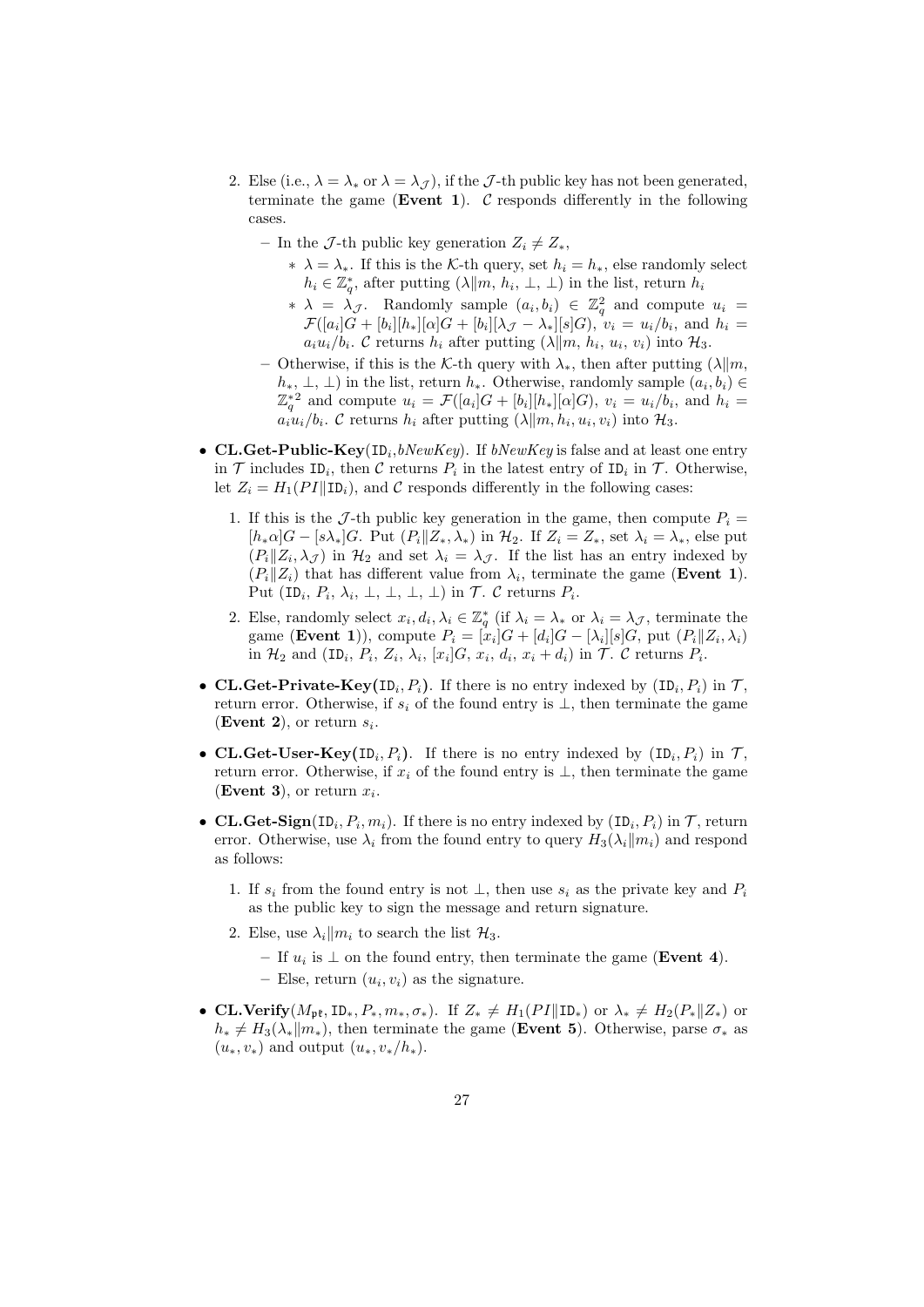- 2. Else (i.e.,  $\lambda = \lambda_*$  or  $\lambda = \lambda_{\mathcal{I}}$ ), if the J-th public key has not been generated, terminate the game (Event 1).  $\mathcal C$  responds differently in the following cases.
	- In the J-th public key generation  $Z_i \neq Z_*,$ 
		- $\star \lambda = \lambda_{\star}$ . If this is the K-th query, set  $h_i = h_{\star}$ , else randomly select  $h_i \in \mathbb{Z}_q^*$ , after putting  $(\lambda \| m, h_i, \perp, \perp)$  in the list, return  $h_i$
		- ∗  $\lambda = \lambda_{\mathcal{J}}$ . Randomly sample  $(a_i, b_i) \in \mathbb{Z}_q^2$  and compute  $u_i =$  $\mathcal{F}([a_i]G + [b_i][h_*][\alpha]G + [b_i][\lambda_{\mathcal{J}} - \lambda_*][s]G), v_i = u_i/b_i$ , and  $h_i =$  $a_i u_i/b_i$ . C returns  $h_i$  after putting  $(\lambda \| m, h_i, u_i, v_i)$  into  $\mathcal{H}_3$ .
	- Otherwise, if this is the K-th query with  $\lambda_*$ , then after putting (λ||*m*,  $(h_*, \perp, \perp)$  in the list, return  $h_*$ . Otherwise, randomly sample  $(a_i, b_i) \in$  $\mathbb{Z}_q^{*2}$  and compute  $u_i = \mathcal{F}([a_i]G + [b_i][h_*][\alpha]G)$ ,  $v_i = u_i/b_i$ , and  $h_i =$  $a_i u_i/b_i$ . C returns  $h_i$  after putting  $(\lambda \| m, h_i, u_i, v_i)$  into  $\mathcal{H}_3$ .
- CL.Get-Public-Key(ID<sub>i</sub>,bNewKey). If bNewKey is false and at least one entry in  $\mathcal T$  includes ID<sub>i</sub>, then  $\mathcal C$  returns  $P_i$  in the latest entry of ID<sub>i</sub> in  $\mathcal T$ . Otherwise, let  $Z_i = H_1(PI||ID_i)$ , and C responds differently in the following cases:
	- 1. If this is the J-th public key generation in the game, then compute  $P_i =$  $[h_*\alpha]G - [s\lambda_*]G$ . Put  $(P_i||Z_*,\lambda_*)$  in  $\mathcal{H}_2$ . If  $Z_i = Z_*$ , set  $\lambda_i = \lambda_*$ , else put  $(P_i||Z_i, \lambda_{\mathcal{J}})$  in  $\mathcal{H}_2$  and set  $\lambda_i = \lambda_{\mathcal{J}}$ . If the list has an entry indexed by  $(P_i||Z_i)$  that has different value from  $\lambda_i$ , terminate the game (**Event 1**). Put  $(\text{ID}_i, P_i, \lambda_i, \perp, \perp, \perp, \perp)$  in  $\mathcal{T}$ .  $\mathcal{C}$  returns  $P_i$ .
	- 2. Else, randomly select  $x_i, d_i, \lambda_i \in \mathbb{Z}_q^*$  (if  $\lambda_i = \lambda_*$  or  $\lambda_i = \lambda_{\mathcal{J}}$ , terminate the game (**Event 1**)), compute  $P_i = [x_i]G + [d_i]G - [\lambda_i][s]G$ , put  $(P_i || Z_i, \lambda_i)$ in  $\mathcal{H}_2$  and  $(\texttt{ID}_i, P_i, Z_i, \lambda_i, [x_i]G, x_i, d_i, x_i + d_i)$  in  $\mathcal{T}$ .  $\mathcal{C}$  returns  $P_i$ .
- CL.Get-Private-Key(ID<sub>i</sub>,  $P_i$ ). If there is no entry indexed by  $(ID_i, P_i)$  in  $\mathcal{T}$ , return error. Otherwise, if  $s_i$  of the found entry is  $\perp$ , then terminate the game (Event 2), or return  $s_i$ .
- CL.Get-User-Key(ID<sub>i</sub>,  $P_i$ ). If there is no entry indexed by  $(ID_i, P_i)$  in  $\mathcal{T}$ , return error. Otherwise, if  $x_i$  of the found entry is  $\perp$ , then terminate the game (Event 3), or return  $x_i$ .
- CL.Get-Sign(ID<sub>i</sub>,  $P_i$ ,  $m_i$ ). If there is no entry indexed by  $(ID_i, P_i)$  in  $\mathcal{T}$ , return error. Otherwise, use  $\lambda_i$  from the found entry to query  $H_3(\lambda_i||m_i)$  and respond as follows:
	- 1. If  $s_i$  from the found entry is not  $\perp$ , then use  $s_i$  as the private key and  $P_i$ as the public key to sign the message and return signature.
	- 2. Else, use  $\lambda_i || m_i$  to search the list  $\mathcal{H}_3$ .
		- $-$  If  $u_i$  is ⊥ on the found entry, then terminate the game (Event 4).
		- Else, return  $(u_i, v_i)$  as the signature.
- CL.Verify( $M_{\mathbf{p}^*}$ , ID<sub>\*</sub>,  $P_*, m_*, \sigma_*$ ). If  $Z_* \neq H_1(PI \| \mathbf{ID}_*)$  or  $\lambda_* \neq H_2(P_* \| Z_*)$  or  $h_* \neq H_3(\lambda_* || m_*),$  then terminate the game (Event 5). Otherwise, parse  $\sigma_*$  as  $(u_*, v_*)$  and output  $(u_*, v_*/h_*)$ .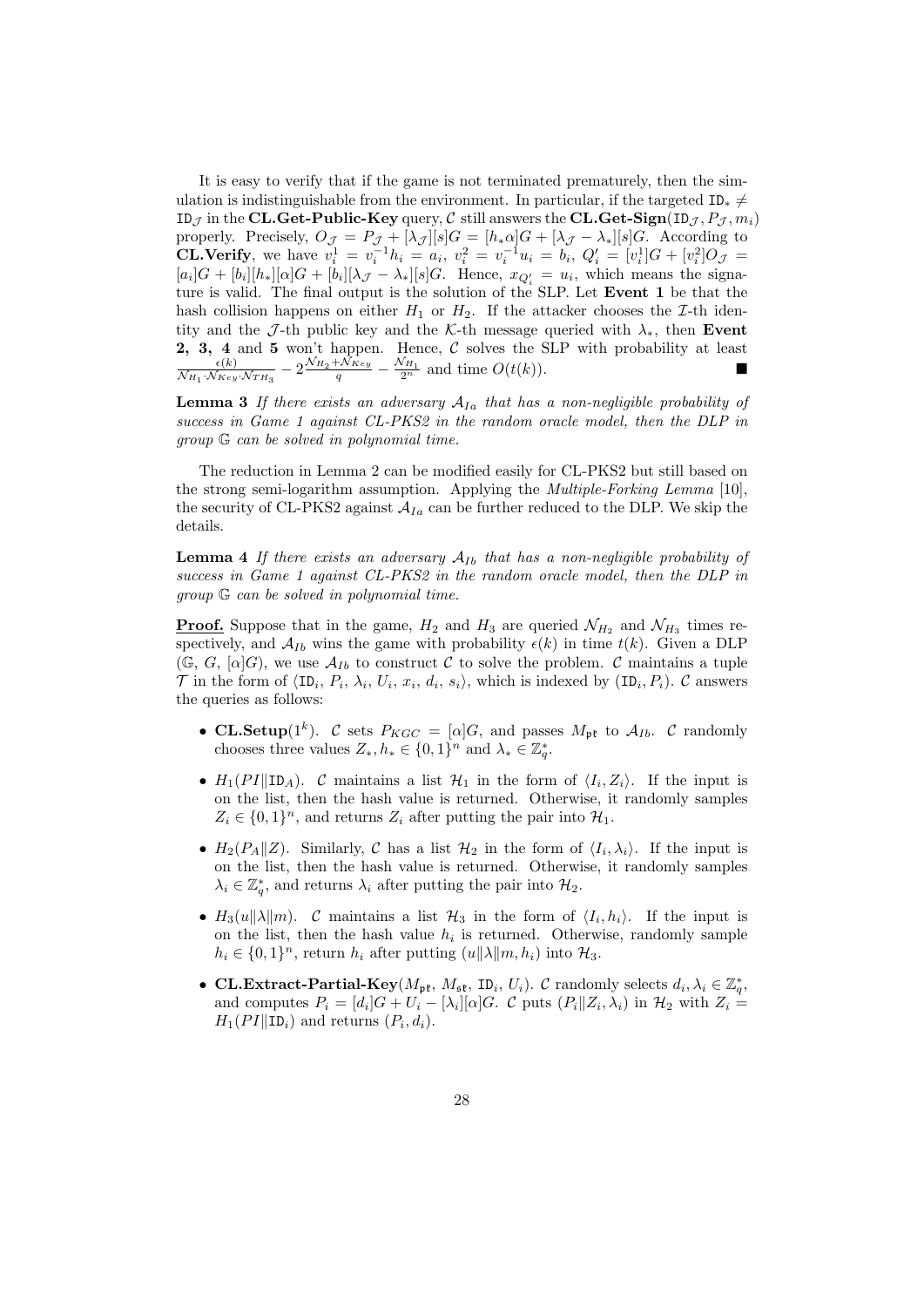It is easy to verify that if the game is not terminated prematurely, then the simulation is indistinguishable from the environment. In particular, if the targeted ID<sub>∗</sub>  $\neq$ ID<sub>J</sub> in the CL.Get-Public-Key query,  $C$  still answers the CL.Get-Sign(ID<sub>J</sub>,  $P_J$ ,  $m_i$ ) properly. Precisely,  $O_{J} = P_{J} + [\lambda_{J}][s]G = [h_{*}\alpha]G + [\lambda_{J} - \lambda_{*}][s]G$ . According to **CL.Verify**, we have  $v_i^1 = v_i^{-1}h_i = a_i$ ,  $v_i^2 = v_i^{-1}u_i = b_i$ ,  $Q_i' = [v_i^1]G + [v_i^2]O_J$  $[a_i]G + [b_i][h_*][\alpha]G + [b_i][\lambda_{\mathcal{J}} - \lambda_{*}][s]G$ . Hence,  $x_{Q_i'} = u_i$ , which means the signature is valid. The final output is the solution of the SLP. Let Event 1 be that the hash collision happens on either  $H_1$  or  $H_2$ . If the attacker chooses the *I*-th identity and the J-th public key and the K-th message queried with  $\lambda_*$ , then Event **2, 3, 4 and 5 won't happen.** Hence, C solves the SLP with probability at least  $\epsilon(k)$   $2^{\mathcal{N}_{H_2} + \mathcal{N}_{Key}}$   $\mathcal{N}_{H_1}$  and time  $O(\epsilon(k))$  $\frac{\epsilon(k)}{\mathcal{N}_{H_1} \cdot \mathcal{N}_{Key} \cdot \mathcal{N}_{TH_3}} - 2 \frac{\mathcal{N}_{H_2} + \mathcal{N}_{Key}}{q} - \frac{\mathcal{N}_{H_1}}{2^n}$  and time  $O(t(k)).$ 

**Lemma 3** If there exists an adversary  $A_{Ia}$  that has a non-negligible probability of success in Game 1 against CL-PKS2 in the random oracle model, then the DLP in group G can be solved in polynomial time.

The reduction in Lemma 2 can be modified easily for CL-PKS2 but still based on the strong semi-logarithm assumption. Applying the Multiple-Forking Lemma [10], the security of CL-PKS2 against  $A_{Ia}$  can be further reduced to the DLP. We skip the details.

**Lemma 4** If there exists an adversary  $A_{Ib}$  that has a non-negligible probability of success in Game 1 against CL-PKS2 in the random oracle model, then the DLP in group G can be solved in polynomial time.

**Proof.** Suppose that in the game,  $H_2$  and  $H_3$  are queried  $\mathcal{N}_{H_2}$  and  $\mathcal{N}_{H_3}$  times respectively, and  $A_{Ib}$  wins the game with probability  $\epsilon(k)$  in time  $t(k)$ . Given a DLP  $(\mathbb{G}, G, [\alpha]G)$ , we use  $\mathcal{A}_{Ib}$  to construct C to solve the problem. C maintains a tuple  $\mathcal T$  in the form of  $\langle \text{ID}_i, P_i, \lambda_i, U_i, x_i, d_i, s_i \rangle$ , which is indexed by  $(\text{ID}_i, P_i)$ .  $\mathcal C$  answers the queries as follows:

- CL.Setup(1<sup>k</sup>). C sets  $P_{KGC} = [\alpha]G$ , and passes  $M_{\mathfrak{pk}}$  to  $A_{Ib}$ . C randomly chooses three values  $Z_*, h_* \in \{0,1\}^n$  and  $\lambda_* \in \mathbb{Z}_q^*$ .
- $H_1(PI||ID_A)$ . C maintains a list  $\mathcal{H}_1$  in the form of  $\langle I_i, Z_i \rangle$ . If the input is on the list, then the hash value is returned. Otherwise, it randomly samples  $Z_i \in \{0,1\}^n$ , and returns  $Z_i$  after putting the pair into  $\mathcal{H}_1$ .
- $H_2(P_A||Z)$ . Similarly, C has a list  $\mathcal{H}_2$  in the form of  $\langle I_i, \lambda_i \rangle$ . If the input is on the list, then the hash value is returned. Otherwise, it randomly samples  $\lambda_i \in \mathbb{Z}_q^*$ , and returns  $\lambda_i$  after putting the pair into  $\mathcal{H}_2$ .
- $H_3(u||\lambda||m)$ . C maintains a list  $\mathcal{H}_3$  in the form of  $\langle I_i, h_i \rangle$ . If the input is on the list, then the hash value  $h_i$  is returned. Otherwise, randomly sample  $h_i \in \{0,1\}^n$ , return  $h_i$  after putting  $(u||\lambda||m, h_i)$  into  $\mathcal{H}_3$ .
- CL.Extract-Partial-Key( $M_{\rm pt}$ ,  $M_{\rm st}$ , ID<sub>i</sub>,  $U_i$ ). C randomly selects  $d_i, \lambda_i \in \mathbb{Z}_q^*$ , and computes  $P_i = [d_i]G + U_i - [\lambda_i][\alpha]G$ . C puts  $(P_i||Z_i, \lambda_i)$  in  $\mathcal{H}_2$  with  $Z_i =$  $H_1(PI \parallel ID_i)$  and returns  $(P_i, d_i)$ .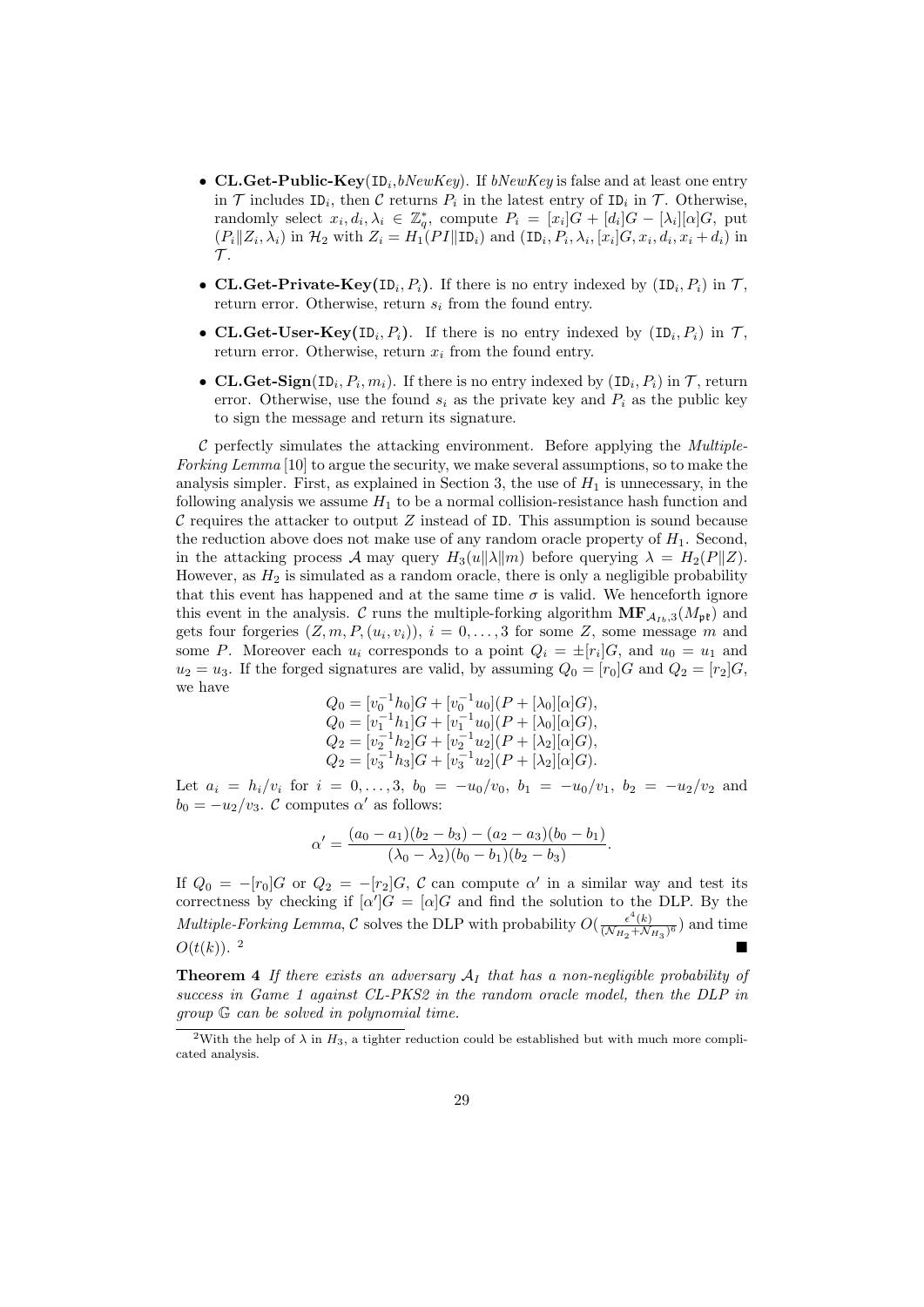- CL.Get-Public-Key(ID<sub>i</sub>,bNewKey). If bNewKey is false and at least one entry in  $\mathcal T$  includes ID<sub>i</sub>, then  $\mathcal C$  returns  $P_i$  in the latest entry of ID<sub>i</sub> in  $\mathcal T$ . Otherwise, randomly select  $x_i, d_i, \lambda_i \in \mathbb{Z}_q^*$ , compute  $P_i = [x_i]\hat{G} + [d_i]G - [\lambda_i][\alpha]G$ , put  $(P_i||Z_i, \lambda_i)$  in  $\mathcal{H}_2$  with  $Z_i = H_1(PI||ID_i)$  and  $(ID_i, P_i, \lambda_i, [x_i]G, x_i, d_i, x_i + d_i)$  in  $\mathcal{T}$ .
- CL.Get-Private-Key(ID<sub>i</sub>,  $P_i$ ). If there is no entry indexed by  $(ID_i, P_i)$  in  $\mathcal{T}$ , return error. Otherwise, return  $s_i$  from the found entry.
- CL.Get-User-Key(ID<sub>i</sub>,  $P_i$ ). If there is no entry indexed by  $(ID_i, P_i)$  in  $\mathcal{T}$ , return error. Otherwise, return  $x_i$  from the found entry.
- CL.Get-Sign(ID<sub>i</sub>,  $P_i$ ,  $m_i$ ). If there is no entry indexed by  $(ID_i, P_i)$  in  $\mathcal{T}$ , return error. Otherwise, use the found  $s_i$  as the private key and  $P_i$  as the public key to sign the message and return its signature.

 $C$  perfectly simulates the attacking environment. Before applying the *Multiple*-Forking Lemma [10] to argue the security, we make several assumptions, so to make the analysis simpler. First, as explained in Section 3, the use of  $H_1$  is unnecessary, in the following analysis we assume  $H_1$  to be a normal collision-resistance hash function and C requires the attacker to output  $Z$  instead of ID. This assumption is sound because the reduction above does not make use of any random oracle property of  $H_1$ . Second, in the attacking process A may query  $H_3(u||\lambda||m)$  before querying  $\lambda = H_2(P||Z)$ . However, as  $H_2$  is simulated as a random oracle, there is only a negligible probability that this event has happened and at the same time  $\sigma$  is valid. We henceforth ignore this event in the analysis. C runs the multiple-forking algorithm  $\mathbf{MF}_{A_{Ib},3}(M_{\mathbf{p}\mathbf{t}})$  and gets four forgeries  $(Z, m, P, (u_i, v_i)), i = 0, \ldots, 3$  for some Z, some message m and some P. Moreover each  $u_i$  corresponds to a point  $Q_i = \pm [r_i]G$ , and  $u_0 = u_1$  and  $u_2 = u_3$ . If the forged signatures are valid, by assuming  $Q_0 = [r_0]G$  and  $Q_2 = [r_2]G$ , we have

$$
\begin{array}{l} Q_0=[v_0^{-1}h_0]G+[v_0^{-1}u_0](P+[\lambda_0][\alpha]G), \\ Q_0=[v_1^{-1}h_1]G+[v_1^{-1}u_0](P+[\lambda_0][\alpha]G), \\ Q_2=[v_2^{-1}h_2]G+[v_2^{-1}u_2](P+[\lambda_2][\alpha]G), \\ Q_2=[v_3^{-1}h_3]G+[v_3^{-1}u_2](P+[\lambda_2][\alpha]G). \end{array}
$$

Let  $a_i = h_i/v_i$  for  $i = 0, ..., 3, b_0 = -u_0/v_0, b_1 = -u_0/v_1, b_2 = -u_2/v_2$  and  $b_0 = -u_2/v_3$ . C computes  $\alpha'$  as follows:

$$
\alpha' = \frac{(a_0 - a_1)(b_2 - b_3) - (a_2 - a_3)(b_0 - b_1)}{(\lambda_0 - \lambda_2)(b_0 - b_1)(b_2 - b_3)}.
$$

If  $Q_0 = -[r_0]G$  or  $Q_2 = -[r_2]G$ , C can compute  $\alpha'$  in a similar way and test its correctness by checking if  $[\alpha']G = [\alpha]G$  and find the solution to the DLP. By the *Multiple-Forking Lemma,* C solves the DLP with probability  $O(\frac{\epsilon^4(k)}{(N_H + N_H)})$  $\frac{\epsilon(\kappa)}{(\mathcal{N}_{H_2} + \mathcal{N}_{H_3})^6}$  and time  $O(t(k))$ .<sup>2</sup>

**Theorem 4** If there exists an adversary  $A_I$  that has a non-negligible probability of success in Game 1 against CL-PKS2 in the random oracle model, then the DLP in group G can be solved in polynomial time.

<sup>&</sup>lt;sup>2</sup>With the help of  $\lambda$  in  $H_3$ , a tighter reduction could be established but with much more complicated analysis.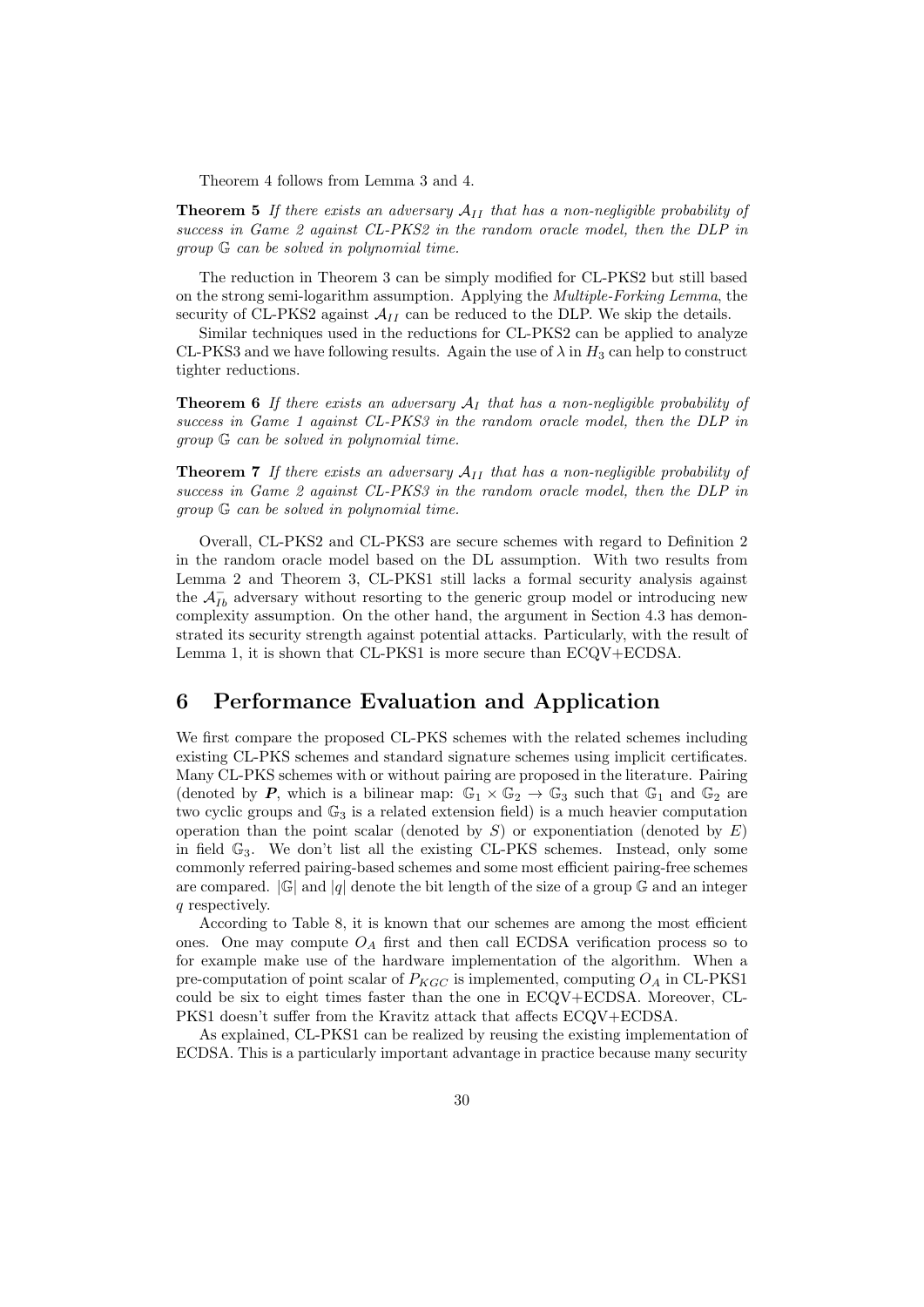Theorem 4 follows from Lemma 3 and 4.

**Theorem 5** If there exists an adversary  $A_{II}$  that has a non-negligible probability of success in Game 2 against CL-PKS2 in the random oracle model, then the DLP in group G can be solved in polynomial time.

The reduction in Theorem 3 can be simply modified for CL-PKS2 but still based on the strong semi-logarithm assumption. Applying the Multiple-Forking Lemma, the security of CL-PKS2 against  $\mathcal{A}_{II}$  can be reduced to the DLP. We skip the details.

Similar techniques used in the reductions for CL-PKS2 can be applied to analyze CL-PKS3 and we have following results. Again the use of  $\lambda$  in  $H_3$  can help to construct tighter reductions.

**Theorem 6** If there exists an adversary  $A<sub>I</sub>$  that has a non-negligible probability of success in Game 1 against CL-PKS3 in the random oracle model, then the DLP in group G can be solved in polynomial time.

**Theorem 7** If there exists an adversary  $A_{II}$  that has a non-negligible probability of success in Game 2 against CL-PKS3 in the random oracle model, then the DLP in group G can be solved in polynomial time.

Overall, CL-PKS2 and CL-PKS3 are secure schemes with regard to Definition 2 in the random oracle model based on the DL assumption. With two results from Lemma 2 and Theorem 3, CL-PKS1 still lacks a formal security analysis against the  $\mathcal{A}_{Ib}^-$  adversary without resorting to the generic group model or introducing new complexity assumption. On the other hand, the argument in Section 4.3 has demonstrated its security strength against potential attacks. Particularly, with the result of Lemma 1, it is shown that CL-PKS1 is more secure than ECQV+ECDSA.

# 6 Performance Evaluation and Application

We first compare the proposed CL-PKS schemes with the related schemes including existing CL-PKS schemes and standard signature schemes using implicit certificates. Many CL-PKS schemes with or without pairing are proposed in the literature. Pairing (denoted by P, which is a bilinear map:  $\mathbb{G}_1 \times \mathbb{G}_2 \to \mathbb{G}_3$  such that  $\mathbb{G}_1$  and  $\mathbb{G}_2$  are two cyclic groups and  $\mathbb{G}_3$  is a related extension field) is a much heavier computation operation than the point scalar (denoted by  $S$ ) or exponentiation (denoted by  $E$ ) in field  $\mathbb{G}_3$ . We don't list all the existing CL-PKS schemes. Instead, only some commonly referred pairing-based schemes and some most efficient pairing-free schemes are compared.  $|\mathbb{G}|$  and  $|q|$  denote the bit length of the size of a group  $\mathbb{G}$  and an integer q respectively.

According to Table 8, it is known that our schemes are among the most efficient ones. One may compute  $O_A$  first and then call ECDSA verification process so to for example make use of the hardware implementation of the algorithm. When a pre-computation of point scalar of  $P_{KGC}$  is implemented, computing  $O_A$  in CL-PKS1 could be six to eight times faster than the one in ECQV+ECDSA. Moreover, CL-PKS1 doesn't suffer from the Kravitz attack that affects ECQV+ECDSA.

As explained, CL-PKS1 can be realized by reusing the existing implementation of ECDSA. This is a particularly important advantage in practice because many security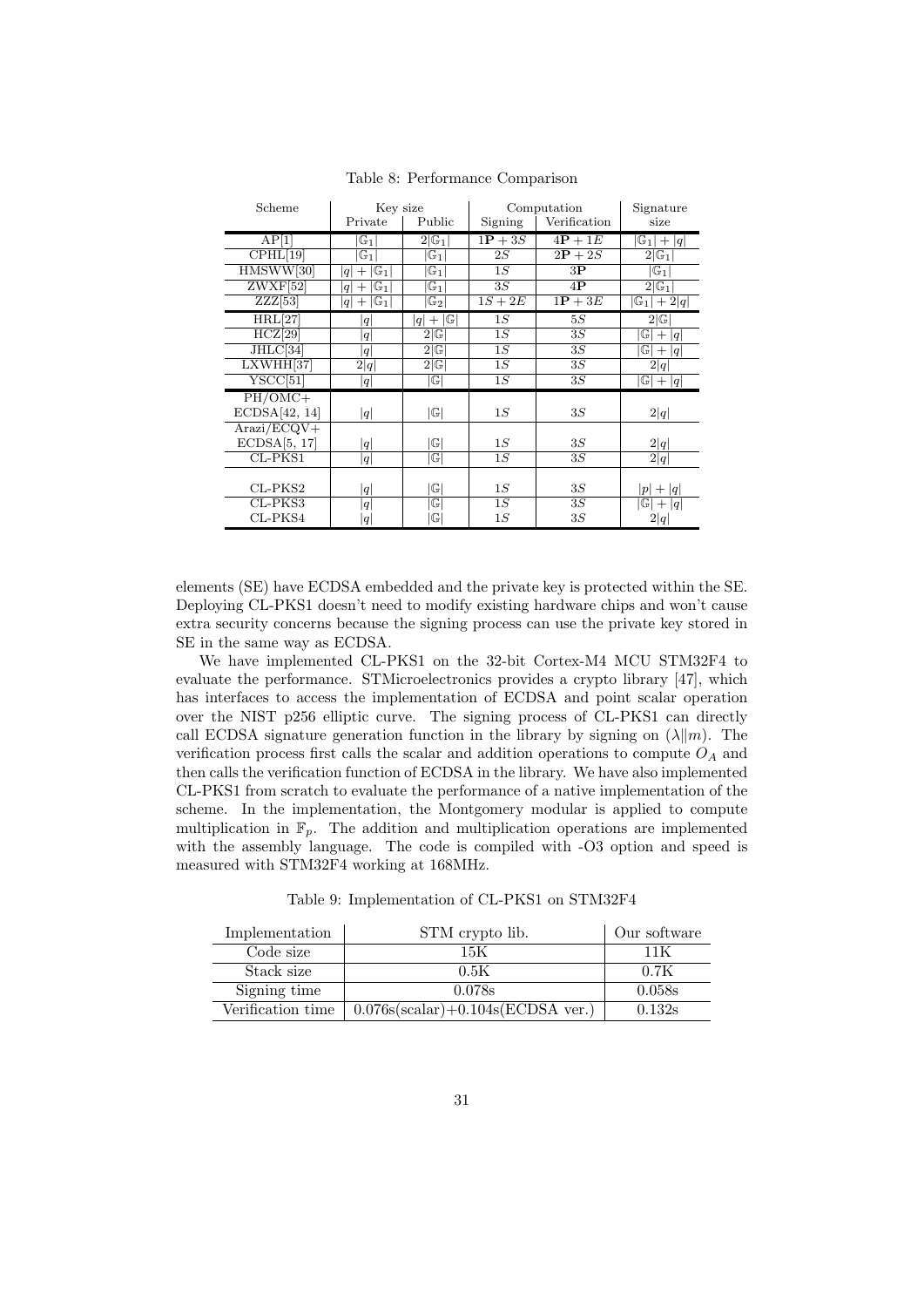| Scheme                      | Key size                       |                                                |           | Computation        | Signature                       |
|-----------------------------|--------------------------------|------------------------------------------------|-----------|--------------------|---------------------------------|
|                             | Private                        | Public                                         | Signing   | Verification       | size                            |
| AP[1]                       | $\mathbb{G}_1$                 | $2 G_1 $                                       | $1P + 3S$ | $4P + 1E$          | $ \mathbb{G}_1 + q $            |
| CPHL[19]                    | $\boxed{\mathbb{G}_1}$         | $\mathbb{G}_1$                                 | 2S        | $\overline{2P}+2S$ | $2 G_1 $                        |
| HMSWW[30]                   | $ G_1 $<br>$^{+}$<br> q        | $\mathbb{G}_1$                                 | 1S        | 3P                 | $ \mathbb{G}_1 $                |
| $ZWXF$ [52]                 | $\mathbb{G}_1$<br>$^+$<br>q    | $\mathbb{G}_1$                                 | 3S        | $4{\bf P}$         | $2 \mathbb{G}_1 $               |
| ZZZ[53]                     | $\mathbb{G}_1$<br>$^{+}$<br> q | $\mathbb{G}_2$                                 | $1S+2E$   | $1\mathbf{P} + 3E$ | $\overline{\mathbb{G}_1 +2 q }$ |
| HRL[27]                     | q                              | G <br>$^{+}$<br> q                             | 1S        | 5S                 | 2 G                             |
| HCZ[29]                     | q                              | $2 \mathbb{G} $                                | 1S        | 3S                 | $ \mathbb{G} + q $              |
| JHLC[34]                    | q                              | $2 \mathbb{G} $                                | 1S        | 3S                 | $ \mathbb{G} + q $              |
| LXWHH[37]                   | 2 q                            | $2 \mathbb{G} $                                | 1S        | 3S                 | 2 q                             |
| YSCC[51]                    | q                              | $\mathbb{G}$                                   | 1S        | 3S                 | $ \overline{\mathbb{G}} + q $   |
| PH/OMC+                     |                                |                                                |           |                    |                                 |
| ECDSA[42, 14]               | q                              | $ \mathbb{G} $                                 | 1S        | 3S                 | 2 q                             |
| $\text{Arazi}/\text{ECQV}+$ |                                |                                                |           |                    |                                 |
| ECDSA[5, 17]                | q                              | $ \mathbb{G} $                                 | 1S        | 3S                 | 2 q                             |
| $CL$ -P $KS1$               | q                              | $\mathbb{G}$                                   | 1S        | 3S                 | 2 q                             |
|                             |                                |                                                |           |                    |                                 |
| $CL$ -P $KS2$               | q                              | $ \mathbb{G} $                                 | 1S        | 3S                 | $ p  +  q $                     |
| CL-PKS3                     | q                              | $ \mathbb{G} $                                 | 1S        | 3S                 | $ \overline{\mathbb{G}} + q $   |
| CL-PKS4                     | q                              | $\mathbb{G}% _{n}^{X}\left( \mathbb{G}\right)$ | 1S        | 3S                 | 2 q                             |

Table 8: Performance Comparison

elements (SE) have ECDSA embedded and the private key is protected within the SE. Deploying CL-PKS1 doesn't need to modify existing hardware chips and won't cause extra security concerns because the signing process can use the private key stored in SE in the same way as ECDSA.

We have implemented CL-PKS1 on the 32-bit Cortex-M4 MCU STM32F4 to evaluate the performance. STMicroelectronics provides a crypto library [47], which has interfaces to access the implementation of ECDSA and point scalar operation over the NIST p256 elliptic curve. The signing process of CL-PKS1 can directly call ECDSA signature generation function in the library by signing on  $(\lambda \| m)$ . The verification process first calls the scalar and addition operations to compute  $O<sub>A</sub>$  and then calls the verification function of ECDSA in the library. We have also implemented CL-PKS1 from scratch to evaluate the performance of a native implementation of the scheme. In the implementation, the Montgomery modular is applied to compute multiplication in  $\mathbb{F}_p$ . The addition and multiplication operations are implemented with the assembly language. The code is compiled with -O3 option and speed is measured with STM32F4 working at 168MHz.

| Table 9: Implementation of CL-PKS1 on STM32F4 |  |  |
|-----------------------------------------------|--|--|
|-----------------------------------------------|--|--|

| Implementation    | STM crypto lib.                       | Our software |
|-------------------|---------------------------------------|--------------|
| Code size         | 15K                                   | 11 K         |
| Stack size        | 0.5K                                  | 0.7K         |
| Signing time      | 0.078s                                | 0.058s       |
| Verification time | $0.076s(scalar) + 0.104s(ECDSA ver.)$ | 0.132s       |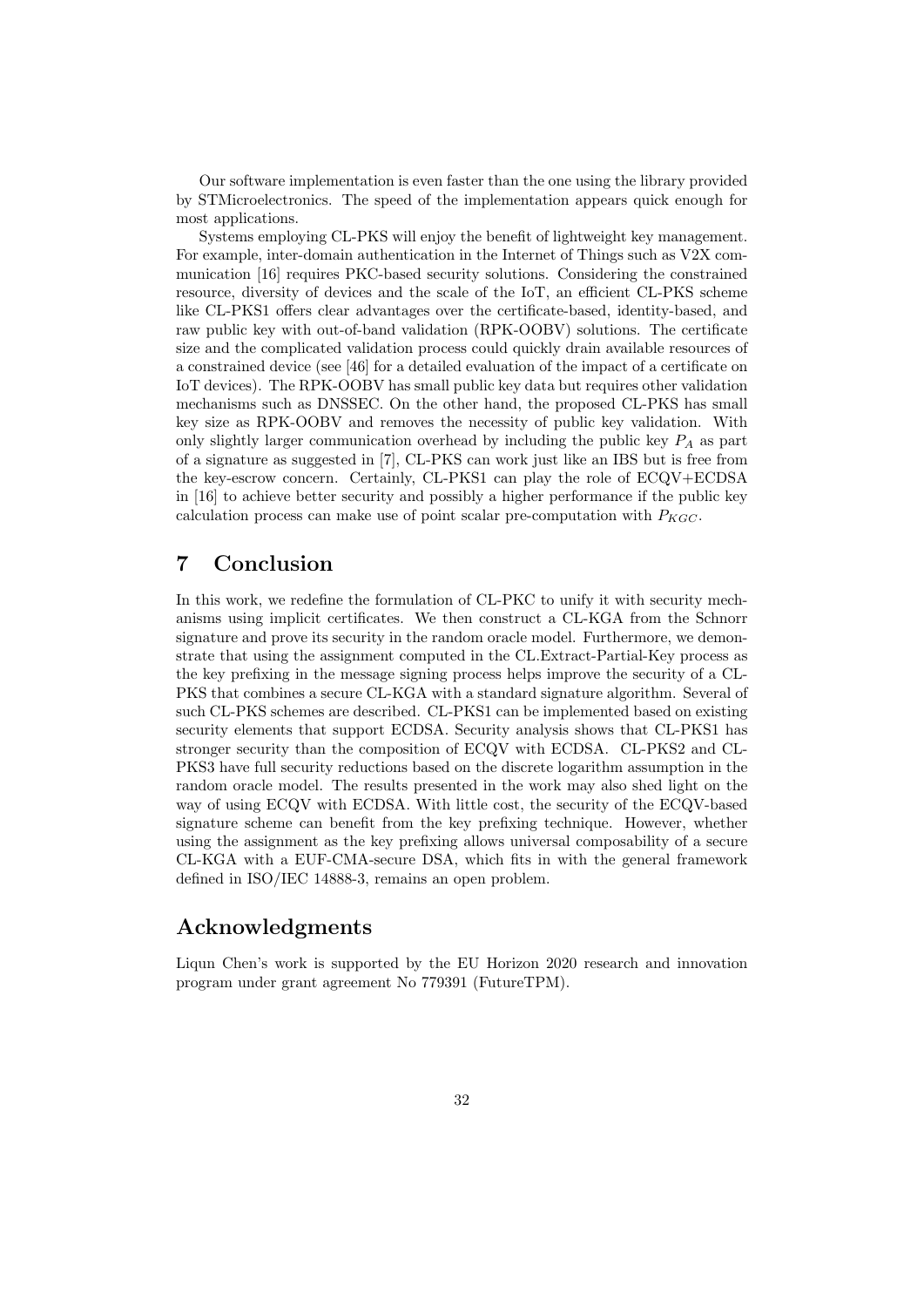Our software implementation is even faster than the one using the library provided by STMicroelectronics. The speed of the implementation appears quick enough for most applications.

Systems employing CL-PKS will enjoy the benefit of lightweight key management. For example, inter-domain authentication in the Internet of Things such as V2X communication [16] requires PKC-based security solutions. Considering the constrained resource, diversity of devices and the scale of the IoT, an efficient CL-PKS scheme like CL-PKS1 offers clear advantages over the certificate-based, identity-based, and raw public key with out-of-band validation (RPK-OOBV) solutions. The certificate size and the complicated validation process could quickly drain available resources of a constrained device (see [46] for a detailed evaluation of the impact of a certificate on IoT devices). The RPK-OOBV has small public key data but requires other validation mechanisms such as DNSSEC. On the other hand, the proposed CL-PKS has small key size as RPK-OOBV and removes the necessity of public key validation. With only slightly larger communication overhead by including the public key  $P_A$  as part of a signature as suggested in [7], CL-PKS can work just like an IBS but is free from the key-escrow concern. Certainly, CL-PKS1 can play the role of ECQV+ECDSA in [16] to achieve better security and possibly a higher performance if the public key calculation process can make use of point scalar pre-computation with  $P_{KGC}$ .

# 7 Conclusion

In this work, we redefine the formulation of CL-PKC to unify it with security mechanisms using implicit certificates. We then construct a CL-KGA from the Schnorr signature and prove its security in the random oracle model. Furthermore, we demonstrate that using the assignment computed in the CL.Extract-Partial-Key process as the key prefixing in the message signing process helps improve the security of a CL-PKS that combines a secure CL-KGA with a standard signature algorithm. Several of such CL-PKS schemes are described. CL-PKS1 can be implemented based on existing security elements that support ECDSA. Security analysis shows that CL-PKS1 has stronger security than the composition of ECQV with ECDSA. CL-PKS2 and CL-PKS3 have full security reductions based on the discrete logarithm assumption in the random oracle model. The results presented in the work may also shed light on the way of using ECQV with ECDSA. With little cost, the security of the ECQV-based signature scheme can benefit from the key prefixing technique. However, whether using the assignment as the key prefixing allows universal composability of a secure CL-KGA with a EUF-CMA-secure DSA, which fits in with the general framework defined in ISO/IEC 14888-3, remains an open problem.

# Acknowledgments

Liqun Chen's work is supported by the EU Horizon 2020 research and innovation program under grant agreement No 779391 (FutureTPM).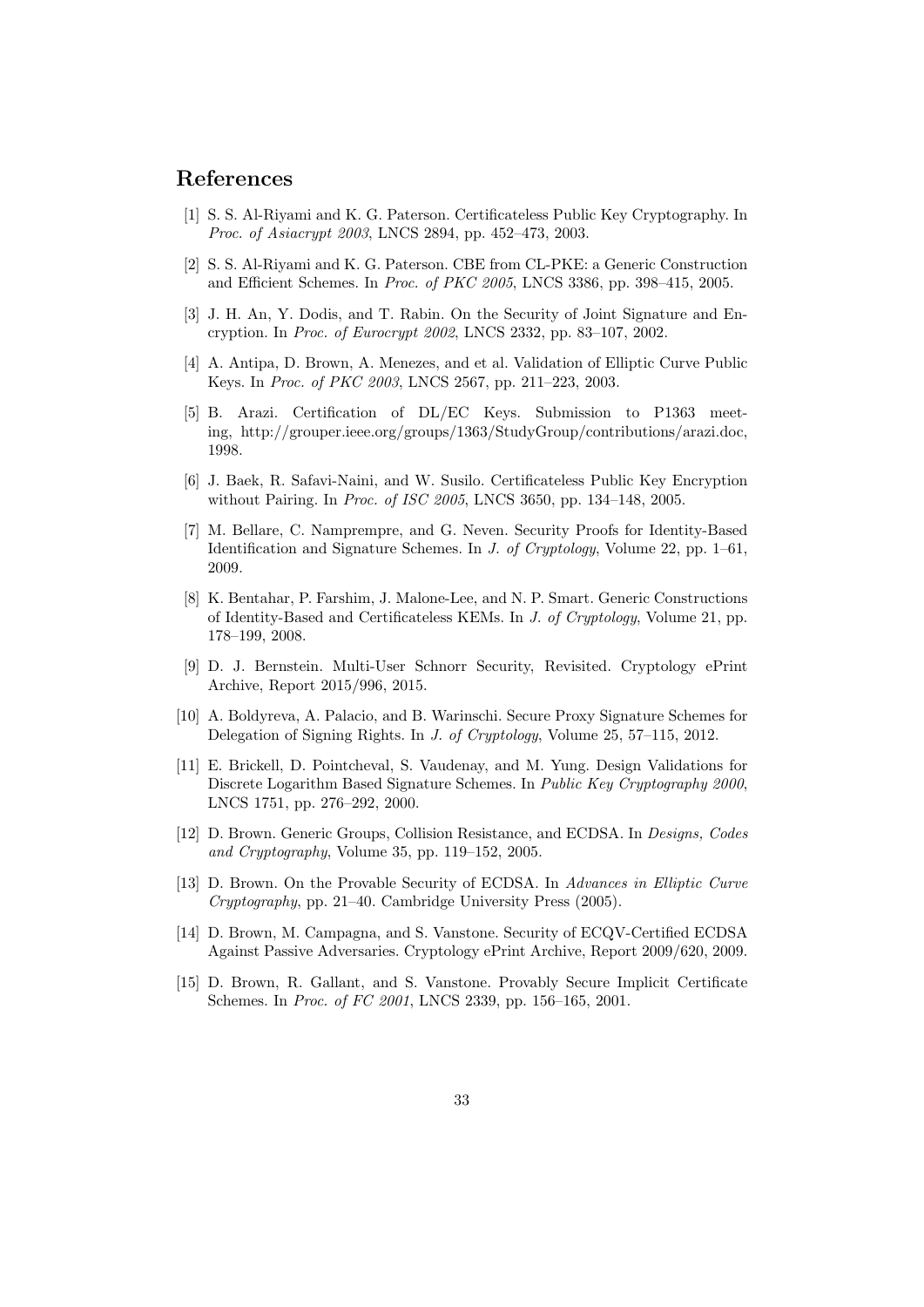# References

- [1] S. S. Al-Riyami and K. G. Paterson. Certificateless Public Key Cryptography. In Proc. of Asiacrypt 2003, LNCS 2894, pp. 452–473, 2003.
- [2] S. S. Al-Riyami and K. G. Paterson. CBE from CL-PKE: a Generic Construction and Efficient Schemes. In Proc. of PKC 2005, LNCS 3386, pp. 398–415, 2005.
- [3] J. H. An, Y. Dodis, and T. Rabin. On the Security of Joint Signature and Encryption. In Proc. of Eurocrypt 2002, LNCS 2332, pp. 83–107, 2002.
- [4] A. Antipa, D. Brown, A. Menezes, and et al. Validation of Elliptic Curve Public Keys. In Proc. of PKC 2003, LNCS 2567, pp. 211–223, 2003.
- [5] B. Arazi. Certification of DL/EC Keys. Submission to P1363 meeting, http://grouper.ieee.org/groups/1363/StudyGroup/contributions/arazi.doc, 1998.
- [6] J. Baek, R. Safavi-Naini, and W. Susilo. Certificateless Public Key Encryption without Pairing. In Proc. of ISC 2005, LNCS 3650, pp. 134–148, 2005.
- [7] M. Bellare, C. Namprempre, and G. Neven. Security Proofs for Identity-Based Identification and Signature Schemes. In J. of Cryptology, Volume 22, pp. 1–61, 2009.
- [8] K. Bentahar, P. Farshim, J. Malone-Lee, and N. P. Smart. Generic Constructions of Identity-Based and Certificateless KEMs. In J. of Cryptology, Volume 21, pp. 178–199, 2008.
- [9] D. J. Bernstein. Multi-User Schnorr Security, Revisited. Cryptology ePrint Archive, Report 2015/996, 2015.
- [10] A. Boldyreva, A. Palacio, and B. Warinschi. Secure Proxy Signature Schemes for Delegation of Signing Rights. In J. of Cryptology, Volume 25, 57–115, 2012.
- [11] E. Brickell, D. Pointcheval, S. Vaudenay, and M. Yung. Design Validations for Discrete Logarithm Based Signature Schemes. In Public Key Cryptography 2000, LNCS 1751, pp. 276–292, 2000.
- [12] D. Brown. Generic Groups, Collision Resistance, and ECDSA. In Designs, Codes and Cryptography, Volume 35, pp. 119–152, 2005.
- [13] D. Brown. On the Provable Security of ECDSA. In Advances in Elliptic Curve Cryptography, pp. 21–40. Cambridge University Press (2005).
- [14] D. Brown, M. Campagna, and S. Vanstone. Security of ECQV-Certified ECDSA Against Passive Adversaries. Cryptology ePrint Archive, Report 2009/620, 2009.
- [15] D. Brown, R. Gallant, and S. Vanstone. Provably Secure Implicit Certificate Schemes. In Proc. of FC 2001, LNCS 2339, pp. 156–165, 2001.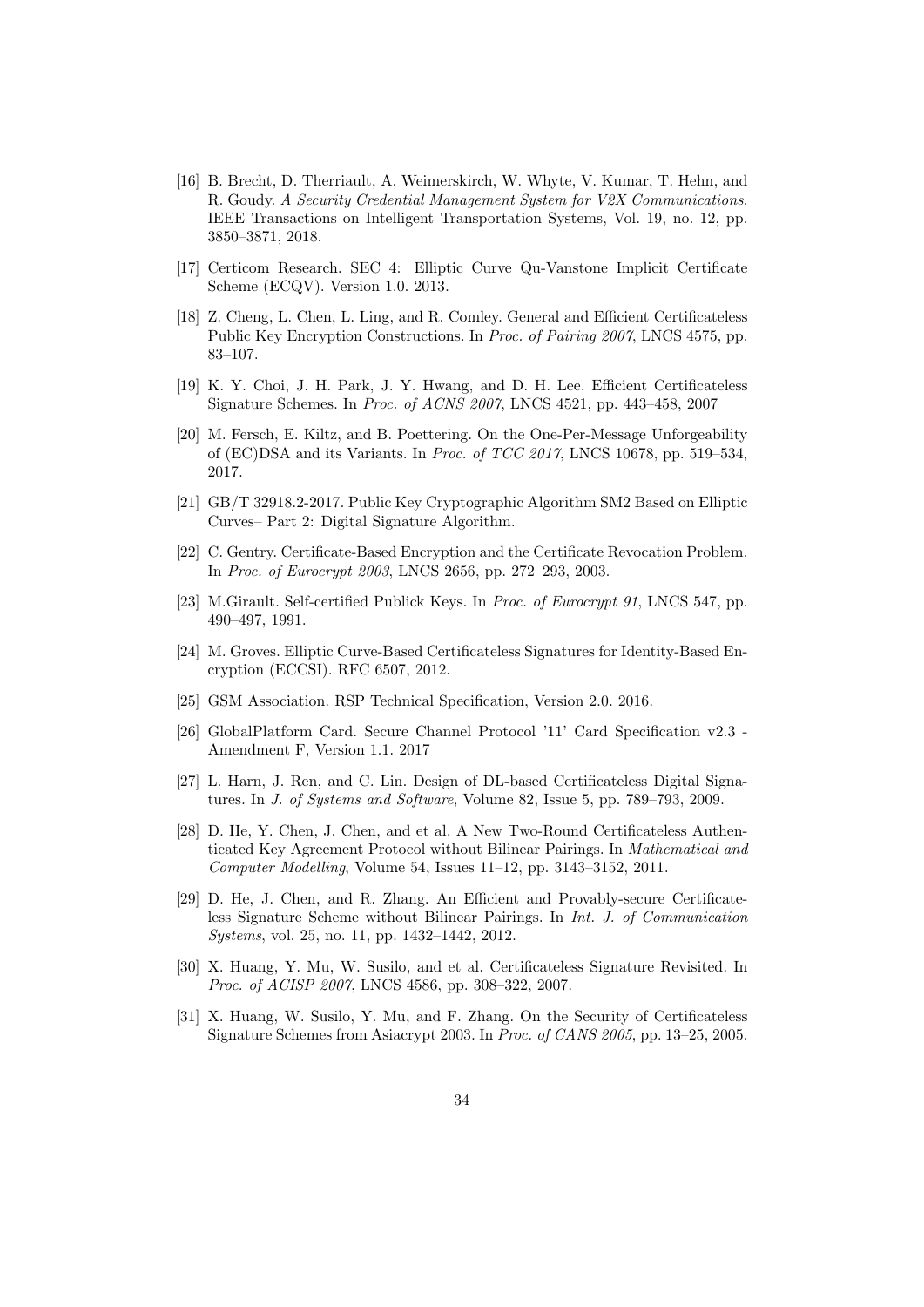- [16] B. Brecht, D. Therriault, A. Weimerskirch, W. Whyte, V. Kumar, T. Hehn, and R. Goudy. A Security Credential Management System for V2X Communications. IEEE Transactions on Intelligent Transportation Systems, Vol. 19, no. 12, pp. 3850–3871, 2018.
- [17] Certicom Research. SEC 4: Elliptic Curve Qu-Vanstone Implicit Certificate Scheme (ECQV). Version 1.0. 2013.
- [18] Z. Cheng, L. Chen, L. Ling, and R. Comley. General and Efficient Certificateless Public Key Encryption Constructions. In Proc. of Pairing 2007, LNCS 4575, pp. 83–107.
- [19] K. Y. Choi, J. H. Park, J. Y. Hwang, and D. H. Lee. Efficient Certificateless Signature Schemes. In Proc. of ACNS 2007, LNCS 4521, pp. 443–458, 2007
- [20] M. Fersch, E. Kiltz, and B. Poettering. On the One-Per-Message Unforgeability of (EC)DSA and its Variants. In Proc. of TCC 2017, LNCS 10678, pp. 519–534, 2017.
- [21] GB/T 32918.2-2017. Public Key Cryptographic Algorithm SM2 Based on Elliptic Curves– Part 2: Digital Signature Algorithm.
- [22] C. Gentry. Certificate-Based Encryption and the Certificate Revocation Problem. In Proc. of Eurocrypt 2003, LNCS 2656, pp. 272–293, 2003.
- [23] M.Girault. Self-certified Publick Keys. In Proc. of Eurocrypt 91, LNCS 547, pp. 490–497, 1991.
- [24] M. Groves. Elliptic Curve-Based Certificateless Signatures for Identity-Based Encryption (ECCSI). RFC 6507, 2012.
- [25] GSM Association. RSP Technical Specification, Version 2.0. 2016.
- [26] GlobalPlatform Card. Secure Channel Protocol '11' Card Specification v2.3 Amendment F, Version 1.1. 2017
- [27] L. Harn, J. Ren, and C. Lin. Design of DL-based Certificateless Digital Signatures. In J. of Systems and Software, Volume 82, Issue 5, pp. 789–793, 2009.
- [28] D. He, Y. Chen, J. Chen, and et al. A New Two-Round Certificateless Authenticated Key Agreement Protocol without Bilinear Pairings. In Mathematical and Computer Modelling, Volume 54, Issues 11–12, pp. 3143–3152, 2011.
- [29] D. He, J. Chen, and R. Zhang. An Efficient and Provably-secure Certificateless Signature Scheme without Bilinear Pairings. In Int. J. of Communication Systems, vol. 25, no. 11, pp. 1432–1442, 2012.
- [30] X. Huang, Y. Mu, W. Susilo, and et al. Certificateless Signature Revisited. In Proc. of ACISP 2007, LNCS 4586, pp. 308-322, 2007.
- [31] X. Huang, W. Susilo, Y. Mu, and F. Zhang. On the Security of Certificateless Signature Schemes from Asiacrypt 2003. In Proc. of CANS 2005, pp. 13–25, 2005.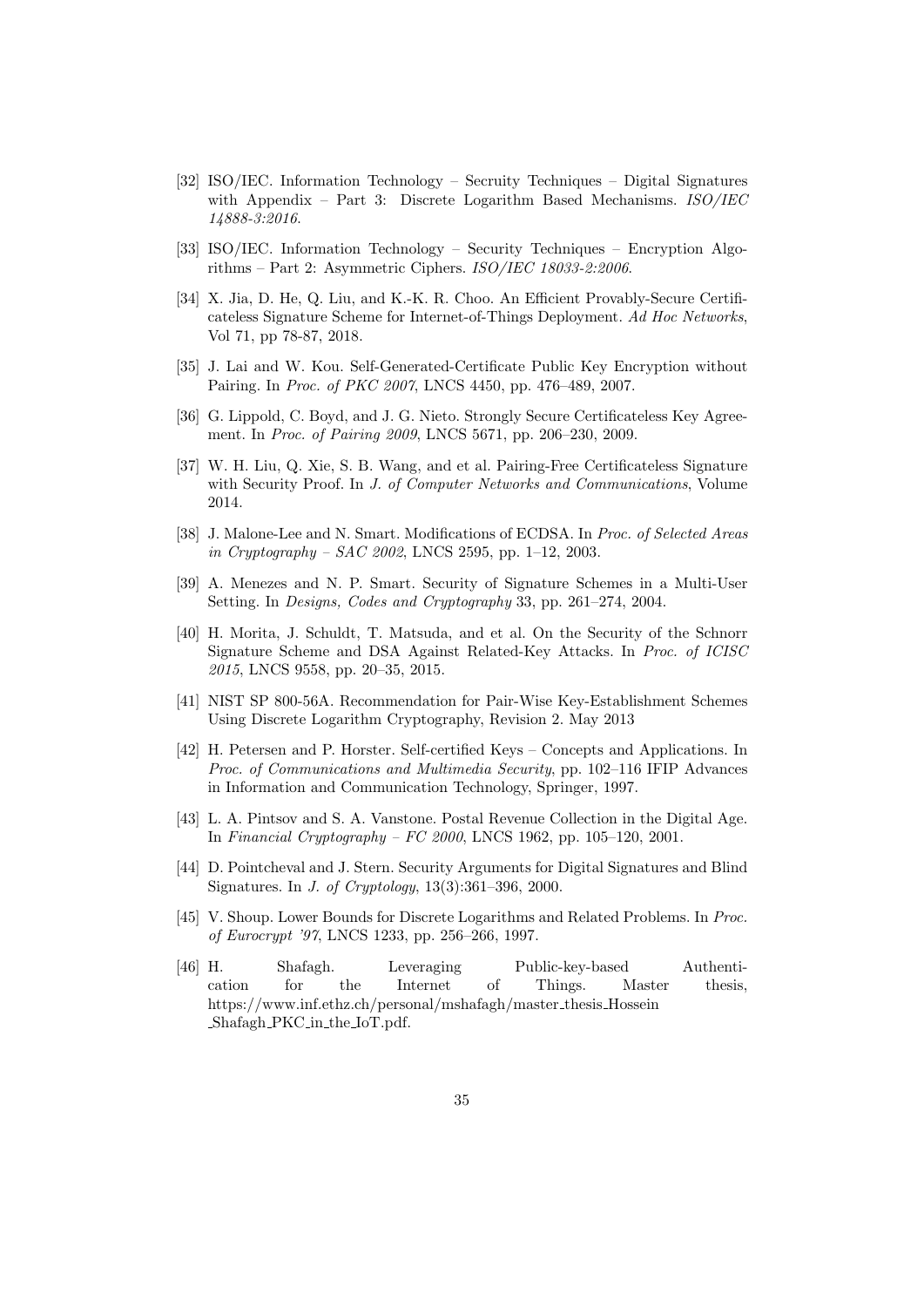- [32] ISO/IEC. Information Technology Secruity Techniques Digital Signatures with Appendix – Part 3: Discrete Logarithm Based Mechanisms.  $ISO/IEC$ 14888-3:2016.
- [33] ISO/IEC. Information Technology Security Techniques Encryption Algorithms – Part 2: Asymmetric Ciphers. ISO/IEC 18033-2:2006.
- [34] X. Jia, D. He, Q. Liu, and K.-K. R. Choo. An Efficient Provably-Secure Certificateless Signature Scheme for Internet-of-Things Deployment. Ad Hoc Networks, Vol 71, pp 78-87, 2018.
- [35] J. Lai and W. Kou. Self-Generated-Certificate Public Key Encryption without Pairing. In Proc. of PKC 2007, LNCS 4450, pp. 476–489, 2007.
- [36] G. Lippold, C. Boyd, and J. G. Nieto. Strongly Secure Certificateless Key Agreement. In Proc. of Pairing 2009, LNCS 5671, pp. 206–230, 2009.
- [37] W. H. Liu, Q. Xie, S. B. Wang, and et al. Pairing-Free Certificateless Signature with Security Proof. In J. of Computer Networks and Communications, Volume 2014.
- [38] J. Malone-Lee and N. Smart. Modifications of ECDSA. In Proc. of Selected Areas in Cryptography – SAC 2002, LNCS 2595, pp. 1–12, 2003.
- [39] A. Menezes and N. P. Smart. Security of Signature Schemes in a Multi-User Setting. In Designs, Codes and Cryptography 33, pp. 261–274, 2004.
- [40] H. Morita, J. Schuldt, T. Matsuda, and et al. On the Security of the Schnorr Signature Scheme and DSA Against Related-Key Attacks. In Proc. of ICISC 2015, LNCS 9558, pp. 20–35, 2015.
- [41] NIST SP 800-56A. Recommendation for Pair-Wise Key-Establishment Schemes Using Discrete Logarithm Cryptography, Revision 2. May 2013
- [42] H. Petersen and P. Horster. Self-certified Keys Concepts and Applications. In Proc. of Communications and Multimedia Security, pp. 102–116 IFIP Advances in Information and Communication Technology, Springer, 1997.
- [43] L. A. Pintsov and S. A. Vanstone. Postal Revenue Collection in the Digital Age. In Financial Cryptography – FC 2000, LNCS 1962, pp. 105–120, 2001.
- [44] D. Pointcheval and J. Stern. Security Arguments for Digital Signatures and Blind Signatures. In J. of Cryptology, 13(3):361–396, 2000.
- [45] V. Shoup. Lower Bounds for Discrete Logarithms and Related Problems. In Proc. of Eurocrypt '97, LNCS 1233, pp. 256–266, 1997.
- [46] H. Shafagh. Leveraging Public-key-based Authentication for the Internet of Things. Master thesis, https://www.inf.ethz.ch/personal/mshafagh/master thesis Hossein Shafagh PKC in the IoT.pdf.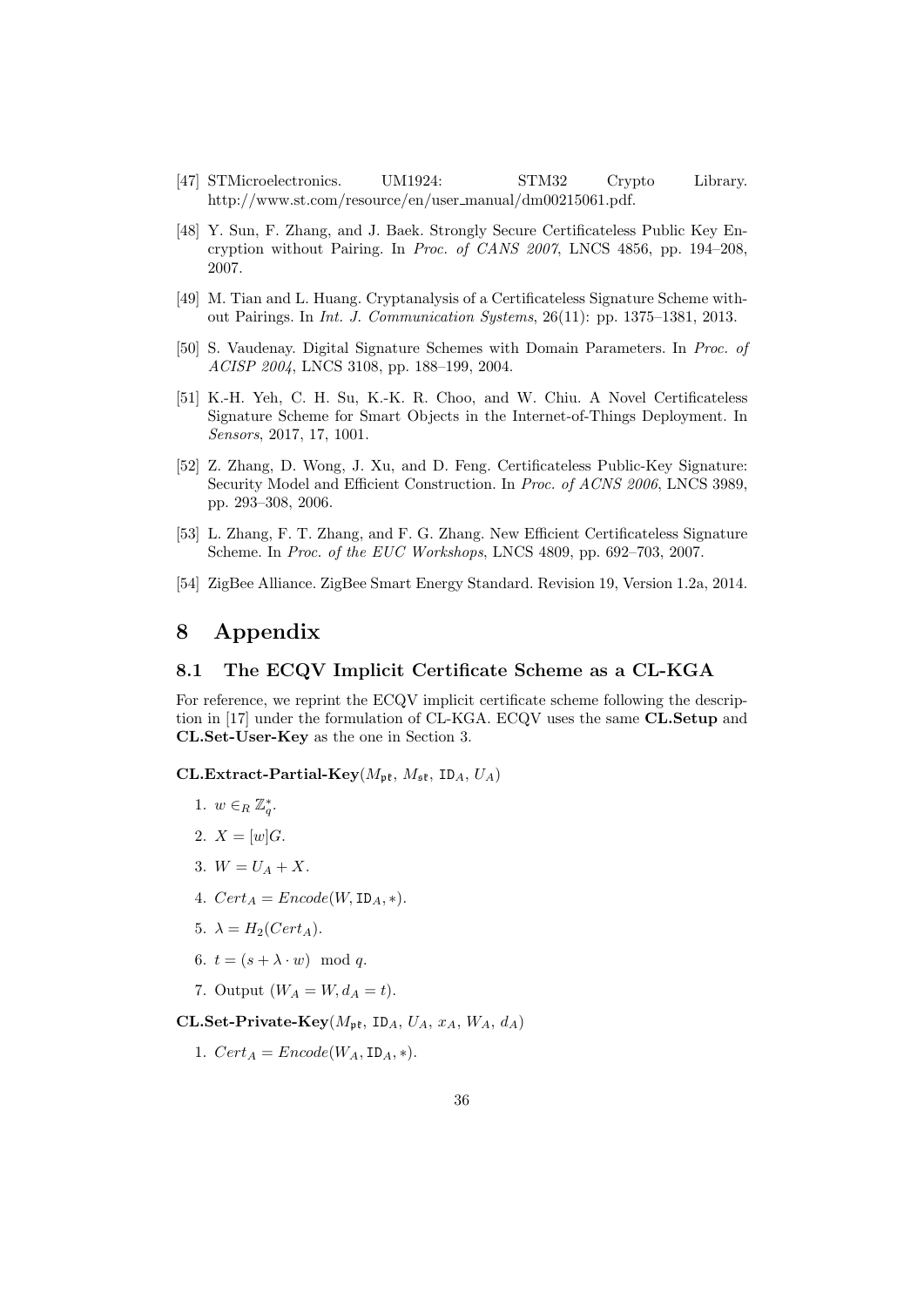- [47] STMicroelectronics. UM1924: STM32 Crypto Library. http://www.st.com/resource/en/user manual/dm00215061.pdf.
- [48] Y. Sun, F. Zhang, and J. Baek. Strongly Secure Certificateless Public Key Encryption without Pairing. In Proc. of CANS 2007, LNCS 4856, pp. 194–208, 2007.
- [49] M. Tian and L. Huang. Cryptanalysis of a Certificateless Signature Scheme without Pairings. In Int. J. Communication Systems, 26(11): pp. 1375–1381, 2013.
- [50] S. Vaudenay. Digital Signature Schemes with Domain Parameters. In Proc. of ACISP 2004, LNCS 3108, pp. 188–199, 2004.
- [51] K.-H. Yeh, C. H. Su, K.-K. R. Choo, and W. Chiu. A Novel Certificateless Signature Scheme for Smart Objects in the Internet-of-Things Deployment. In Sensors, 2017, 17, 1001.
- [52] Z. Zhang, D. Wong, J. Xu, and D. Feng. Certificateless Public-Key Signature: Security Model and Efficient Construction. In Proc. of ACNS 2006, LNCS 3989, pp. 293–308, 2006.
- [53] L. Zhang, F. T. Zhang, and F. G. Zhang. New Efficient Certificateless Signature Scheme. In Proc. of the EUC Workshops, LNCS 4809, pp. 692–703, 2007.
- [54] ZigBee Alliance. ZigBee Smart Energy Standard. Revision 19, Version 1.2a, 2014.

# 8 Appendix

#### 8.1 The ECQV Implicit Certificate Scheme as a CL-KGA

For reference, we reprint the ECQV implicit certificate scheme following the description in [17] under the formulation of CL-KGA. ECQV uses the same CL.Setup and CL.Set-User-Key as the one in Section 3.

#### CL.Extract-Partial-Key( $M_{\rm pf}$ ,  $M_{\rm sf}$ , ID<sub>A</sub>,  $U_A$ )

- 1.  $w \in_R \mathbb{Z}_q^*$ .
- 2.  $X = [w]G$ .
- 3.  $W = U_A + X$ .
- 4.  $Cert_A = Encode(W, ID_A, *)$ .
- 5.  $\lambda = H_2(Cert_A)$ .
- 6.  $t = (s + \lambda \cdot w) \mod q$ .
- 7. Output  $(W_A = W, d_A = t)$ .

CL.Set-Private-Key( $M_{\rm pt}$ , ID<sub>A</sub>,  $U_A$ ,  $x_A$ ,  $W_A$ ,  $d_A$ )

1.  $Cert_A = Encode(W_A, ID_A, *)$ .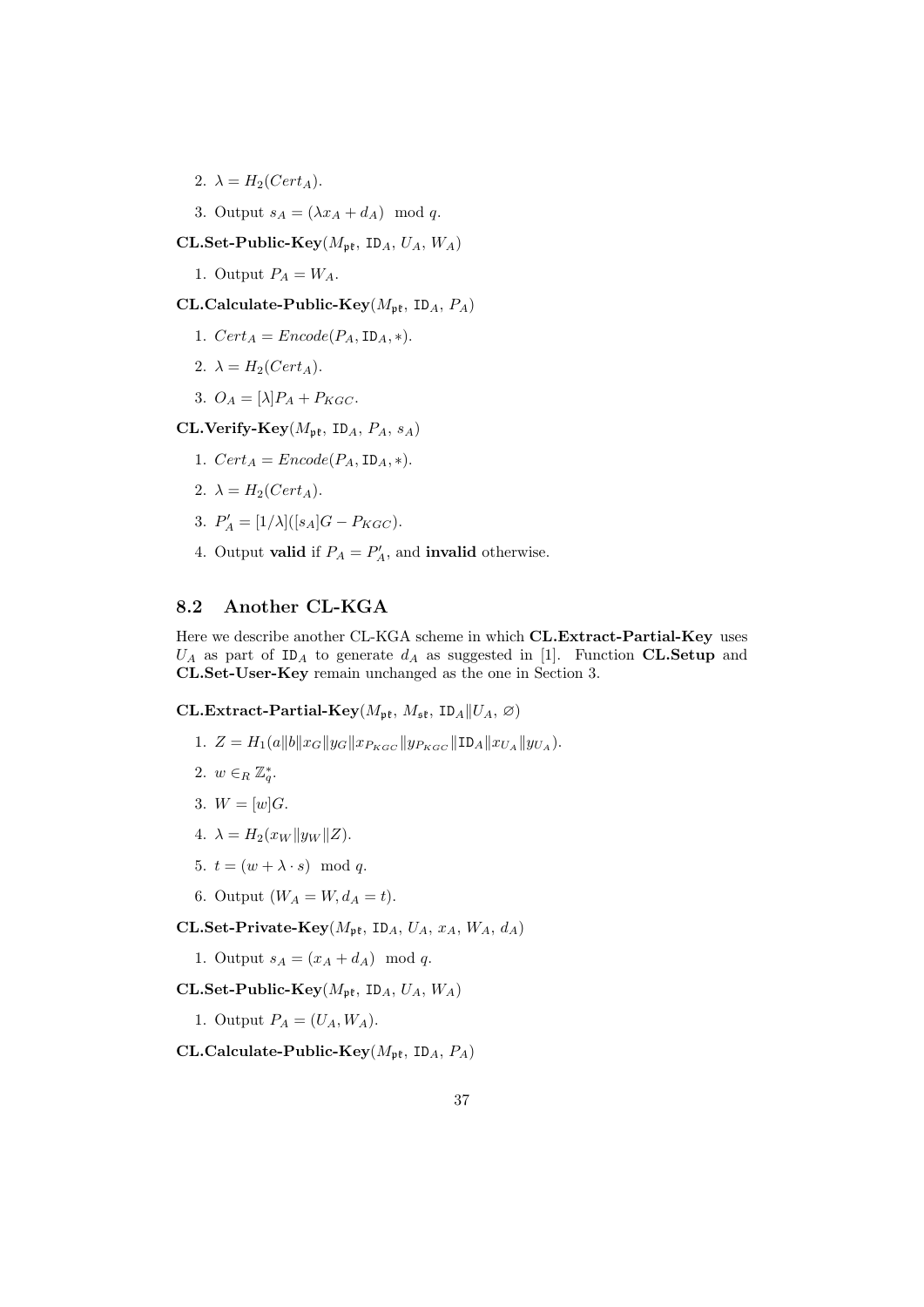2.  $\lambda = H_2(Cert_A)$ .

3. Output  $s_A = (\lambda x_A + d_A) \mod q$ .

CL.Set-Public-Key( $M_{\rm pf}$ , ID<sub>A</sub>,  $U_A$ ,  $W_A$ )

1. Output  $P_A = W_A$ .

CL.Calculate-Public-Key( $M_{\rm pf}$ , ID<sub>A</sub>,  $P_A$ )

- 1.  $Cert_A = Encode(P_A, ID_A, *)$ .
- 2.  $\lambda = H_2(Cert_A)$ .
- 3.  $O_A = [\lambda] P_A + P_{KGC}.$

CL.Verify-Key $(M_{\mathfrak{pk}}, \text{ID}_A, P_A, s_A)$ 

- 1.  $Cert_A = encode(P_A, ID_A, *)$ .
- 2.  $\lambda = H_2(Cert_A)$ .
- 3.  $P'_A = [1/\lambda] ([s_A]G P_{KGC}).$
- 4. Output **valid** if  $P_A = P'_A$ , and **invalid** otherwise.

# 8.2 Another CL-KGA

Here we describe another CL-KGA scheme in which CL.Extract-Partial-Key uses  $U_A$  as part of ID<sub>A</sub> to generate  $d_A$  as suggested in [1]. Function CL.Setup and CL.Set-User-Key remain unchanged as the one in Section 3.

CL.Extract-Partial-Key( $M_{\rm pf}$ ,  $M_{\rm sf}$ , ID<sub>A</sub>|| $U_A$ ,  $\varnothing$ )

- 1.  $Z = H_1(a||b||x_G||y_G||x_{P_{KGC}}||y_{P_{KGC}}||\text{ID}_A||x_{U_A}||y_{U_A}).$
- 2.  $w \in_R \mathbb{Z}_q^*$ .
- 3.  $W = [w]G$ .
- 4.  $\lambda = H_2(x_W || y_W || Z).$
- 5.  $t = (w + \lambda \cdot s) \mod q$ .
- 6. Output  $(W_A = W, d_A = t)$ .

CL.Set-Private-Key $(M_{\text{nf}}, \text{ID}_A, U_A, x_A, W_A, d_A)$ 

1. Output  $s_A = (x_A + d_A) \mod q$ .

CL.Set-Public-Key( $M_{\text{nf}}$ , ID<sub>A</sub>,  $U_A$ ,  $W_A$ )

1. Output  $P_A = (U_A, W_A)$ .

CL.Calculate-Public-Key( $M_{\rm pf}$ , ID<sub>A</sub>,  $P_A$ )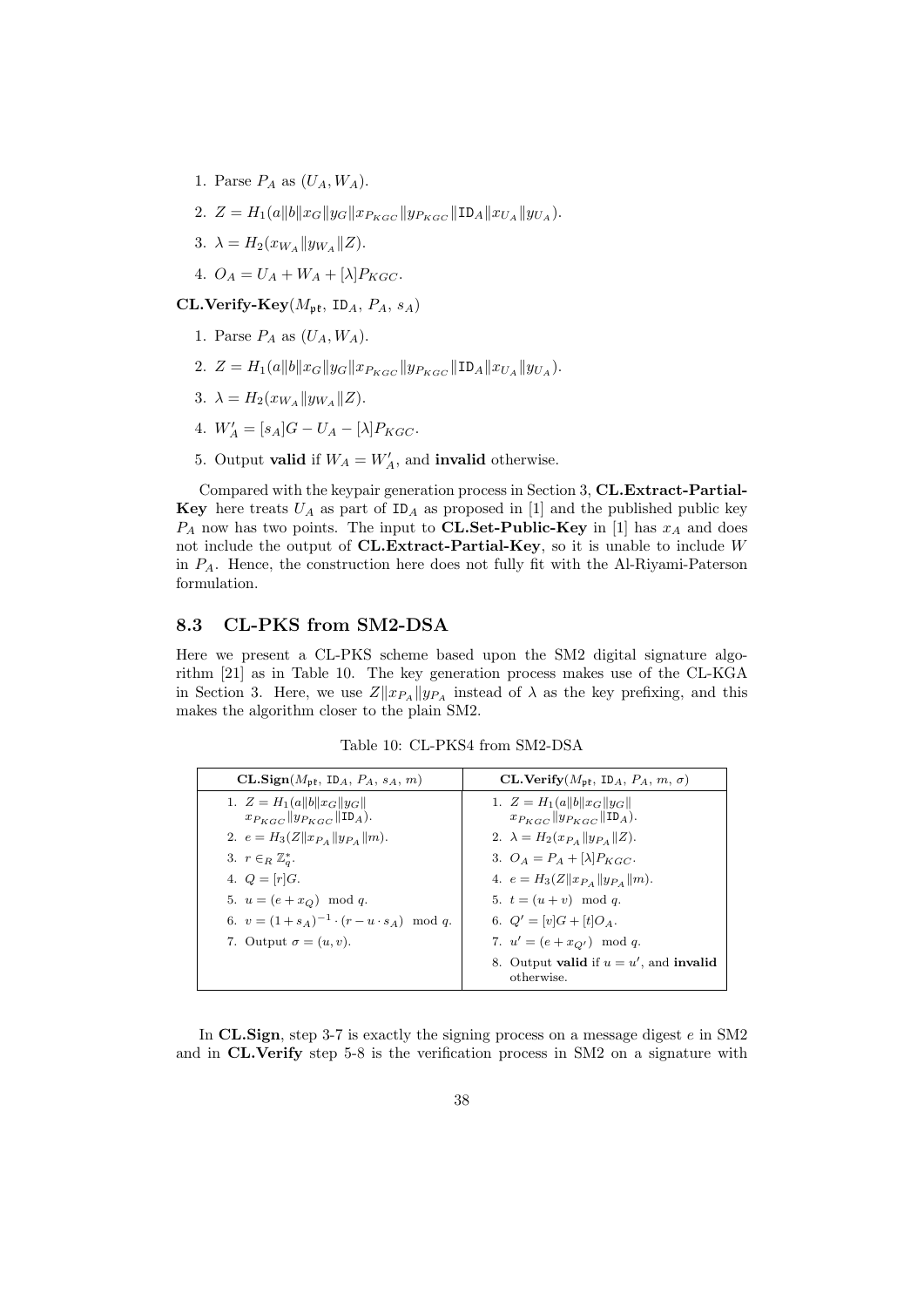- 1. Parse  $P_A$  as  $(U_A, W_A)$ .
- 2.  $Z = H_1(a||b||x_G||y_G||x_{P_{KGC}}||y_{P_{KGC}}||\text{ID}_A||x_{U_A}||y_{U_A}).$
- 3.  $\lambda = H_2(x_{W_A} || y_{W_A} || Z).$
- 4.  $O_A = U_A + W_A + [\lambda] P_{KGC}.$

CL.Verify-Key $(M_{\rm pf}, \text{ ID}_A, P_A, s_A)$ 

- 1. Parse  $P_A$  as  $(U_A, W_A)$ .
- 2.  $Z = H_1(a||b||x_G||y_G||x_{P_{KGC}}||y_{P_{KGC}}||\text{ID}_A||x_{U_A}||y_{U_A}).$
- 3.  $\lambda = H_2(x_{W_A} || y_{W_A} || Z).$
- 4.  $W'_{A} = [s_{A}]G U_{A} [\lambda]P_{KGC}.$
- 5. Output **valid** if  $W_A = W'_A$ , and **invalid** otherwise.

Compared with the keypair generation process in Section 3, CL.Extract-Partial-**Key** here treats  $U_A$  as part of  $ID_A$  as proposed in [1] and the published public key  $P_A$  now has two points. The input to **CL.Set-Public-Key** in [1] has  $x_A$  and does not include the output of  $CL.$ Extract-Partial-Key, so it is unable to include W in  $P_A$ . Hence, the construction here does not fully fit with the Al-Riyami-Paterson formulation.

### 8.3 CL-PKS from SM2-DSA

Here we present a CL-PKS scheme based upon the SM2 digital signature algorithm [21] as in Table 10. The key generation process makes use of the CL-KGA in Section 3. Here, we use  $Z||x_{P_A}||y_{P_A}$  instead of  $\lambda$  as the key prefixing, and this makes the algorithm closer to the plain SM2.

Table 10: CL-PKS4 from SM2-DSA

| $CL.Sign(M_{nf}, IDA, PA, sA, m)$                        | CL.Verify $(M_{\mathfrak{pk}}, \mathfrak{ID}_A, P_A, m, \sigma)$ |
|----------------------------------------------------------|------------------------------------------------------------------|
| 1. $Z = H_1(a  b  x_G  y_G  $                            | 1. $Z = H_1(a  b  x_G  y_G  $                                    |
| $x_{P_{KGC}}$ $  y_{P_{KGC}}  $ ID <sub>A</sub> ).       | $x_{P_{KGC}}$ $y_{P_{KGC}}$ $\ $ ID <sub>A</sub> $)$ .           |
| 2. $e = H_3(Z \  x_{P_A} \  y_{P_A} \  m)$ .             | 2. $\lambda = H_2(x_{P_A}  y_{P_A}  Z)$ .                        |
| 3. $r \in_R \mathbb{Z}_q^*$ .                            | 3. $O_A = P_A + [\lambda]P_{KGC}$ .                              |
| 4. $Q = [r]G$ .                                          | 4. $e = H_3(Z  x_{P_A}  y_{P_A}  m)$ .                           |
| 5. $u = (e + x_Q) \mod q$ .                              | 5. $t = (u + v) \mod q$ .                                        |
| 6. $v = (1 + s_A)^{-1} \cdot (r - u \cdot s_A) \mod q$ . | 6. $Q' = [v]G + [t]Q_A$ .                                        |
| 7. Output $\sigma = (u, v)$ .                            | 7. $u' = (e + x_{Q'}) \mod q$ .                                  |
|                                                          | 8. Output valid if $u = u'$ , and invalid<br>otherwise.          |

In CL.Sign, step 3-7 is exactly the signing process on a message digest  $e$  in SM2 and in CL.Verify step 5-8 is the verification process in SM2 on a signature with